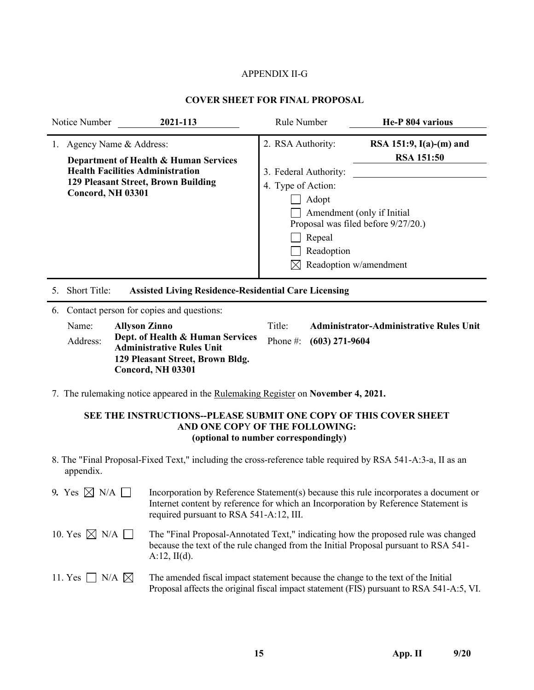# APPENDIX II-G

## **COVER SHEET FOR FINAL PROPOSAL**

|                                                                                                                                                                        | Notice Number                     | 2021-113                                                                                                                                                                                                                                                                                                                                | Rule Number |  | He-P 804 various |
|------------------------------------------------------------------------------------------------------------------------------------------------------------------------|-----------------------------------|-----------------------------------------------------------------------------------------------------------------------------------------------------------------------------------------------------------------------------------------------------------------------------------------------------------------------------------------|-------------|--|------------------|
| Agency Name & Address:<br>Department of Health & Human Services<br><b>Health Facilities Administration</b><br>129 Pleasant Street, Brown Building<br>Concord, NH 03301 |                                   | 2. RSA Authority:<br>RSA 151:9, $I(a)-(m)$ and<br><b>RSA 151:50</b><br>3. Federal Authority:<br>4. Type of Action:<br>Adopt<br>Amendment (only if Initial<br>Proposal was filed before 9/27/20.)<br>Repeal<br>Readoption<br>Readoption w/amendment                                                                                      |             |  |                  |
| 5.<br>6.                                                                                                                                                               | Short Title:<br>Name:<br>Address: | <b>Assisted Living Residence-Residential Care Licensing</b><br>Contact person for copies and questions:<br>Title:<br><b>Administrator-Administrative Rules Unit</b><br><b>Allyson Zinno</b><br>Dept. of Health & Human Services<br>Phone #:<br>$(603)$ 271-9604<br><b>Administrative Rules Unit</b><br>129 Pleasant Street, Brown Bldg. |             |  |                  |
|                                                                                                                                                                        |                                   | Concord, NH 03301                                                                                                                                                                                                                                                                                                                       |             |  |                  |

7. The rulemaking notice appeared in the Rulemaking Register on **November 4, 2021.**

# **SEE THE INSTRUCTIONS--PLEASE SUBMIT ONE COPY OF THIS COVER SHEET AND ONE COP**Y **OF THE FOLLOWING: (optional to number correspondingly)**

8. The "Final Proposal-Fixed Text," including the cross-reference table required by RSA 541-A:3-a, II as an appendix.

| 9. Yes $\boxtimes$ N/A $\Box$  | Incorporation by Reference Statement(s) because this rule incorporates a document or<br>Internet content by reference for which an Incorporation by Reference Statement is<br>required pursuant to RSA 541-A:12, III. |
|--------------------------------|-----------------------------------------------------------------------------------------------------------------------------------------------------------------------------------------------------------------------|
| 10. Yes $\boxtimes$ N/A $\Box$ | The "Final Proposal-Annotated Text," indicating how the proposed rule was changed<br>because the text of the rule changed from the Initial Proposal pursuant to RSA 541-<br>$A:12$ , II(d).                           |
| 11. Yes $\Box$ N/A $\boxtimes$ | The amended fiscal impact statement because the change to the text of the Initial<br>Proposal affects the original fiscal impact statement (FIS) pursuant to RSA 541-A:5, VI.                                         |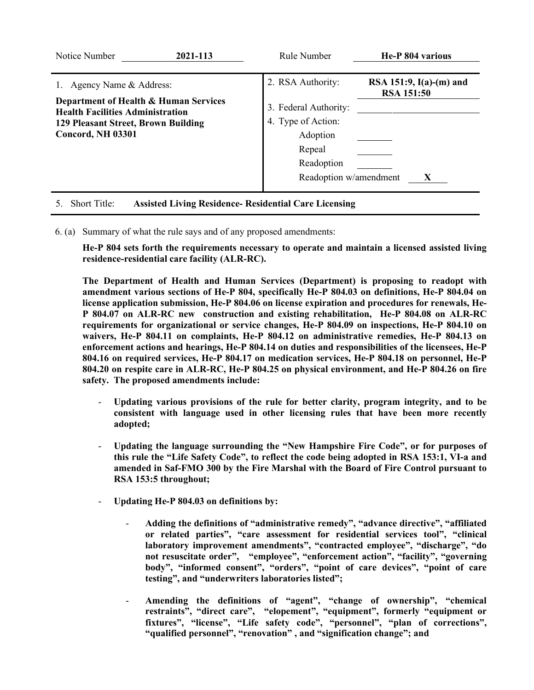| Notice Number                                                                                                                                                             | 2021-113 | Rule Number                                                                                                                    | He-P 804 various                                    |
|---------------------------------------------------------------------------------------------------------------------------------------------------------------------------|----------|--------------------------------------------------------------------------------------------------------------------------------|-----------------------------------------------------|
| 1. Agency Name & Address:<br>Department of Health & Human Services<br><b>Health Facilities Administration</b><br>129 Pleasant Street, Brown Building<br>Concord, NH 03301 |          | 2. RSA Authority:<br>3. Federal Authority:<br>4. Type of Action:<br>Adoption<br>Repeal<br>Readoption<br>Readoption w/amendment | RSA 151:9, $I(a)-(m)$ and<br><b>RSA 151:50</b><br>X |
| <b>Short Title:</b><br>5.                                                                                                                                                 |          | <b>Assisted Living Residence- Residential Care Licensing</b>                                                                   |                                                     |

- 
- 6. (a) Summary of what the rule says and of any proposed amendments:

**He-P 804 sets forth the requirements necessary to operate and maintain a licensed assisted living residence-residential care facility (ALR-RC).** 

**The Department of Health and Human Services (Department) is proposing to readopt with amendment various sections of He-P 804, specifically He-P 804.03 on definitions, He-P 804.04 on license application submission, He-P 804.06 on license expiration and procedures for renewals, He-P 804.07 on ALR-RC new construction and existing rehabilitation, He-P 804.08 on ALR-RC requirements for organizational or service changes, He-P 804.09 on inspections, He-P 804.10 on waivers, He-P 804.11 on complaints, He-P 804.12 on administrative remedies, He-P 804.13 on enforcement actions and hearings, He-P 804.14 on duties and responsibilities of the licensees, He-P 804.16 on required services, He-P 804.17 on medication services, He-P 804.18 on personnel, He-P 804.20 on respite care in ALR-RC, He-P 804.25 on physical environment, and He-P 804.26 on fire safety. The proposed amendments include:**

- **Updating various provisions of the rule for better clarity, program integrity, and to be consistent with language used in other licensing rules that have been more recently adopted;**
- **Updating the language surrounding the "New Hampshire Fire Code", or for purposes of this rule the "Life Safety Code", to reflect the code being adopted in RSA 153:1, VI-a and amended in Saf-FMO 300 by the Fire Marshal with the Board of Fire Control pursuant to RSA 153:5 throughout;**
- **Updating He-P 804.03 on definitions by:**
	- **Adding the definitions of "administrative remedy", "advance directive", "affiliated or related parties", "care assessment for residential services tool", "clinical laboratory improvement amendments", "contracted employee", "discharge", "do not resuscitate order", "employee", "enforcement action", "facility", "governing body", "informed consent", "orders", "point of care devices", "point of care testing", and "underwriters laboratories listed";**
	- **Amending the definitions of "agent", "change of ownership", "chemical restraints", "direct care", "elopement", "equipment", formerly "equipment or fixtures", "license", "Life safety code", "personnel", "plan of corrections", "qualified personnel", "renovation" , and "signification change"; and**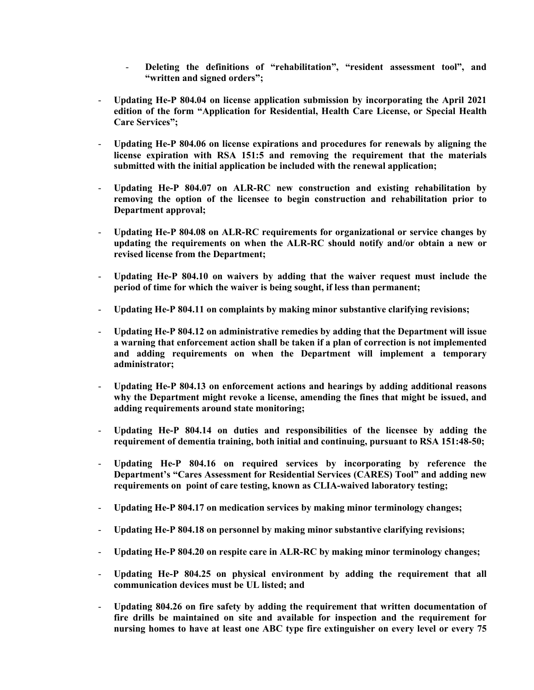- Deleting the definitions of "rehabilitation", "resident assessment tool", and **"written and signed orders";**
- **Updating He-P 804.04 on license application submission by incorporating the April 2021 edition of the form "Application for Residential, Health Care License, or Special Health Care Services";**
- **Updating He-P 804.06 on license expirations and procedures for renewals by aligning the license expiration with RSA 151:5 and removing the requirement that the materials submitted with the initial application be included with the renewal application;**
- **Updating He-P 804.07 on ALR-RC new construction and existing rehabilitation by removing the option of the licensee to begin construction and rehabilitation prior to Department approval;**
- **Updating He-P 804.08 on ALR-RC requirements for organizational or service changes by updating the requirements on when the ALR-RC should notify and/or obtain a new or revised license from the Department;**
- **Updating He-P 804.10 on waivers by adding that the waiver request must include the period of time for which the waiver is being sought, if less than permanent;**
- **Updating He-P 804.11 on complaints by making minor substantive clarifying revisions;**
- **Updating He-P 804.12 on administrative remedies by adding that the Department will issue a warning that enforcement action shall be taken if a plan of correction is not implemented and adding requirements on when the Department will implement a temporary administrator;**
- **Updating He-P 804.13 on enforcement actions and hearings by adding additional reasons why the Department might revoke a license, amending the fines that might be issued, and adding requirements around state monitoring;**
- **Updating He-P 804.14 on duties and responsibilities of the licensee by adding the requirement of dementia training, both initial and continuing, pursuant to RSA 151:48-50;**
- **Updating He-P 804.16 on required services by incorporating by reference the Department's "Cares Assessment for Residential Services (CARES) Tool" and adding new requirements on point of care testing, known as CLIA-waived laboratory testing;**
- **Updating He-P 804.17 on medication services by making minor terminology changes;**
- **Updating He-P 804.18 on personnel by making minor substantive clarifying revisions;**
- **Updating He-P 804.20 on respite care in ALR-RC by making minor terminology changes;**
- **Updating He-P 804.25 on physical environment by adding the requirement that all communication devices must be UL listed; and**
- **Updating 804.26 on fire safety by adding the requirement that written documentation of fire drills be maintained on site and available for inspection and the requirement for nursing homes to have at least one ABC type fire extinguisher on every level or every 75**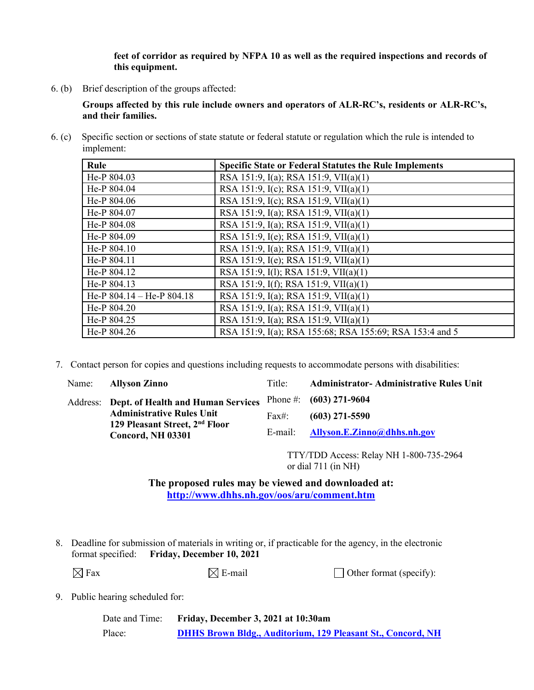**feet of corridor as required by NFPA 10 as well as the required inspections and records of this equipment.**

6. (b) Brief description of the groups affected:

**Groups affected by this rule include owners and operators of ALR-RC's, residents or ALR-RC's, and their families.** 

6. (c) Specific section or sections of state statute or federal statute or regulation which the rule is intended to implement:

| Rule                          | <b>Specific State or Federal Statutes the Rule Implements</b> |
|-------------------------------|---------------------------------------------------------------|
| He-P 804.03                   | RSA 151:9, I(a); RSA 151:9, VII(a)(1)                         |
| He-P 804.04                   | RSA 151:9, I(c); RSA 151:9, VII(a)(1)                         |
| He-P 804.06                   | RSA 151:9, I(c); RSA 151:9, VII(a)(1)                         |
| He-P 804.07                   | RSA 151:9, I(a); RSA 151:9, VII(a)(1)                         |
| He-P 804.08                   | RSA 151:9, I(a); RSA 151:9, VII(a)(1)                         |
| He-P 804.09                   | RSA 151:9, I(e); RSA 151:9, VII(a)(1)                         |
| He-P 804.10                   | RSA 151:9, I(a); RSA 151:9, VII(a)(1)                         |
| He-P 804.11                   | RSA 151:9, I(e); RSA 151:9, VII(a)(1)                         |
| He-P 804.12                   | RSA 151:9, I(1); RSA 151:9, VII(a)(1)                         |
| He-P 804.13                   | RSA 151:9, I(f); RSA 151:9, VII(a)(1)                         |
| He-P $804.14$ – He-P $804.18$ | RSA 151:9, I(a); RSA 151:9, VII(a)(1)                         |
| He-P 804.20                   | RSA 151:9, I(a); RSA 151:9, VII(a)(1)                         |
| He-P 804.25                   | RSA 151:9, I(a); RSA 151:9, VII(a)(1)                         |
| He-P 804.26                   | RSA 151:9, I(a); RSA 155:68; RSA 155:69; RSA 153:4 and 5      |

7. Contact person for copies and questions including requests to accommodate persons with disabilities:

Address: **Dept. of Health and Human Services** Phone #: **Administrative Rules Unit 129 Pleasant Street, 2nd Floor Concord, NH 03301**

Name: **Allyson Zinno** Title: **Administrator- Administrative Rules Unit** Fax#: E-mail: **(603) 271-9604 (603) 271-5590 [Allyson.E.Zinno@dhhs.nh.gov](mailto:Allyson.E.Zinno@dhhs.nh.gov)**

> TTY/TDD Access: Relay NH 1-800-735-2964 or dial 711 (in NH)

**The proposed rules may be viewed and downloaded at: <http://www.dhhs.nh.gov/oos/aru/comment.htm>**

8. Deadline for submission of materials in writing or, if practicable for the agency, in the electronic format specified: **Friday, December 10, 2021**

 $\boxtimes$  Fax  $\boxtimes$  E-mail  $\Box$  Other format (specify):

9. Public hearing scheduled for:

| Date and Time: | Friday, December 3, 2021 at 10:30am                                |
|----------------|--------------------------------------------------------------------|
| Place:         | <b>DHHS Brown Bldg., Auditorium, 129 Pleasant St., Concord, NH</b> |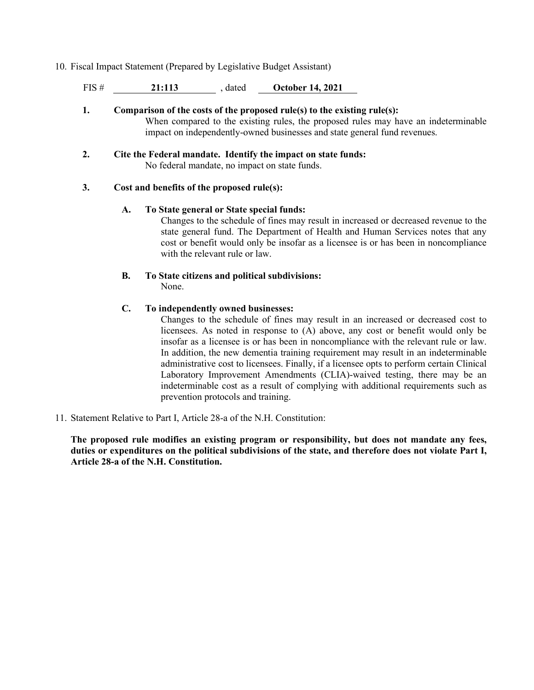- 10. Fiscal Impact Statement (Prepared by Legislative Budget Assistant)
	- FIS # **21:113** , dated **October 14, 2021**
	- **1. Comparison of the costs of the proposed rule(s) to the existing rule(s):** When compared to the existing rules, the proposed rules may have an indeterminable impact on independently-owned businesses and state general fund revenues.
	- **2. Cite the Federal mandate. Identify the impact on state funds:** No federal mandate, no impact on state funds.

## **3. Cost and benefits of the proposed rule(s):**

#### **A. To State general or State special funds:**

Changes to the schedule of fines may result in increased or decreased revenue to the state general fund. The Department of Health and Human Services notes that any cost or benefit would only be insofar as a licensee is or has been in noncompliance with the relevant rule or law.

**B. To State citizens and political subdivisions:** None.

## **C. To independently owned businesses:**

Changes to the schedule of fines may result in an increased or decreased cost to licensees. As noted in response to (A) above, any cost or benefit would only be insofar as a licensee is or has been in noncompliance with the relevant rule or law. In addition, the new dementia training requirement may result in an indeterminable administrative cost to licensees. Finally, if a licensee opts to perform certain Clinical Laboratory Improvement Amendments (CLIA)-waived testing, there may be an indeterminable cost as a result of complying with additional requirements such as prevention protocols and training.

11. Statement Relative to Part I, Article 28-a of the N.H. Constitution:

**The proposed rule modifies an existing program or responsibility, but does not mandate any fees, duties or expenditures on the political subdivisions of the state, and therefore does not violate Part I, Article 28-a of the N.H. Constitution.**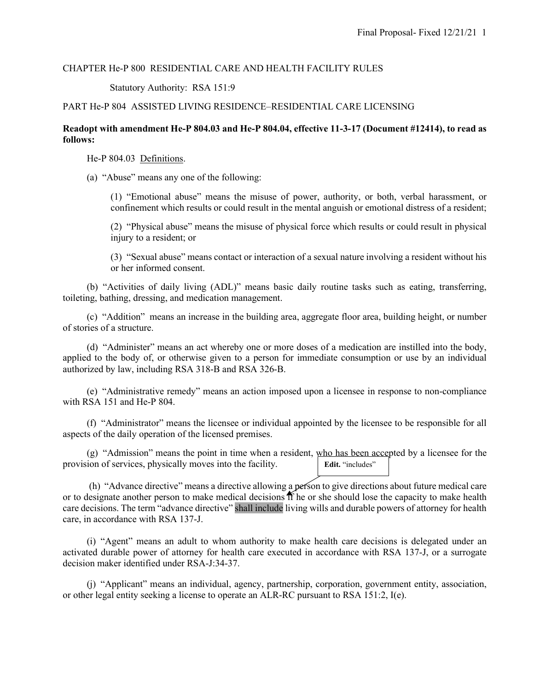#### CHAPTER He-P 800 RESIDENTIAL CARE AND HEALTH FACILITY RULES

#### Statutory Authority: RSA 151:9

## PART He-P 804 ASSISTED LIVING RESIDENCE–RESIDENTIAL CARE LICENSING

### **Readopt with amendment He-P 804.03 and He-P 804.04, effective 11-3-17 (Document #12414), to read as follows:**

He-P 804.03 Definitions.

(a) "Abuse" means any one of the following:

(1) "Emotional abuse" means the misuse of power, authority, or both, verbal harassment, or confinement which results or could result in the mental anguish or emotional distress of a resident;

(2) "Physical abuse" means the misuse of physical force which results or could result in physical injury to a resident; or

(3) "Sexual abuse" means contact or interaction of a sexual nature involving a resident without his or her informed consent.

 (b) "Activities of daily living (ADL)" means basic daily routine tasks such as eating, transferring, toileting, bathing, dressing, and medication management.

 (c) "Addition" means an increase in the building area, aggregate floor area, building height, or number of stories of a structure.

 (d) "Administer" means an act whereby one or more doses of a medication are instilled into the body, applied to the body of, or otherwise given to a person for immediate consumption or use by an individual authorized by law, including RSA 318-B and RSA 326-B.

 (e) "Administrative remedy" means an action imposed upon a licensee in response to non-compliance with RSA 151 and He-P 804.

 (f) "Administrator" means the licensee or individual appointed by the licensee to be responsible for all aspects of the daily operation of the licensed premises.

 $(g)$  "Admission" means the point in time when a resident, who has been accepted by a licensee for the provision of services, physically moves into the facility. Edit. "includes"

(h) "Advance directive" means a directive allowing a person to give directions about future medical care or to designate another person to make medical decisions if he or she should lose the capacity to make health care decisions. The term "advance directive" shall include living wills and durable powers of attorney for health care, in accordance with RSA 137-J.

 (i) "Agent" means an adult to whom authority to make health care decisions is delegated under an activated durable power of attorney for health care executed in accordance with RSA 137-J, or a surrogate decision maker identified under RSA-J:34-37.

 (j) "Applicant" means an individual, agency, partnership, corporation, government entity, association, or other legal entity seeking a license to operate an ALR-RC pursuant to RSA 151:2, I(e).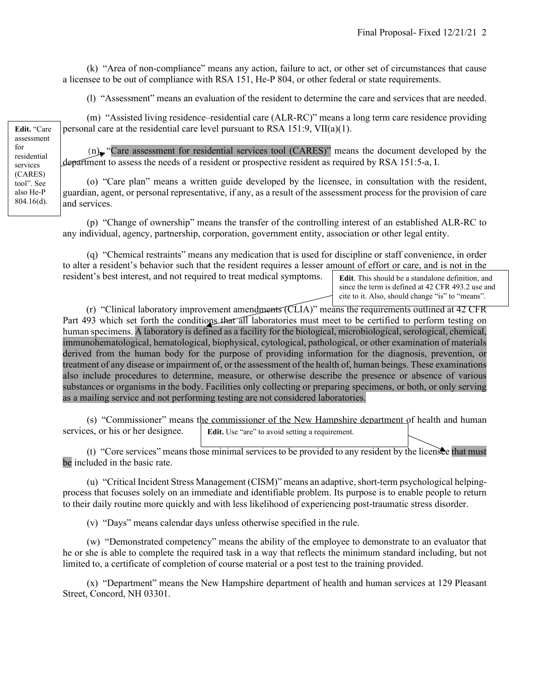(k) "Area of non-compliance" means any action, failure to act, or other set of circumstances that cause a licensee to be out of compliance with RSA 151, He-P 804, or other federal or state requirements.

(l) "Assessment" means an evaluation of the resident to determine the care and services that are needed.

 (m) "Assisted living residence–residential care (ALR-RC)" means a long term care residence providing personal care at the residential care level pursuant to RSA 151:9, VII(a)(1).

 (n) "Care assessment for residential services tool (CARES)" means the document developed by the department to assess the needs of a resident or prospective resident as required by RSA 151:5-a, I.

 (o) "Care plan" means a written guide developed by the licensee, in consultation with the resident, guardian, agent, or personal representative, if any, as a result of the assessment process for the provision of care and services.

 (p) "Change of ownership" means the transfer of the controlling interest of an established ALR-RC to any individual, agency, partnership, corporation, government entity, association or other legal entity.

 (q) "Chemical restraints" means any medication that is used for discipline or staff convenience, in order to alter a resident's behavior such that the resident requires a lesser amount of effort or care, and is not in the resident's best interest, and not required to treat medical symptoms.

**Edit**. This should be a standalone definition, and since the term is defined at 42 CFR 493.2 use and cite to it. Also, should change "is" to "means".

(r) "Clinical laboratory improvement amendments (CLIA)" means the requirements outlined at 42 CFR Part 493 which set forth the conditions that all laboratories must meet to be certified to perform testing on human specimens. A laboratory is defined as a facility for the biological, microbiological, serological, chemical, immunohematological, hematological, biophysical, cytological, pathological, or other examination of materials derived from the human body for the purpose of providing information for the diagnosis, prevention, or treatment of any disease or impairment of, or the assessment of the health of, human beings. These examinations also include procedures to determine, measure, or otherwise describe the presence or absence of various substances or organisms in the body. Facilities only collecting or preparing specimens, or both, or only serving as a mailing service and not performing testing are not considered laboratories.

 (s) "Commissioner" means the commissioner of the New Hampshire department of health and human services, or his or her designee. **Edit.** Use "are" to avoid setting a requirement.

 (t) "Core services" means those minimal services to be provided to any resident by the licensee that must be included in the basic rate.

 (u) "Critical Incident Stress Management (CISM)" means an adaptive, short-term psychological helpingprocess that focuses solely on an immediate and identifiable problem. Its purpose is to enable people to return to their daily routine more quickly and with less likelihood of experiencing [post-traumatic stress disorder.](https://en.wikipedia.org/wiki/Post-traumatic_stress_disorder)

(v) "Days" means calendar days unless otherwise specified in the rule.

 (w) "Demonstrated competency" means the ability of the employee to demonstrate to an evaluator that he or she is able to complete the required task in a way that reflects the minimum standard including, but not limited to, a certificate of completion of course material or a post test to the training provided.

 (x) "Department" means the New Hampshire department of health and human services at 129 Pleasant Street, Concord, NH 03301.

**Edit.** "Care assessment for residential services (CARES) tool". See also He-P 804.16(d).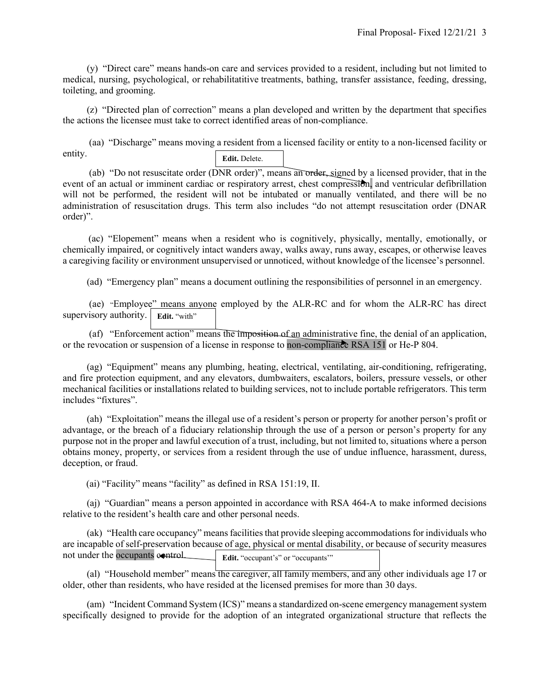(y) "Direct care" means hands-on care and services provided to a resident, including but not limited to medical, nursing, psychological, or rehabilitatitive treatments, bathing, transfer assistance, feeding, dressing, toileting, and grooming.

 (z) "Directed plan of correction" means a plan developed and written by the department that specifies the actions the licensee must take to correct identified areas of non-compliance.

(aa) "Discharge" means moving a resident from a licensed facility or entity to a non-licensed facility or entity. **Edit.** Delete.

(ab) "Do not resuscitate order (DNR order)", means an order, signed by a licensed provider, that in the event of an actual or imminent cardiac or respiratory arrest, chest compression, and ventricular defibrillation will not be performed, the resident will not be intubated or manually ventilated, and there will be no administration of resuscitation drugs. This term also includes "do not attempt resuscitation order (DNAR order)".

 (ac) "Elopement" means when a resident who is cognitively, physically, mentally, emotionally, or chemically impaired, or cognitively intact wanders away, walks away, runs away, escapes, or otherwise leaves a caregiving facility or environment unsupervised or unnoticed, without knowledge of the licensee's personnel.

(ad) "Emergency plan" means a document outlining the responsibilities of personnel in an emergency.

(ae) "Employee" means anyone employed by the ALR-RC and for whom the ALR-RC has direct supervisory authority. **Edit.** "with"

(af) "Enforcement action" means the imposition of an administrative fine, the denial of an application, or the revocation or suspension of a license in response to non-compliance RSA 151 or He-P 804.

 (ag) "Equipment" means any plumbing, heating, electrical, ventilating, air-conditioning, refrigerating, and fire protection equipment, and any elevators, dumbwaiters, escalators, boilers, pressure vessels, or other mechanical facilities or installations related to building services, not to include portable refrigerators. This term includes "fixtures".

 (ah) "Exploitation" means the illegal use of a resident's person or property for another person's profit or advantage, or the breach of a fiduciary relationship through the use of a person or person's property for any purpose not in the proper and lawful execution of a trust, including, but not limited to, situations where a person obtains money, property, or services from a resident through the use of undue influence, harassment, duress, deception, or fraud.

(ai) "Facility" means "facility" as defined in RSA 151:19, II.

 (aj) "Guardian" means a person appointed in accordance with RSA 464-A to make informed decisions relative to the resident's health care and other personal needs.

 (ak) "Health care occupancy" means facilities that provide sleeping accommodations for individuals who are incapable of self-preservation because of age, physical or mental disability, or because of security measures not under the occupants control. Edit. "occupant's" or "occupants"

 (al) "Household member" means the caregiver, all family members, and any other individuals age 17 or older, other than residents, who have resided at the licensed premises for more than 30 days.

 (am) "Incident Command System (ICS)" means a standardized on-scene emergency management system specifically designed to provide for the adoption of an integrated organizational structure that reflects the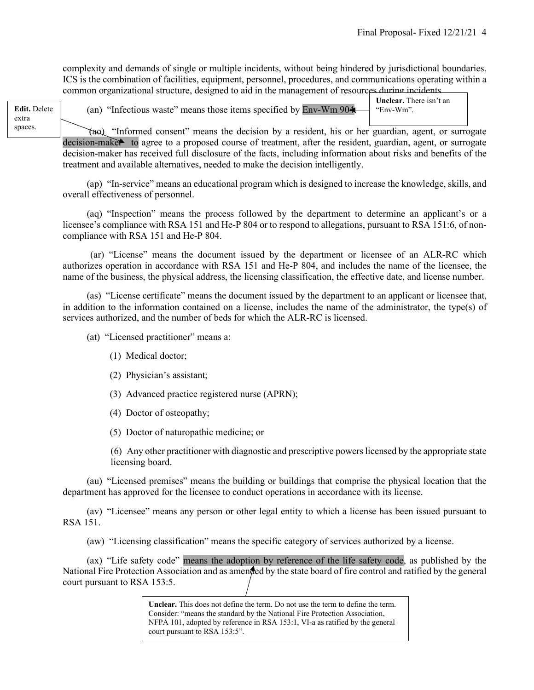complexity and demands of single or multiple incidents, without being hindered by jurisdictional boundaries. ICS is the combination of facilities, equipment, personnel, procedures, and communications operating within a common organizational structure, designed to aid in the management of resources during incidents.

extra spaces.

Edit. Delete (an) "Infectious waste" means those items specified by Env-Wm 904. For-Wm".

**Unclear.** There isn't an "Env-Wm".

(ao) "Informed consent" means the decision by a resident, his or her guardian, agent, or surrogate decision-maker to agree to a proposed course of treatment, after the resident, guardian, agent, or surrogate decision-maker has received full disclosure of the facts, including information about risks and benefits of the treatment and available alternatives, needed to make the decision intelligently.

 (ap) "In-service" means an educational program which is designed to increase the knowledge, skills, and overall effectiveness of personnel.

 (aq) "Inspection" means the process followed by the department to determine an applicant's or a licensee's compliance with RSA 151 and He-P 804 or to respond to allegations, pursuant to RSA 151:6, of noncompliance with RSA 151 and He-P 804.

(ar) "License" means the document issued by the department or licensee of an ALR-RC which authorizes operation in accordance with RSA 151 and He-P 804, and includes the name of the licensee, the name of the business, the physical address, the licensing classification, the effective date, and license number.

 (as) "License certificate" means the document issued by the department to an applicant or licensee that, in addition to the information contained on a license, includes the name of the administrator, the type(s) of services authorized, and the number of beds for which the ALR-RC is licensed.

(at) "Licensed practitioner" means a:

- (1) Medical doctor;
- (2) Physician's assistant;
- (3) Advanced practice registered nurse (APRN);
- (4) Doctor of osteopathy;
- (5) Doctor of naturopathic medicine; or

(6) Any other practitioner with diagnostic and prescriptive powers licensed by the appropriate state licensing board.

 (au) "Licensed premises" means the building or buildings that comprise the physical location that the department has approved for the licensee to conduct operations in accordance with its license.

 (av) "Licensee" means any person or other legal entity to which a license has been issued pursuant to RSA 151.

(aw) "Licensing classification" means the specific category of services authorized by a license.

 (ax) "Life safety code" means the adoption by reference of the life safety code, as published by the National Fire Protection Association and as amended by the state board of fire control and ratified by the general court pursuant to RSA 153:5.

> **Unclear.** This does not define the term. Do not use the term to define the term. Consider: "means the standard by the National Fire Protection Association, NFPA 101, adopted by reference in RSA 153:1, VI-a as ratified by the general court pursuant to RSA 153:5".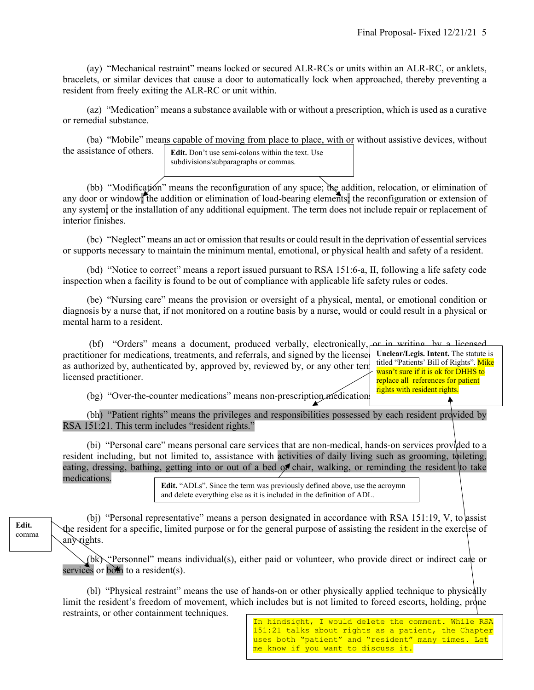(ay) "Mechanical restraint" means locked or secured ALR-RCs or units within an ALR-RC, or anklets, bracelets, or similar devices that cause a door to automatically lock when approached, thereby preventing a resident from freely exiting the ALR-RC or unit within.

 (az) "Medication" means a substance available with or without a prescription, which is used as a curative or remedial substance.

 (ba) "Mobile" means capable of moving from place to place, with or without assistive devices, without the assistance of others.

**Edit.** Don't use semi-colons within the text. Use subdivisions/subparagraphs or commas.

 (bb) "Modification" means the reconfiguration of any space; the addition, relocation, or elimination of any door or window; the addition or elimination of load-bearing elements; the reconfiguration or extension of any system; or the installation of any additional equipment. The term does not include repair or replacement of interior finishes.

 (bc) "Neglect" means an act or omission that results or could result in the deprivation of essential services or supports necessary to maintain the minimum mental, emotional, or physical health and safety of a resident.

 (bd) "Notice to correct" means a report issued pursuant to RSA 151:6-a, II, following a life safety code inspection when a facility is found to be out of compliance with applicable life safety rules or codes.

 (be) "Nursing care" means the provision or oversight of a physical, mental, or emotional condition or diagnosis by a nurse that, if not monitored on a routine basis by a nurse, would or could result in a physical or mental harm to a resident.

(bf) "Orders" means a document, produced verbally, electronically, or in writing, by a licensed practitioner for medications, treatments, and referrals, and signed by the license as authorized by, authenticated by, approved by, reviewed by, or any other term licensed practitioner.

**Unclear/Legis. Intent.** The statute is titled "Patients' Bill of Rights". Mike wasn't sure if it is ok for DHHS to replace all references for patient rights with resident rights.

(bg) "Over-the-counter medications" means non-prescription medications.

 (bh) "Patient rights" means the privileges and responsibilities possessed by each resident provided by RSA 151:21. This term includes "resident rights."

 (bi) "Personal care" means personal care services that are non-medical, hands-on services provided to a resident including, but not limited to, assistance with activities of daily living such as grooming, toileting, eating, dressing, bathing, getting into or out of a bed of chair, walking, or reminding the resident to take medications.

**Edit.** "ADLs". Since the term was previously defined above, use the acroymn and delete everything else as it is included in the definition of ADL.

(bj) "Personal representative" means a person designated in accordance with RSA 151:19, V, to assist the resident for a specific, limited purpose or for the general purpose of assisting the resident in the exercise of any rights.

 (bk) "Personnel" means individual(s), either paid or volunteer, who provide direct or indirect care or services or both to a resident(s).

 (bl) "Physical restraint" means the use of hands-on or other physically applied technique to physically limit the resident's freedom of movement, which includes but is not limited to forced escorts, holding, prone restraints, or other containment techniques.

In hindsight, I would delete the comment. While RSA 151:21 talks about rights as a patient, the Chapter uses both "patient" and "resident" many times. Let me know if you want to discuss it.

**Edit.**  comma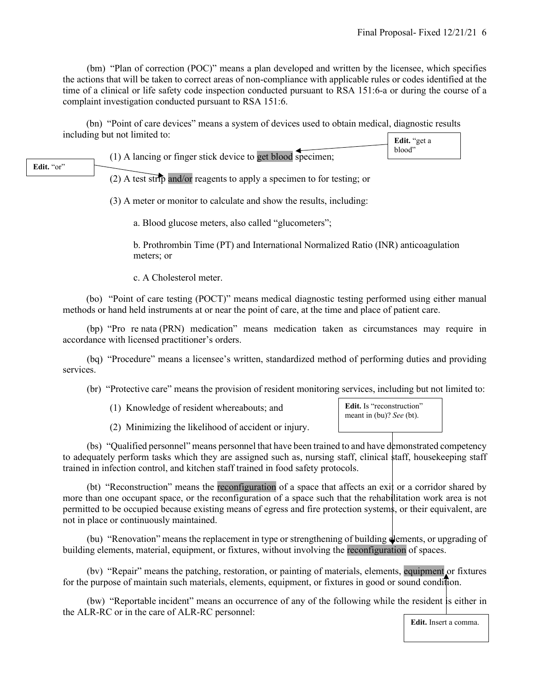(bm) "Plan of correction (POC)" means a plan developed and written by the licensee, which specifies the actions that will be taken to correct areas of non-compliance with applicable rules or codes identified at the time of a clinical or life safety code inspection conducted pursuant to RSA 151:6-a or during the course of a complaint investigation conducted pursuant to RSA 151:6.

(bn) "Point of care devices" means a system of devices used to obtain medical, diagnostic results including but not limited to:  $\left| \right|$ **Edit.** "get a

|                   | (1) A lancing or finger stick device to get blood specimen; | Lulu. ⊻Եւ a<br>blood" |
|-------------------|-------------------------------------------------------------|-----------------------|
| <b>Edit.</b> "or" |                                                             |                       |

(2) A test strip and/or reagents to apply a specimen to for testing; or

(3) A meter or monitor to calculate and show the results, including:

a. Blood glucose meters, also called "glucometers";

b. Prothrombin Time (PT) and International Normalized Ratio (INR) anticoagulation meters; or

c. A Cholesterol meter.

(bo) "Point of care testing (POCT)" means medical diagnostic testing performed using either manual methods or hand held instruments at or near the point of care, at the time and place of patient care.

 (bp) "Pro re nata (PRN) medication" means medication taken as circumstances may require in accordance with licensed practitioner's orders.

 (bq) "Procedure" means a licensee's written, standardized method of performing duties and providing services.

(br) "Protective care" means the provision of resident monitoring services, including but not limited to:

**Edit.** Is "reconstruction" meant in (bu)? *See* (bt).

(2) Minimizing the likelihood of accident or injury.

 (bs) "Qualified personnel" means personnel that have been trained to and have demonstrated competency to adequately perform tasks which they are assigned such as, nursing staff, clinical staff, housekeeping staff trained in infection control, and kitchen staff trained in food safety protocols.

(bt) "Reconstruction" means the reconfiguration of a space that affects an exit or a corridor shared by more than one occupant space, or the reconfiguration of a space such that the rehabilitation work area is not permitted to be occupied because existing means of egress and fire protection systems, or their equivalent, are not in place or continuously maintained.

(bu) "Renovation" means the replacement in type or strengthening of building dements, or upgrading of building elements, material, equipment, or fixtures, without involving the reconfiguration of spaces.

 (bv) "Repair" means the patching, restoration, or painting of materials, elements, equipment or fixtures for the purpose of maintain such materials, elements, equipment, or fixtures in good or sound condition.

 (bw) "Reportable incident" means an occurrence of any of the following while the resident is either in the ALR-RC or in the care of ALR-RC personnel: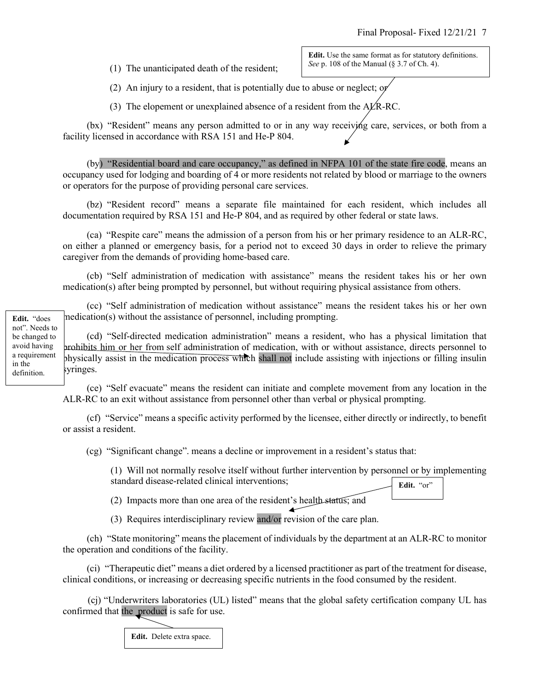(1) The unanticipated death of the resident;

**Edit.** Use the same format as for statutory definitions. *See* p. 108 of the Manual (§ 3.7 of Ch. 4).

(2) An injury to a resident, that is potentially due to abuse or neglect; or

(3) The elopement or unexplained absence of a resident from the  $A\cancel{\text{L}}R\text{-}RC$ .

 (bx) "Resident" means any person admitted to or in any way receiving care, services, or both from a facility licensed in accordance with RSA 151 and He-P 804.

 (by) "Residential board and care occupancy," as defined in NFPA 101 of the state fire code, means an occupancy used for lodging and boarding of 4 or more residents not related by blood or marriage to the owners or operators for the purpose of providing personal care services.

 (bz) "Resident record" means a separate file maintained for each resident, which includes all documentation required by RSA 151 and He-P 804, and as required by other federal or state laws.

 (ca) "Respite care" means the admission of a person from his or her primary residence to an ALR-RC, on either a planned or emergency basis, for a period not to exceed 30 days in order to relieve the primary caregiver from the demands of providing home-based care.

 (cb) "Self administration of medication with assistance" means the resident takes his or her own medication(s) after being prompted by personnel, but without requiring physical assistance from others.

 (cc) "Self administration of medication without assistance" means the resident takes his or her own medication(s) without the assistance of personnel, including prompting.

 (cd) "Self-directed medication administration" means a resident, who has a physical limitation that prohibits him or her from self administration of medication, with or without assistance, directs personnel to physically assist in the medication process which shall not include assisting with injections or filling insulin syringes.

 (ce) "Self evacuate" means the resident can initiate and complete movement from any location in the ALR-RC to an exit without assistance from personnel other than verbal or physical prompting.

 (cf) "Service" means a specific activity performed by the licensee, either directly or indirectly, to benefit or assist a resident.

(cg) "Significant change". means a decline or improvement in a resident's status that:

(1) Will not normally resolve itself without further intervention by personnel or by implementing standard disease-related clinical interventions; Edit. "or"

(2) Impacts more than one area of the resident's health status; and

(3) Requires interdisciplinary review and/or revision of the care plan.

 (ch) "State monitoring" means the placement of individuals by the department at an ALR-RC to monitor the operation and conditions of the facility.

 (ci) "Therapeutic diet" means a diet ordered by a licensed practitioner as part of the treatment for disease, clinical conditions, or increasing or decreasing specific nutrients in the food consumed by the resident.

 (cj) "Underwriters laboratories (UL) listed" means that the global safety certification company UL has confirmed that the product is safe for use.

**Edit.** Delete extra space.

**Edit.** "does not". Needs to be changed to avoid having a requirement in the definition.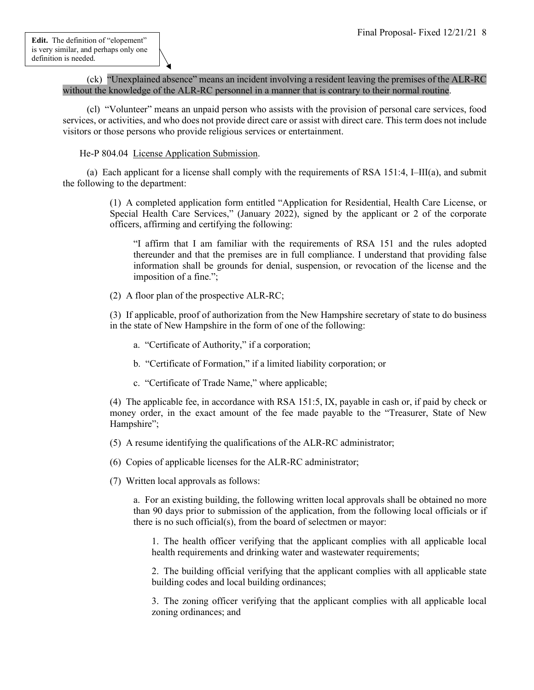(ck) "Unexplained absence" means an incident involving a resident leaving the premises of the ALR-RC without the knowledge of the ALR-RC personnel in a manner that is contrary to their normal routine.

 (cl) "Volunteer" means an unpaid person who assists with the provision of personal care services, food services, or activities, and who does not provide direct care or assist with direct care. This term does not include visitors or those persons who provide religious services or entertainment.

## He-P 804.04 License Application Submission.

 (a) Each applicant for a license shall comply with the requirements of RSA 151:4, I–III(a), and submit the following to the department:

> (1) A completed application form entitled "Application for Residential, Health Care License, or Special Health Care Services," (January 2022), signed by the applicant or 2 of the corporate officers, affirming and certifying the following:

"I affirm that I am familiar with the requirements of RSA 151 and the rules adopted thereunder and that the premises are in full compliance. I understand that providing false information shall be grounds for denial, suspension, or revocation of the license and the imposition of a fine.";

(2) A floor plan of the prospective ALR-RC;

(3) If applicable, proof of authorization from the New Hampshire secretary of state to do business in the state of New Hampshire in the form of one of the following:

- a. "Certificate of Authority," if a corporation;
- b. "Certificate of Formation," if a limited liability corporation; or
- c. "Certificate of Trade Name," where applicable;

(4) The applicable fee, in accordance with RSA 151:5, IX, payable in cash or, if paid by check or money order, in the exact amount of the fee made payable to the "Treasurer, State of New Hampshire";

- (5) A resume identifying the qualifications of the ALR-RC administrator;
- (6) Copies of applicable licenses for the ALR-RC administrator;
- (7) Written local approvals as follows:

a. For an existing building, the following written local approvals shall be obtained no more than 90 days prior to submission of the application, from the following local officials or if there is no such official(s), from the board of selectmen or mayor:

1. The health officer verifying that the applicant complies with all applicable local health requirements and drinking water and wastewater requirements;

2. The building official verifying that the applicant complies with all applicable state building codes and local building ordinances;

3. The zoning officer verifying that the applicant complies with all applicable local zoning ordinances; and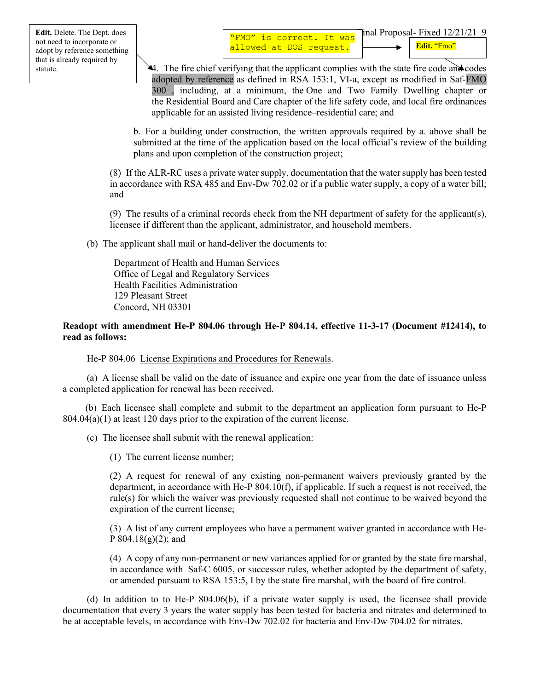44. The fire chief verifying that the applicant complies with the state fire code and codes adopted by reference as defined in RSA 153:1, VI-a, except as modified in Saf-FMO 300 , including, at a minimum, the One and Two Family Dwelling chapter or the Residential Board and Care chapter of the life safety code, and local fire ordinances applicable for an assisted living residence–residential care; and

b. For a building under construction, the written approvals required by a. above shall be submitted at the time of the application based on the local official's review of the building plans and upon completion of the construction project;

(8) If the ALR-RC uses a private water supply, documentation that the water supply has been tested in accordance with RSA 485 and Env-Dw 702.02 or if a public water supply, a copy of a water bill; and

(9) The results of a criminal records check from the NH department of safety for the applicant(s), licensee if different than the applicant, administrator, and household members.

(b) The applicant shall mail or hand-deliver the documents to:

Department of Health and Human Services Office of Legal and Regulatory Services Health Facilities Administration 129 Pleasant Street Concord, NH 03301

# **Readopt with amendment He-P 804.06 through He-P 804.14, effective 11-3-17 (Document #12414), to read as follows:**

He-P 804.06 License Expirations and Procedures for Renewals.

 (a) A license shall be valid on the date of issuance and expire one year from the date of issuance unless a completed application for renewal has been received.

 (b) Each licensee shall complete and submit to the department an application form pursuant to He-P  $804.04(a)(1)$  at least 120 days prior to the expiration of the current license.

(c) The licensee shall submit with the renewal application:

(1) The current license number;

(2) A request for renewal of any existing non-permanent waivers previously granted by the department, in accordance with He-P  $804.10(f)$ , if applicable. If such a request is not received, the rule(s) for which the waiver was previously requested shall not continue to be waived beyond the expiration of the current license;

(3) A list of any current employees who have a permanent waiver granted in accordance with He-P  $804.18(g)(2)$ ; and

(4) A copy of any non-permanent or new variances applied for or granted by the state fire marshal, in accordance with Saf-C 6005, or successor rules, whether adopted by the department of safety, or amended pursuant to RSA 153:5, I by the state fire marshal, with the board of fire control.

 (d) In addition to to He-P 804.06(b), if a private water supply is used, the licensee shall provide documentation that every 3 years the water supply has been tested for bacteria and nitrates and determined to be at acceptable levels, in accordance with Env-Dw 702.02 for bacteria and Env-Dw 704.02 for nitrates.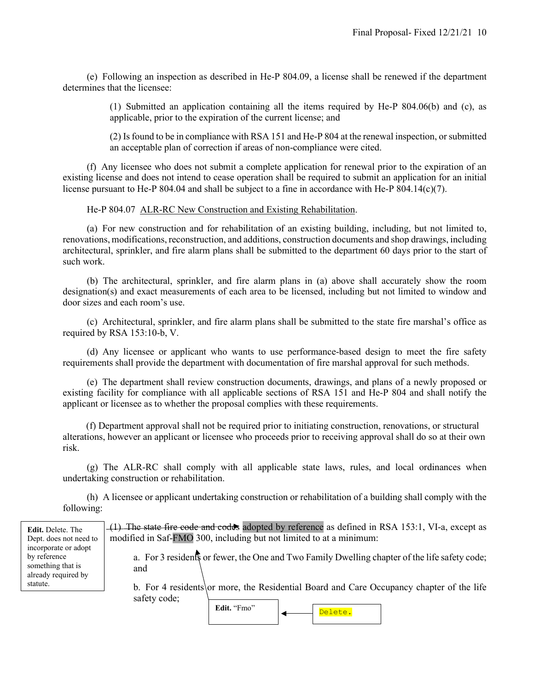(e) Following an inspection as described in He-P 804.09, a license shall be renewed if the department determines that the licensee:

> (1) Submitted an application containing all the items required by He-P 804.06(b) and (c), as applicable, prior to the expiration of the current license; and

> (2) Is found to be in compliance with RSA 151 and He-P 804 at the renewal inspection, or submitted an acceptable plan of correction if areas of non-compliance were cited.

 (f) Any licensee who does not submit a complete application for renewal prior to the expiration of an existing license and does not intend to cease operation shall be required to submit an application for an initial license pursuant to He-P 804.04 and shall be subject to a fine in accordance with He-P 804.14(c)(7).

He-P 804.07 ALR-RC New Construction and Existing Rehabilitation.

 (a) For new construction and for rehabilitation of an existing building, including, but not limited to, renovations, modifications, reconstruction, and additions, construction documents and shop drawings, including architectural, sprinkler, and fire alarm plans shall be submitted to the department 60 days prior to the start of such work.

 (b) The architectural, sprinkler, and fire alarm plans in (a) above shall accurately show the room designation(s) and exact measurements of each area to be licensed, including but not limited to window and door sizes and each room's use.

 (c) Architectural, sprinkler, and fire alarm plans shall be submitted to the state fire marshal's office as required by RSA 153:10-b, V.

 (d) Any licensee or applicant who wants to use performance-based design to meet the fire safety requirements shall provide the department with documentation of fire marshal approval for such methods.

 (e) The department shall review construction documents, drawings, and plans of a newly proposed or existing facility for compliance with all applicable sections of RSA 151 and He-P 804 and shall notify the applicant or licensee as to whether the proposal complies with these requirements.

(f) Department approval shall not be required prior to initiating construction, renovations, or structural alterations, however an applicant or licensee who proceeds prior to receiving approval shall do so at their own risk.

 (g) The ALR-RC shall comply with all applicable state laws, rules, and local ordinances when undertaking construction or rehabilitation.

 (h) A licensee or applicant undertaking construction or rehabilitation of a building shall comply with the following:

| <b>Edit.</b> Delete. The<br>Dept. does not need to                               | $(1)$ The state fire code and codes adopted by reference as defined in RSA 153:1, VI-a, except as<br>modified in Saf-FMO 300, including but not limited to at a minimum: |  |  |
|----------------------------------------------------------------------------------|--------------------------------------------------------------------------------------------------------------------------------------------------------------------------|--|--|
| incorporate or adopt<br>by reference<br>something that is<br>already required by | a. For 3 residents or fewer, the One and Two Family Dwelling chapter of the life safety code;<br>and                                                                     |  |  |
| statute.                                                                         | b. For 4 residents or more, the Residential Board and Care Occupancy chapter of the life<br>safety code;                                                                 |  |  |
|                                                                                  | Edit. "Fmo"<br>Delete.                                                                                                                                                   |  |  |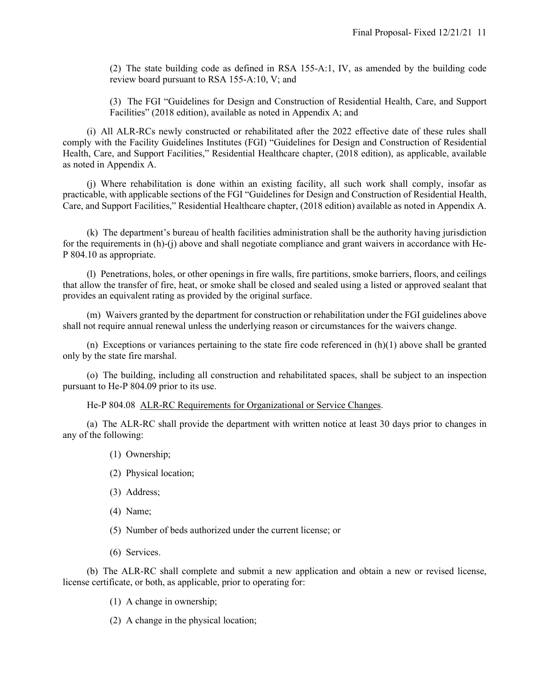(2) The state building code as defined in RSA 155-A:1, IV, as amended by the building code review board pursuant to RSA 155-A:10, V; and

(3) The FGI "Guidelines for Design and Construction of Residential Health, Care, and Support Facilities" (2018 edition), available as noted in Appendix A; and

 (i) All ALR-RCs newly constructed or rehabilitated after the 2022 effective date of these rules shall comply with the Facility Guidelines Institutes (FGI) "Guidelines for Design and Construction of Residential Health, Care, and Support Facilities," Residential Healthcare chapter, (2018 edition), as applicable, available as noted in Appendix A.

 (j) Where rehabilitation is done within an existing facility, all such work shall comply, insofar as practicable, with applicable sections of the FGI "Guidelines for Design and Construction of Residential Health, Care, and Support Facilities," Residential Healthcare chapter, (2018 edition) available as noted in Appendix A.

 (k) The department's bureau of health facilities administration shall be the authority having jurisdiction for the requirements in (h)-(j) above and shall negotiate compliance and grant waivers in accordance with He-P 804.10 as appropriate.

 (l) Penetrations, holes, or other openings in fire walls, fire partitions, smoke barriers, floors, and ceilings that allow the transfer of fire, heat, or smoke shall be closed and sealed using a listed or approved sealant that provides an equivalent rating as provided by the original surface.

 (m) Waivers granted by the department for construction or rehabilitation under the FGI guidelines above shall not require annual renewal unless the underlying reason or circumstances for the waivers change.

(n) Exceptions or variances pertaining to the state fire code referenced in  $(h)(1)$  above shall be granted only by the state fire marshal.

 (o) The building, including all construction and rehabilitated spaces, shall be subject to an inspection pursuant to He-P 804.09 prior to its use.

He-P 804.08 ALR-RC Requirements for Organizational or Service Changes.

 (a) The ALR-RC shall provide the department with written notice at least 30 days prior to changes in any of the following:

- (1) Ownership;
- (2) Physical location;
- (3) Address;
- (4) Name;
- (5) Number of beds authorized under the current license; or
- (6) Services.

 (b) The ALR-RC shall complete and submit a new application and obtain a new or revised license, license certificate, or both, as applicable, prior to operating for:

- (1) A change in ownership;
- (2) A change in the physical location;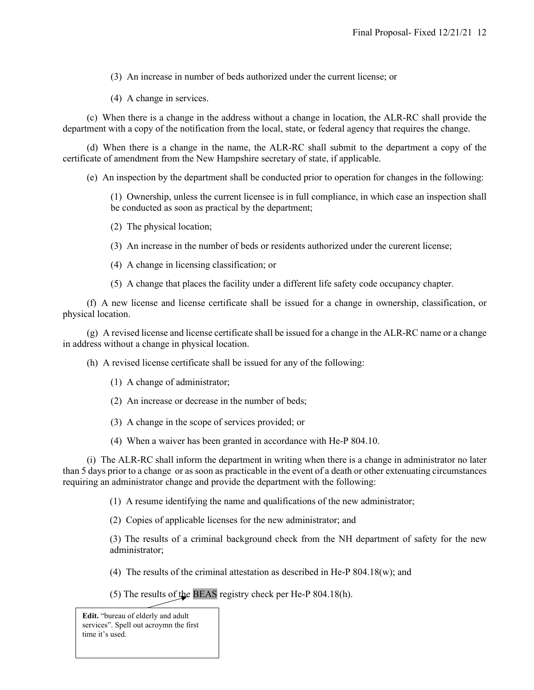(3) An increase in number of beds authorized under the current license; or

(4) A change in services.

 (c) When there is a change in the address without a change in location, the ALR-RC shall provide the department with a copy of the notification from the local, state, or federal agency that requires the change.

 (d) When there is a change in the name, the ALR-RC shall submit to the department a copy of the certificate of amendment from the New Hampshire secretary of state, if applicable.

(e) An inspection by the department shall be conducted prior to operation for changes in the following:

(1) Ownership, unless the current licensee is in full compliance, in which case an inspection shall be conducted as soon as practical by the department;

- (2) The physical location;
- (3) An increase in the number of beds or residents authorized under the curerent license;
- (4) A change in licensing classification; or
- (5) A change that places the facility under a different life safety code occupancy chapter.

 (f) A new license and license certificate shall be issued for a change in ownership, classification, or physical location.

 (g) A revised license and license certificate shall be issued for a change in the ALR-RC name or a change in address without a change in physical location.

(h) A revised license certificate shall be issued for any of the following:

- (1) A change of administrator;
- (2) An increase or decrease in the number of beds;
- (3) A change in the scope of services provided; or
- (4) When a waiver has been granted in accordance with He-P 804.10.

 (i) The ALR-RC shall inform the department in writing when there is a change in administrator no later than 5 days prior to a change or as soon as practicable in the event of a death or other extenuating circumstances requiring an administrator change and provide the department with the following:

(1) A resume identifying the name and qualifications of the new administrator;

(2) Copies of applicable licenses for the new administrator; and

(3) The results of a criminal background check from the NH department of safety for the new administrator;

- (4) The results of the criminal attestation as described in He-P  $804.18(w)$ ; and
- (5) The results of the BEAS registry check per He-P 804.18(h).

**Edit.** "bureau of elderly and adult services". Spell out acroymn the first time it's used.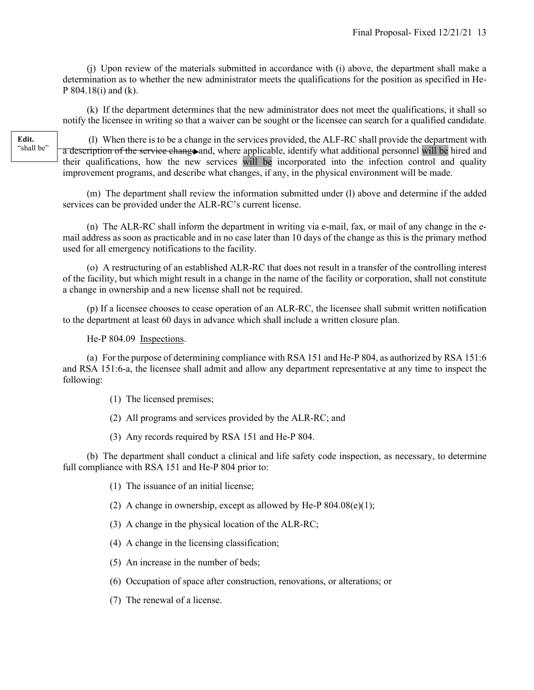(j) Upon review of the materials submitted in accordance with (i) above, the department shall make a determination as to whether the new administrator meets the qualifications for the position as specified in He-P 804.18(i) and (k).

 (k) If the department determines that the new administrator does not meet the qualifications, it shall so notify the licensee in writing so that a waiver can be sought or the licensee can search for a qualified candidate.

**Edit.**  "shall be"

 (l) When there is to be a change in the services provided, the ALF-RC shall provide the department with a description of the service change and, where applicable, identify what additional personnel will be hired and their qualifications, how the new services will be incorporated into the infection control and quality improvement programs, and describe what changes, if any, in the physical environment will be made.

 (m) The department shall review the information submitted under (l) above and determine if the added services can be provided under the ALR-RC's current license.

 (n) The ALR-RC shall inform the department in writing via e-mail, fax, or mail of any change in the email address as soon as practicable and in no case later than 10 days of the change as this is the primary method used for all emergency notifications to the facility.

 (o) A restructuring of an established ALR-RC that does not result in a transfer of the controlling interest of the facility, but which might result in a change in the name of the facility or corporation, shall not constitute a change in ownership and a new license shall not be required.

 (p) If a licensee chooses to cease operation of an ALR-RC, the licensee shall submit written notification to the department at least 60 days in advance which shall include a written closure plan.

He-P 804.09 Inspections.

 (a) For the purpose of determining compliance with RSA 151 and He-P 804, as authorized by RSA 151:6 and RSA 151:6-a, the licensee shall admit and allow any department representative at any time to inspect the following:

- (1) The licensed premises;
- (2) All programs and services provided by the ALR-RC; and
- (3) Any records required by RSA 151 and He-P 804.

 (b) The department shall conduct a clinical and life safety code inspection, as necessary, to determine full compliance with RSA 151 and He-P 804 prior to:

- (1) The issuance of an initial license;
- (2) A change in ownership, except as allowed by He-P  $804.08(e)(1)$ ;
- (3) A change in the physical location of the ALR-RC;
- (4) A change in the licensing classification;
- (5) An increase in the number of beds;
- (6) Occupation of space after construction, renovations, or alterations; or
- (7) The renewal of a license.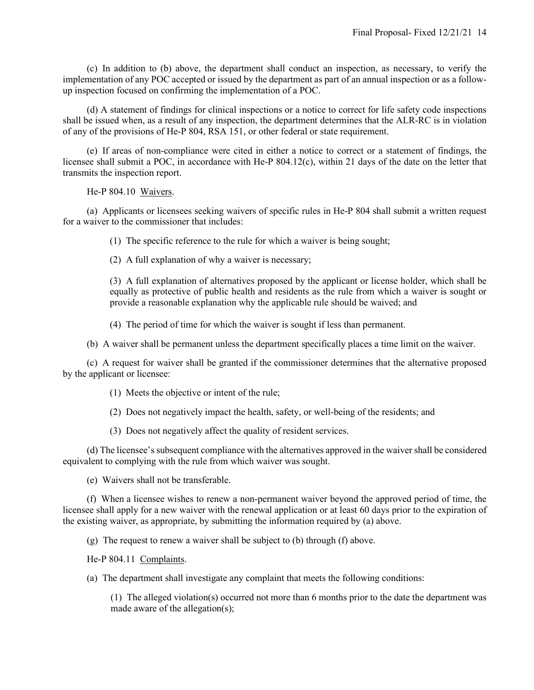(c) In addition to (b) above, the department shall conduct an inspection, as necessary, to verify the implementation of any POC accepted or issued by the department as part of an annual inspection or as a followup inspection focused on confirming the implementation of a POC.

 (d) A statement of findings for clinical inspections or a notice to correct for life safety code inspections shall be issued when, as a result of any inspection, the department determines that the ALR-RC is in violation of any of the provisions of He-P 804, RSA 151, or other federal or state requirement.

 (e) If areas of non-compliance were cited in either a notice to correct or a statement of findings, the licensee shall submit a POC, in accordance with He-P 804.12(c), within 21 days of the date on the letter that transmits the inspection report.

He-P 804.10 Waivers.

 (a) Applicants or licensees seeking waivers of specific rules in He-P 804 shall submit a written request for a waiver to the commissioner that includes:

(1) The specific reference to the rule for which a waiver is being sought;

(2) A full explanation of why a waiver is necessary;

(3) A full explanation of alternatives proposed by the applicant or license holder, which shall be equally as protective of public health and residents as the rule from which a waiver is sought or provide a reasonable explanation why the applicable rule should be waived; and

(4) The period of time for which the waiver is sought if less than permanent.

(b) A waiver shall be permanent unless the department specifically places a time limit on the waiver.

 (c) A request for waiver shall be granted if the commissioner determines that the alternative proposed by the applicant or licensee:

(1) Meets the objective or intent of the rule;

(2) Does not negatively impact the health, safety, or well-being of the residents; and

(3) Does not negatively affect the quality of resident services.

 (d) The licensee's subsequent compliance with the alternatives approved in the waiver shall be considered equivalent to complying with the rule from which waiver was sought.

(e) Waivers shall not be transferable.

 (f) When a licensee wishes to renew a non-permanent waiver beyond the approved period of time, the licensee shall apply for a new waiver with the renewal application or at least 60 days prior to the expiration of the existing waiver, as appropriate, by submitting the information required by (a) above.

(g) The request to renew a waiver shall be subject to (b) through (f) above.

He-P 804.11 Complaints.

(a) The department shall investigate any complaint that meets the following conditions:

(1) The alleged violation(s) occurred not more than 6 months prior to the date the department was made aware of the allegation(s);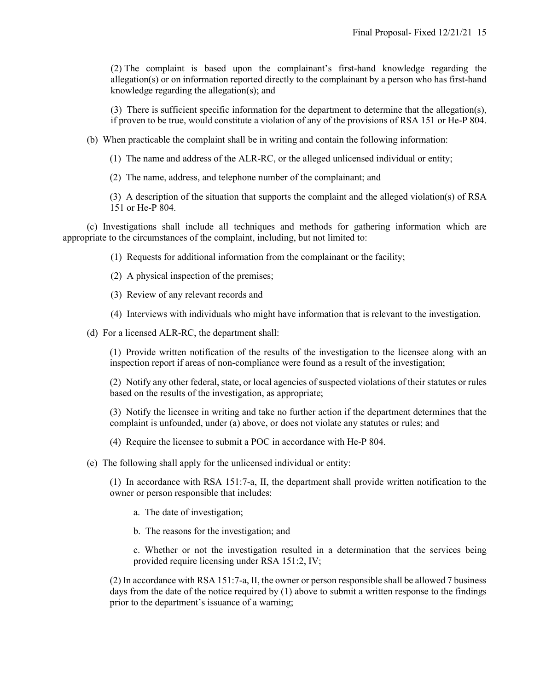(2) The complaint is based upon the complainant's first-hand knowledge regarding the allegation(s) or on information reported directly to the complainant by a person who has first-hand knowledge regarding the allegation(s); and

(3) There is sufficient specific information for the department to determine that the allegation(s), if proven to be true, would constitute a violation of any of the provisions of RSA 151 or He-P 804.

(b) When practicable the complaint shall be in writing and contain the following information:

(1) The name and address of the ALR-RC, or the alleged unlicensed individual or entity;

(2) The name, address, and telephone number of the complainant; and

(3) A description of the situation that supports the complaint and the alleged violation(s) of RSA 151 or He-P 804.

 (c) Investigations shall include all techniques and methods for gathering information which are appropriate to the circumstances of the complaint, including, but not limited to:

- (1) Requests for additional information from the complainant or the facility;
- (2) A physical inspection of the premises;
- (3) Review of any relevant records and
- (4) Interviews with individuals who might have information that is relevant to the investigation.

(d) For a licensed ALR-RC, the department shall:

(1) Provide written notification of the results of the investigation to the licensee along with an inspection report if areas of non-compliance were found as a result of the investigation;

(2) Notify any other federal, state, or local agencies of suspected violations of their statutes or rules based on the results of the investigation, as appropriate;

(3) Notify the licensee in writing and take no further action if the department determines that the complaint is unfounded, under (a) above, or does not violate any statutes or rules; and

- (4) Require the licensee to submit a POC in accordance with He-P 804.
- (e) The following shall apply for the unlicensed individual or entity:

(1) In accordance with RSA 151:7-a, II, the department shall provide written notification to the owner or person responsible that includes:

- a. The date of investigation;
- b. The reasons for the investigation; and

c. Whether or not the investigation resulted in a determination that the services being provided require licensing under RSA 151:2, IV;

(2) In accordance with RSA 151:7-a, II, the owner or person responsible shall be allowed 7 business days from the date of the notice required by (1) above to submit a written response to the findings prior to the department's issuance of a warning;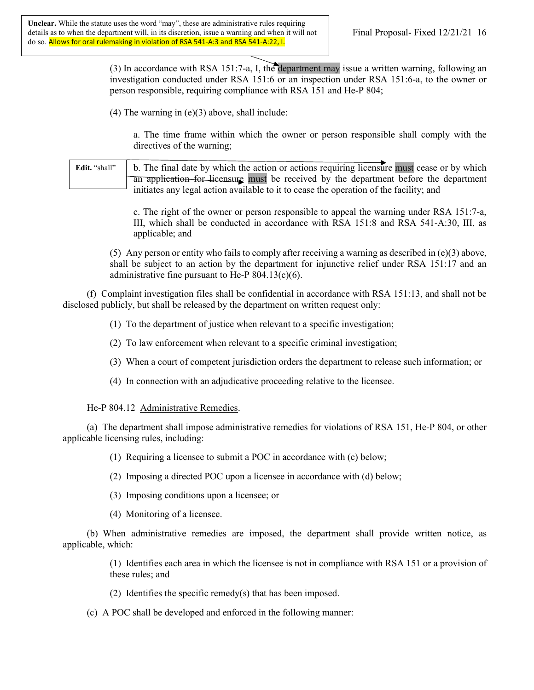(3) In accordance with RSA 151:7-a, I, the department may issue a written warning, following an investigation conducted under RSA 151:6 or an inspection under RSA 151:6-a, to the owner or person responsible, requiring compliance with RSA 151 and He-P 804;

 $(4)$  The warning in  $(e)(3)$  above, shall include:

a. The time frame within which the owner or person responsible shall comply with the directives of the warning;

b. The final date by which the action or actions requiring licensure must cease or by which an application for licensure must be received by the department before the department initiates any legal action available to it to cease the operation of the facility; and **Edit.** "shall"

> c. The right of the owner or person responsible to appeal the warning under RSA 151:7-a, III, which shall be conducted in accordance with RSA 151:8 and RSA 541-A:30, III, as applicable; and

(5) Any person or entity who fails to comply after receiving a warning as described in  $(e)(3)$  above, shall be subject to an action by the department for injunctive relief under RSA 151:17 and an administrative fine pursuant to He-P  $804.13(c)(6)$ .

 (f) Complaint investigation files shall be confidential in accordance with RSA 151:13, and shall not be disclosed publicly, but shall be released by the department on written request only:

(1) To the department of justice when relevant to a specific investigation;

- (2) To law enforcement when relevant to a specific criminal investigation;
- (3) When a court of competent jurisdiction orders the department to release such information; or
- (4) In connection with an adjudicative proceeding relative to the licensee.

He-P 804.12 Administrative Remedies.

 (a) The department shall impose administrative remedies for violations of RSA 151, He-P 804, or other applicable licensing rules, including:

- (1) Requiring a licensee to submit a POC in accordance with (c) below;
- (2) Imposing a directed POC upon a licensee in accordance with (d) below;
- (3) Imposing conditions upon a licensee; or
- (4) Monitoring of a licensee.

 (b) When administrative remedies are imposed, the department shall provide written notice, as applicable, which:

> (1) Identifies each area in which the licensee is not in compliance with RSA 151 or a provision of these rules; and

- (2) Identifies the specific remedy(s) that has been imposed.
- (c) A POC shall be developed and enforced in the following manner: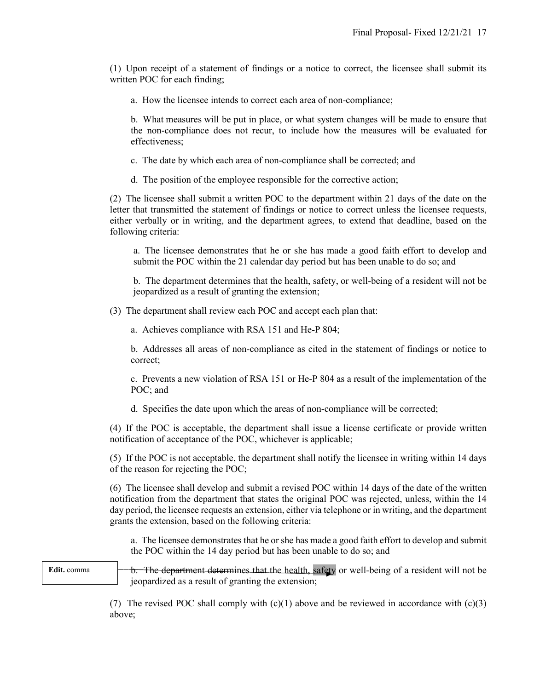(1) Upon receipt of a statement of findings or a notice to correct, the licensee shall submit its written POC for each finding;

a. How the licensee intends to correct each area of non-compliance;

b. What measures will be put in place, or what system changes will be made to ensure that the non-compliance does not recur, to include how the measures will be evaluated for effectiveness;

- c. The date by which each area of non-compliance shall be corrected; and
- d. The position of the employee responsible for the corrective action;

(2) The licensee shall submit a written POC to the department within 21 days of the date on the letter that transmitted the statement of findings or notice to correct unless the licensee requests, either verbally or in writing, and the department agrees, to extend that deadline, based on the following criteria:

a. The licensee demonstrates that he or she has made a good faith effort to develop and submit the POC within the 21 calendar day period but has been unable to do so; and

b. The department determines that the health, safety, or well-being of a resident will not be jeopardized as a result of granting the extension;

(3) The department shall review each POC and accept each plan that:

a. Achieves compliance with RSA 151 and He-P 804;

b. Addresses all areas of non-compliance as cited in the statement of findings or notice to correct;

c. Prevents a new violation of RSA 151 or He-P 804 as a result of the implementation of the POC; and

d. Specifies the date upon which the areas of non-compliance will be corrected;

(4) If the POC is acceptable, the department shall issue a license certificate or provide written notification of acceptance of the POC, whichever is applicable;

(5) If the POC is not acceptable, the department shall notify the licensee in writing within 14 days of the reason for rejecting the POC;

(6) The licensee shall develop and submit a revised POC within 14 days of the date of the written notification from the department that states the original POC was rejected, unless, within the 14 day period, the licensee requests an extension, either via telephone or in writing, and the department grants the extension, based on the following criteria:

a. The licensee demonstrates that he or she has made a good faith effort to develop and submit the POC within the 14 day period but has been unable to do so; and

**Edit.** comma

b. The department determines that the health, safety or well-being of a resident will not be jeopardized as a result of granting the extension;

(7) The revised POC shall comply with  $(c)(1)$  above and be reviewed in accordance with  $(c)(3)$ above;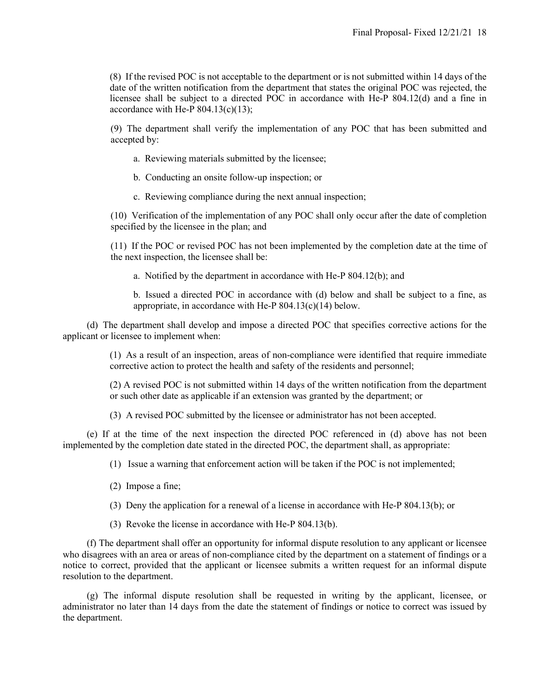(8) If the revised POC is not acceptable to the department or is not submitted within 14 days of the date of the written notification from the department that states the original POC was rejected, the licensee shall be subject to a directed POC in accordance with He-P 804.12(d) and a fine in accordance with He-P  $804.13(c)(13)$ ;

(9) The department shall verify the implementation of any POC that has been submitted and accepted by:

- a. Reviewing materials submitted by the licensee;
- b. Conducting an onsite follow-up inspection; or
- c. Reviewing compliance during the next annual inspection;

(10) Verification of the implementation of any POC shall only occur after the date of completion specified by the licensee in the plan; and

(11) If the POC or revised POC has not been implemented by the completion date at the time of the next inspection, the licensee shall be:

a. Notified by the department in accordance with He-P 804.12(b); and

b. Issued a directed POC in accordance with (d) below and shall be subject to a fine, as appropriate, in accordance with He-P 804.13(c)(14) below.

 (d) The department shall develop and impose a directed POC that specifies corrective actions for the applicant or licensee to implement when:

> (1) As a result of an inspection, areas of non-compliance were identified that require immediate corrective action to protect the health and safety of the residents and personnel;

> (2) A revised POC is not submitted within 14 days of the written notification from the department or such other date as applicable if an extension was granted by the department; or

(3) A revised POC submitted by the licensee or administrator has not been accepted.

 (e) If at the time of the next inspection the directed POC referenced in (d) above has not been implemented by the completion date stated in the directed POC, the department shall, as appropriate:

- (1) Issue a warning that enforcement action will be taken if the POC is not implemented;
- (2) Impose a fine;
- (3) Deny the application for a renewal of a license in accordance with He-P 804.13(b); or
- (3) Revoke the license in accordance with He-P 804.13(b).

 (f) The department shall offer an opportunity for informal dispute resolution to any applicant or licensee who disagrees with an area or areas of non-compliance cited by the department on a statement of findings or a notice to correct, provided that the applicant or licensee submits a written request for an informal dispute resolution to the department.

 (g) The informal dispute resolution shall be requested in writing by the applicant, licensee, or administrator no later than 14 days from the date the statement of findings or notice to correct was issued by the department.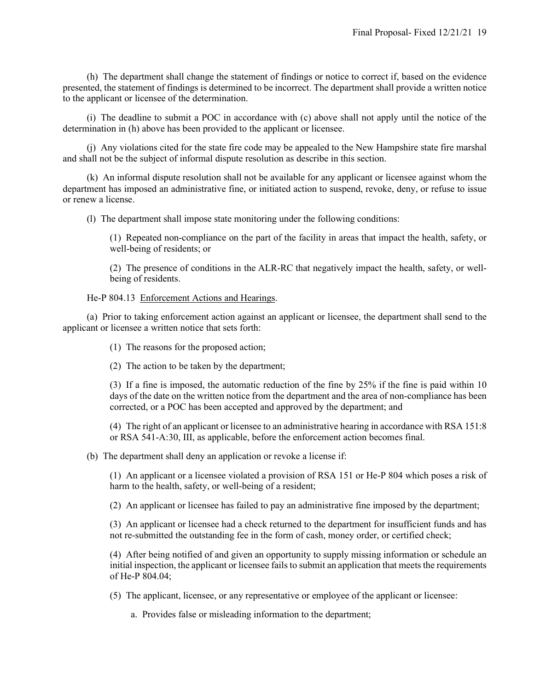(h) The department shall change the statement of findings or notice to correct if, based on the evidence presented, the statement of findings is determined to be incorrect. The department shall provide a written notice to the applicant or licensee of the determination.

 (i) The deadline to submit a POC in accordance with (c) above shall not apply until the notice of the determination in (h) above has been provided to the applicant or licensee.

 (j) Any violations cited for the state fire code may be appealed to the New Hampshire state fire marshal and shall not be the subject of informal dispute resolution as describe in this section.

 (k) An informal dispute resolution shall not be available for any applicant or licensee against whom the department has imposed an administrative fine, or initiated action to suspend, revoke, deny, or refuse to issue or renew a license.

(l) The department shall impose state monitoring under the following conditions:

(1) Repeated non-compliance on the part of the facility in areas that impact the health, safety, or well-being of residents; or

(2) The presence of conditions in the ALR-RC that negatively impact the health, safety, or wellbeing of residents.

#### He-P 804.13 Enforcement Actions and Hearings.

 (a) Prior to taking enforcement action against an applicant or licensee, the department shall send to the applicant or licensee a written notice that sets forth:

(1) The reasons for the proposed action;

(2) The action to be taken by the department;

(3) If a fine is imposed, the automatic reduction of the fine by 25% if the fine is paid within 10 days of the date on the written notice from the department and the area of non-compliance has been corrected, or a POC has been accepted and approved by the department; and

(4) The right of an applicant or licensee to an administrative hearing in accordance with RSA 151:8 or RSA 541-A:30, III, as applicable, before the enforcement action becomes final.

(b) The department shall deny an application or revoke a license if:

(1) An applicant or a licensee violated a provision of RSA 151 or He-P 804 which poses a risk of harm to the health, safety, or well-being of a resident;

(2) An applicant or licensee has failed to pay an administrative fine imposed by the department;

(3) An applicant or licensee had a check returned to the department for insufficient funds and has not re-submitted the outstanding fee in the form of cash, money order, or certified check;

(4) After being notified of and given an opportunity to supply missing information or schedule an initial inspection, the applicant or licensee fails to submit an application that meets the requirements of He-P 804.04;

(5) The applicant, licensee, or any representative or employee of the applicant or licensee:

a. Provides false or misleading information to the department;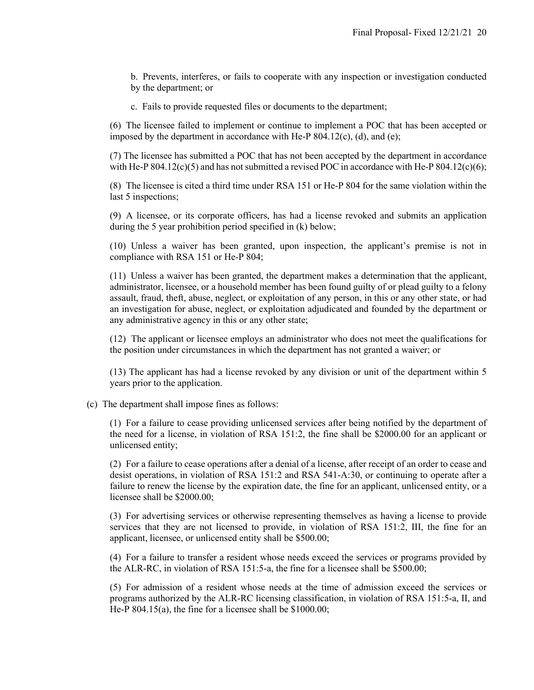b. Prevents, interferes, or fails to cooperate with any inspection or investigation conducted by the department; or

c. Fails to provide requested files or documents to the department;

(6) The licensee failed to implement or continue to implement a POC that has been accepted or imposed by the department in accordance with He-P  $804.12(c)$ , (d), and (e);

(7) The licensee has submitted a POC that has not been accepted by the department in accordance with He-P  $804.12(c)(5)$  and has not submitted a revised POC in accordance with He-P  $804.12(c)(6)$ ;

(8) The licensee is cited a third time under RSA 151 or He-P 804 for the same violation within the last 5 inspections;

(9) A licensee, or its corporate officers, has had a license revoked and submits an application during the 5 year prohibition period specified in (k) below;

(10) Unless a waiver has been granted, upon inspection, the applicant's premise is not in compliance with RSA 151 or He-P 804;

(11) Unless a waiver has been granted, the department makes a determination that the applicant, administrator, licensee, or a household member has been found guilty of or plead guilty to a felony assault, fraud, theft, abuse, neglect, or exploitation of any person, in this or any other state, or had an investigation for abuse, neglect, or exploitation adjudicated and founded by the department or any administrative agency in this or any other state;

(12) The applicant or licensee employs an administrator who does not meet the qualifications for the position under circumstances in which the department has not granted a waiver; or

(13) The applicant has had a license revoked by any division or unit of the department within 5 years prior to the application.

(c) The department shall impose fines as follows:

(1) For a failure to cease providing unlicensed services after being notified by the department of the need for a license, in violation of RSA 151:2, the fine shall be \$2000.00 for an applicant or unlicensed entity;

(2) For a failure to cease operations after a denial of a license, after receipt of an order to cease and desist operations, in violation of RSA 151:2 and RSA 541-A:30, or continuing to operate after a failure to renew the license by the expiration date, the fine for an applicant, unlicensed entity, or a licensee shall be \$2000.00;

(3) For advertising services or otherwise representing themselves as having a license to provide services that they are not licensed to provide, in violation of RSA 151:2, III, the fine for an applicant, licensee, or unlicensed entity shall be \$500.00;

(4) For a failure to transfer a resident whose needs exceed the services or programs provided by the ALR-RC, in violation of RSA 151:5-a, the fine for a licensee shall be \$500.00;

(5) For admission of a resident whose needs at the time of admission exceed the services or programs authorized by the ALR-RC licensing classification, in violation of RSA 151:5-a, II, and He-P 804.15(a), the fine for a licensee shall be \$1000.00;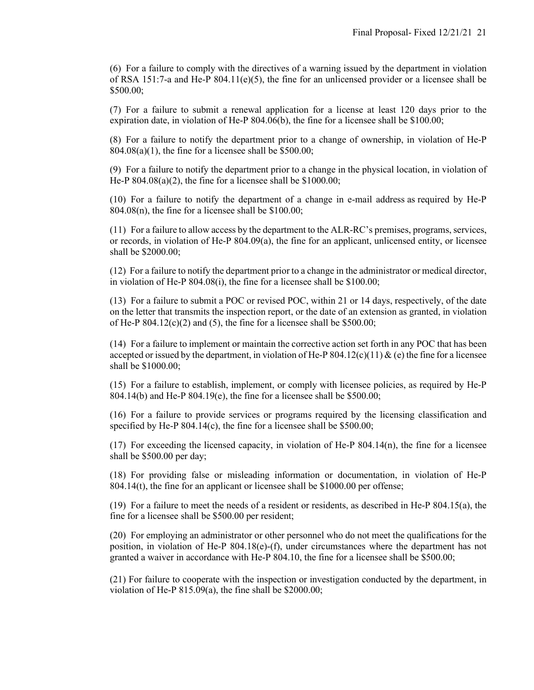(6) For a failure to comply with the directives of a warning issued by the department in violation of RSA 151:7-a and He-P  $804.11(e)(5)$ , the fine for an unlicensed provider or a licensee shall be \$500.00;

(7) For a failure to submit a renewal application for a license at least 120 days prior to the expiration date, in violation of He-P 804.06(b), the fine for a licensee shall be \$100.00;

(8) For a failure to notify the department prior to a change of ownership, in violation of He-P  $804.08(a)(1)$ , the fine for a licensee shall be \$500.00;

(9) For a failure to notify the department prior to a change in the physical location, in violation of He-P  $804.08(a)(2)$ , the fine for a licensee shall be \$1000.00;

(10) For a failure to notify the department of a change in e-mail address as required by He-P  $804.08(n)$ , the fine for a licensee shall be \$100.00;

(11) For a failure to allow access by the department to the ALR-RC's premises, programs, services, or records, in violation of He-P 804.09(a), the fine for an applicant, unlicensed entity, or licensee shall be \$2000.00;

(12) For a failure to notify the department prior to a change in the administrator or medical director, in violation of He-P 804.08(i), the fine for a licensee shall be \$100.00;

(13) For a failure to submit a POC or revised POC, within 21 or 14 days, respectively, of the date on the letter that transmits the inspection report, or the date of an extension as granted, in violation of He-P  $804.12(c)(2)$  and (5), the fine for a licensee shall be \$500.00;

(14) For a failure to implement or maintain the corrective action set forth in any POC that has been accepted or issued by the department, in violation of He-P  $804.12(c)(11) \& (e)$  the fine for a licensee shall be \$1000.00;

(15) For a failure to establish, implement, or comply with licensee policies, as required by He-P 804.14(b) and He-P 804.19(e), the fine for a licensee shall be \$500.00;

(16) For a failure to provide services or programs required by the licensing classification and specified by He-P 804.14(c), the fine for a licensee shall be \$500.00;

(17) For exceeding the licensed capacity, in violation of He-P 804.14(n), the fine for a licensee shall be \$500.00 per day;

(18) For providing false or misleading information or documentation, in violation of He-P 804.14(t), the fine for an applicant or licensee shall be \$1000.00 per offense;

(19) For a failure to meet the needs of a resident or residents, as described in He-P 804.15(a), the fine for a licensee shall be \$500.00 per resident;

(20) For employing an administrator or other personnel who do not meet the qualifications for the position, in violation of He-P 804.18(e)-(f), under circumstances where the department has not granted a waiver in accordance with He-P 804.10, the fine for a licensee shall be \$500.00;

(21) For failure to cooperate with the inspection or investigation conducted by the department, in violation of He-P 815.09(a), the fine shall be \$2000.00;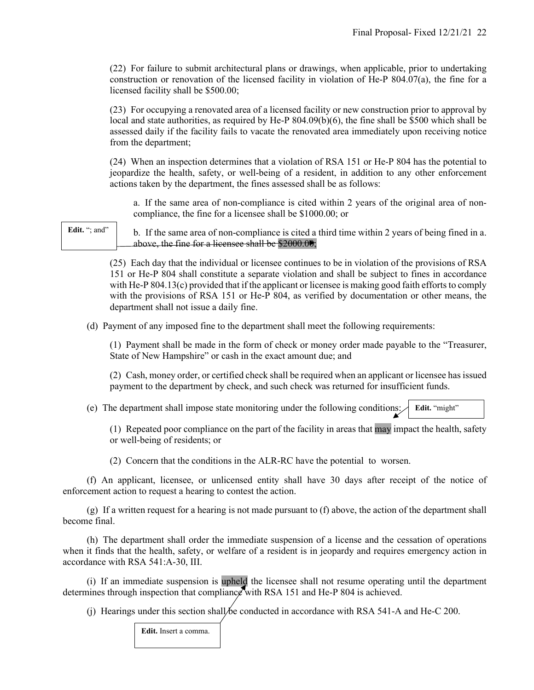(22) For failure to submit architectural plans or drawings, when applicable, prior to undertaking construction or renovation of the licensed facility in violation of He-P  $804.07(a)$ , the fine for a licensed facility shall be \$500.00;

(23) For occupying a renovated area of a licensed facility or new construction prior to approval by local and state authorities, as required by He-P 804.09(b)(6), the fine shall be \$500 which shall be assessed daily if the facility fails to vacate the renovated area immediately upon receiving notice from the department;

(24) When an inspection determines that a violation of RSA 151 or He-P 804 has the potential to jeopardize the health, safety, or well-being of a resident, in addition to any other enforcement actions taken by the department, the fines assessed shall be as follows:

a. If the same area of non-compliance is cited within 2 years of the original area of noncompliance, the fine for a licensee shall be \$1000.00; or

Edit. "; and"

b. If the same area of non-compliance is cited a third time within 2 years of being fined in a. above, the fine for a licensee shall be \$2000.00;

(25) Each day that the individual or licensee continues to be in violation of the provisions of RSA 151 or He-P 804 shall constitute a separate violation and shall be subject to fines in accordance with He-P 804.13(c) provided that if the applicant or licensee is making good faith efforts to comply with the provisions of RSA 151 or He-P 804, as verified by documentation or other means, the department shall not issue a daily fine.

(d) Payment of any imposed fine to the department shall meet the following requirements:

(1) Payment shall be made in the form of check or money order made payable to the "Treasurer, State of New Hampshire" or cash in the exact amount due; and

(2) Cash, money order, or certified check shall be required when an applicant or licensee has issued payment to the department by check, and such check was returned for insufficient funds.

 (e) The department shall impose state monitoring under the following conditions: Edit. "might"

(1) Repeated poor compliance on the part of the facility in areas that may impact the health, safety or well-being of residents; or

(2) Concern that the conditions in the ALR-RC have the potential to worsen.

 (f) An applicant, licensee, or unlicensed entity shall have 30 days after receipt of the notice of enforcement action to request a hearing to contest the action.

 $(g)$  If a written request for a hearing is not made pursuant to  $(f)$  above, the action of the department shall become final.

 (h) The department shall order the immediate suspension of a license and the cessation of operations when it finds that the health, safety, or welfare of a resident is in jeopardy and requires emergency action in accordance with RSA 541:A-30, III.

 (i) If an immediate suspension is upheld the licensee shall not resume operating until the department determines through inspection that compliance with RSA 151 and He-P 804 is achieved.

(i) Hearings under this section shall be conducted in accordance with RSA 541-A and He-C 200.

**Edit.** Insert a comma.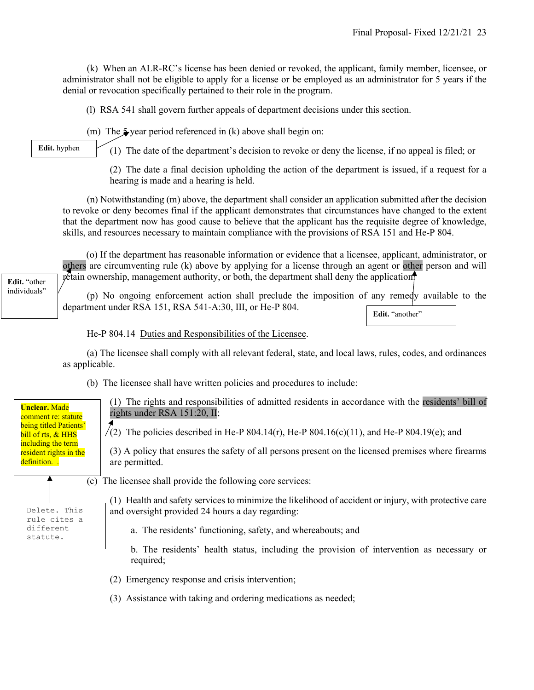(k) When an ALR-RC's license has been denied or revoked, the applicant, family member, licensee, or administrator shall not be eligible to apply for a license or be employed as an administrator for 5 years if the denial or revocation specifically pertained to their role in the program.

(l) RSA 541 shall govern further appeals of department decisions under this section.

(m) The  $\frac{1}{2}$  year period referenced in (k) above shall begin on:

**Edit.** hyphen

(1) The date of the department's decision to revoke or deny the license, if no appeal is filed; or

(2) The date a final decision upholding the action of the department is issued, if a request for a hearing is made and a hearing is held.

 (n) Notwithstanding (m) above, the department shall consider an application submitted after the decision to revoke or deny becomes final if the applicant demonstrates that circumstances have changed to the extent that the department now has good cause to believe that the applicant has the requisite degree of knowledge, skills, and resources necessary to maintain compliance with the provisions of RSA 151 and He-P 804.

(o) If the department has reasonable information or evidence that a licensee, applicant, administrator, or others are circumventing rule (k) above by applying for a license through an agent or other person and will  $\n *r*etain ownership, management authority, or both, the department shall deny the application.$ 

 (p) No ongoing enforcement action shall preclude the imposition of any remedy available to the department under RSA 151, RSA 541-A:30, III, or He-P 804.

Edit. "another"

He-P 804.14 Duties and Responsibilities of the Licensee.

 (a) The licensee shall comply with all relevant federal, state, and local laws, rules, codes, and ordinances as applicable.

(b) The licensee shall have written policies and procedures to include:

(1) The rights and responsibilities of admitted residents in accordance with the residents' bill of rights under RSA 151:20, II; (2) The policies described in He-P 804.14(r), He-P 804.16(c)(11), and He-P 804.19(e); and (3) A policy that ensures the safety of all persons present on the licensed premises where firearms are permitted. (c) The licensee shall provide the following core services: (1) Health and safety services to minimize the likelihood of accident or injury, with protective care and oversight provided 24 hours a day regarding: a. The residents' functioning, safety, and whereabouts; and b. The residents' health status, including the provision of intervention as necessary or required; (2) Emergency response and crisis intervention; (3) Assistance with taking and ordering medications as needed; **Unclear.** Made comment re: statute being titled Patients' bill of rts, & HHS including the term resident rights in the definition. . Delete. This rule cites a different statute.

**Edit.** "other individuals"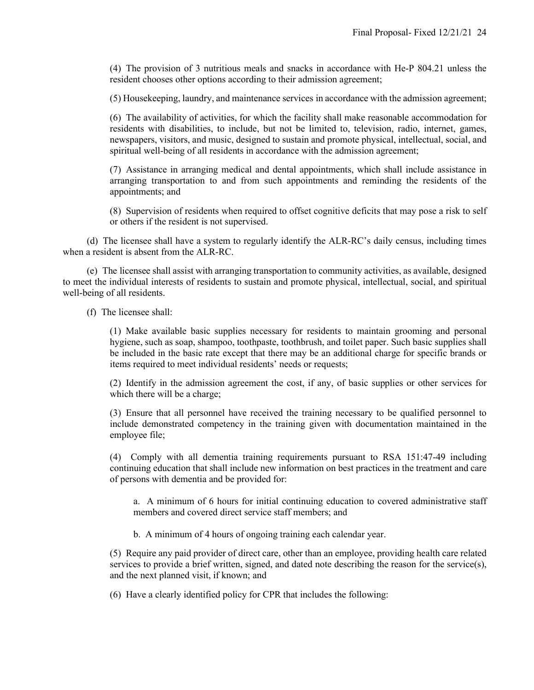(4) The provision of 3 nutritious meals and snacks in accordance with He-P 804.21 unless the resident chooses other options according to their admission agreement;

(5) Housekeeping, laundry, and maintenance services in accordance with the admission agreement;

(6) The availability of activities, for which the facility shall make reasonable accommodation for residents with disabilities, to include, but not be limited to, television, radio, internet, games, newspapers, visitors, and music, designed to sustain and promote physical, intellectual, social, and spiritual well-being of all residents in accordance with the admission agreement;

(7) Assistance in arranging medical and dental appointments, which shall include assistance in arranging transportation to and from such appointments and reminding the residents of the appointments; and

(8) Supervision of residents when required to offset cognitive deficits that may pose a risk to self or others if the resident is not supervised.

 (d) The licensee shall have a system to regularly identify the ALR-RC's daily census, including times when a resident is absent from the ALR-RC.

 (e) The licensee shall assist with arranging transportation to community activities, as available, designed to meet the individual interests of residents to sustain and promote physical, intellectual, social, and spiritual well-being of all residents.

(f) The licensee shall:

(1) Make available basic supplies necessary for residents to maintain grooming and personal hygiene, such as soap, shampoo, toothpaste, toothbrush, and toilet paper. Such basic supplies shall be included in the basic rate except that there may be an additional charge for specific brands or items required to meet individual residents' needs or requests;

(2) Identify in the admission agreement the cost, if any, of basic supplies or other services for which there will be a charge;

(3) Ensure that all personnel have received the training necessary to be qualified personnel to include demonstrated competency in the training given with documentation maintained in the employee file;

(4) Comply with all dementia training requirements pursuant to RSA 151:47-49 including continuing education that shall include new information on best practices in the treatment and care of persons with dementia and be provided for:

a. A minimum of 6 hours for initial continuing education to covered administrative staff members and covered direct service staff members; and

b. A minimum of 4 hours of ongoing training each calendar year.

(5) Require any paid provider of direct care, other than an employee, providing health care related services to provide a brief written, signed, and dated note describing the reason for the service(s), and the next planned visit, if known; and

(6) Have a clearly identified policy for CPR that includes the following: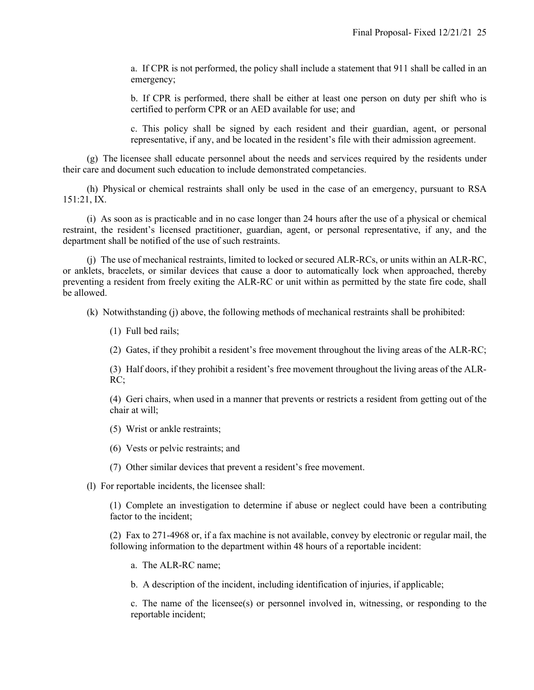a. If CPR is not performed, the policy shall include a statement that 911 shall be called in an emergency;

b. If CPR is performed, there shall be either at least one person on duty per shift who is certified to perform CPR or an AED available for use; and

c. This policy shall be signed by each resident and their guardian, agent, or personal representative, if any, and be located in the resident's file with their admission agreement.

 (g) The licensee shall educate personnel about the needs and services required by the residents under their care and document such education to include demonstrated competancies.

 (h) Physical or chemical restraints shall only be used in the case of an emergency, pursuant to RSA 151:21, IX.

 (i) As soon as is practicable and in no case longer than 24 hours after the use of a physical or chemical restraint, the resident's licensed practitioner, guardian, agent, or personal representative, if any, and the department shall be notified of the use of such restraints.

 (j) The use of mechanical restraints, limited to locked or secured ALR-RCs, or units within an ALR-RC, or anklets, bracelets, or similar devices that cause a door to automatically lock when approached, thereby preventing a resident from freely exiting the ALR-RC or unit within as permitted by the state fire code, shall be allowed.

(k) Notwithstanding (j) above, the following methods of mechanical restraints shall be prohibited:

(1) Full bed rails;

(2) Gates, if they prohibit a resident's free movement throughout the living areas of the ALR-RC;

(3) Half doors, if they prohibit a resident's free movement throughout the living areas of the ALR-RC;

(4) Geri chairs, when used in a manner that prevents or restricts a resident from getting out of the chair at will;

- (5) Wrist or ankle restraints;
- (6) Vests or pelvic restraints; and
- (7) Other similar devices that prevent a resident's free movement.
- (l) For reportable incidents, the licensee shall:

(1) Complete an investigation to determine if abuse or neglect could have been a contributing factor to the incident;

(2) Fax to 271-4968 or, if a fax machine is not available, convey by electronic or regular mail, the following information to the department within 48 hours of a reportable incident:

a. The ALR-RC name;

b. A description of the incident, including identification of injuries, if applicable;

c. The name of the licensee(s) or personnel involved in, witnessing, or responding to the reportable incident;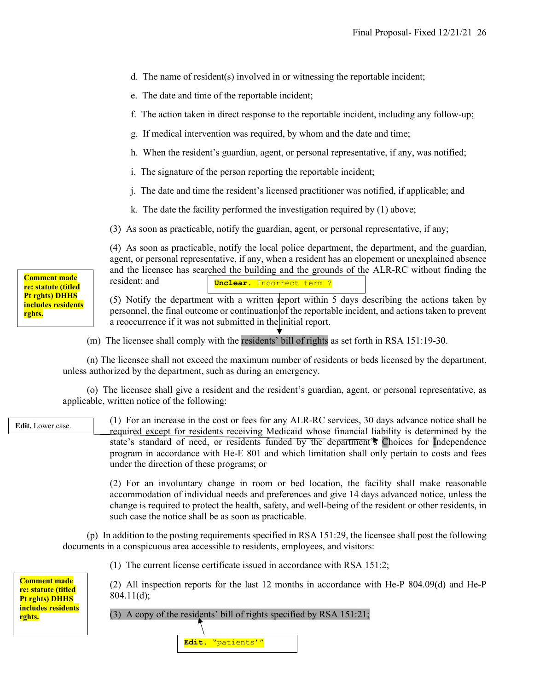- d. The name of resident(s) involved in or witnessing the reportable incident;
- e. The date and time of the reportable incident;
- f. The action taken in direct response to the reportable incident, including any follow-up;
- g. If medical intervention was required, by whom and the date and time;
- h. When the resident's guardian, agent, or personal representative, if any, was notified;
- i. The signature of the person reporting the reportable incident;
- j. The date and time the resident's licensed practitioner was notified, if applicable; and
- k. The date the facility performed the investigation required by (1) above;
- (3) As soon as practicable, notify the guardian, agent, or personal representative, if any;

(4) As soon as practicable, notify the local police department, the department, and the guardian, agent, or personal representative, if any, when a resident has an elopement or unexplained absence and the licensee has searched the building and the grounds of the ALR-RC without finding the resident; and **Unclear.** Incorrect term ?

(5) Notify the department with a written report within 5 days describing the actions taken by personnel, the final outcome or continuation of the reportable incident, and actions taken to prevent a reoccurrence if it was not submitted in the initial report.

(m) The licensee shall comply with the residents' bill of rights as set forth in RSA 151:19-30.

 (n) The licensee shall not exceed the maximum number of residents or beds licensed by the department, unless authorized by the department, such as during an emergency.

 (o) The licensee shall give a resident and the resident's guardian, agent, or personal representative, as applicable, written notice of the following:

(1) For an increase in the cost or fees for any ALR-RC services, 30 days advance notice shall be required except for residents receiving Medicaid whose financial liability is determined by the state's standard of need, or residents funded by the department's Choices for Independence program in accordance with He-E 801 and which limitation shall only pertain to costs and fees under the direction of these programs; or **Edit.** Lower case.

> (2) For an involuntary change in room or bed location, the facility shall make reasonable accommodation of individual needs and preferences and give 14 days advanced notice, unless the change is required to protect the health, safety, and well-being of the resident or other residents, in such case the notice shall be as soon as practicable.

 (p) In addition to the posting requirements specified in RSA 151:29, the licensee shall post the following documents in a conspicuous area accessible to residents, employees, and visitors:

(1) The current license certificate issued in accordance with RSA 151:2;

**Comment made re: statute (titled Pt rghts) DHHS includes residents rghts.**

(2) All inspection reports for the last 12 months in accordance with He-P 804.09(d) and He-P 804.11(d);

## (3) A copy of the residents' bill of rights specified by RSA 151:21;

**Edit.** "patients'"

**Comment made re: statute (titled Pt rghts) DHHS includes residents rghts.**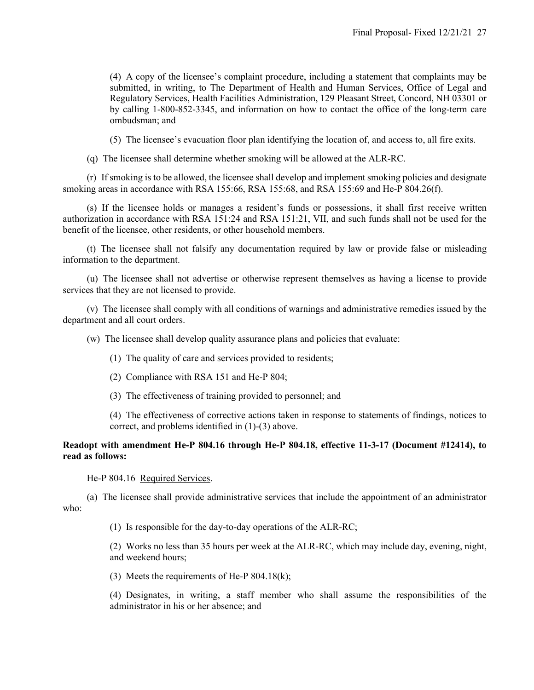(4) A copy of the licensee's complaint procedure, including a statement that complaints may be submitted, in writing, to The Department of Health and Human Services, Office of Legal and Regulatory Services, Health Facilities Administration, 129 Pleasant Street, Concord, NH 03301 or by calling 1-800-852-3345, and information on how to contact the office of the long-term care ombudsman; and

(5) The licensee's evacuation floor plan identifying the location of, and access to, all fire exits.

(q) The licensee shall determine whether smoking will be allowed at the ALR-RC.

 (r) If smoking is to be allowed, the licensee shall develop and implement smoking policies and designate smoking areas in accordance with RSA 155:66, RSA 155:68, and RSA 155:69 and He-P 804.26(f).

 (s) If the licensee holds or manages a resident's funds or possessions, it shall first receive written authorization in accordance with RSA 151:24 and RSA 151:21, VII, and such funds shall not be used for the benefit of the licensee, other residents, or other household members.

 (t) The licensee shall not falsify any documentation required by law or provide false or misleading information to the department.

 (u) The licensee shall not advertise or otherwise represent themselves as having a license to provide services that they are not licensed to provide.

 (v) The licensee shall comply with all conditions of warnings and administrative remedies issued by the department and all court orders.

(w) The licensee shall develop quality assurance plans and policies that evaluate:

(1) The quality of care and services provided to residents;

(2) Compliance with RSA 151 and He-P 804;

(3) The effectiveness of training provided to personnel; and

(4) The effectiveness of corrective actions taken in response to statements of findings, notices to correct, and problems identified in (1)-(3) above.

# **Readopt with amendment He-P 804.16 through He-P 804.18, effective 11-3-17 (Document #12414), to read as follows:**

He-P 804.16 Required Services.

 (a) The licensee shall provide administrative services that include the appointment of an administrator who:

(1) Is responsible for the day-to-day operations of the ALR-RC;

(2) Works no less than 35 hours per week at the ALR-RC, which may include day, evening, night, and weekend hours;

(3) Meets the requirements of He-P 804.18(k);

(4) Designates, in writing, a staff member who shall assume the responsibilities of the administrator in his or her absence; and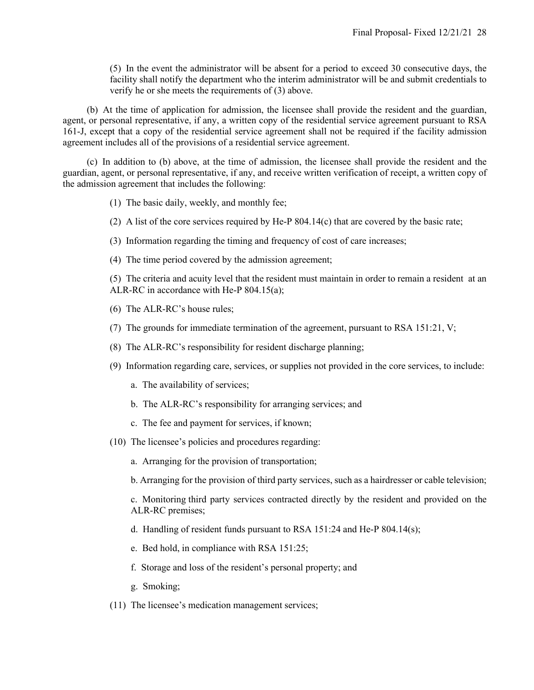(5) In the event the administrator will be absent for a period to exceed 30 consecutive days, the facility shall notify the department who the interim administrator will be and submit credentials to verify he or she meets the requirements of (3) above.

 (b) At the time of application for admission, the licensee shall provide the resident and the guardian, agent, or personal representative, if any, a written copy of the residential service agreement pursuant to RSA 161-J, except that a copy of the residential service agreement shall not be required if the facility admission agreement includes all of the provisions of a residential service agreement.

 (c) In addition to (b) above, at the time of admission, the licensee shall provide the resident and the guardian, agent, or personal representative, if any, and receive written verification of receipt, a written copy of the admission agreement that includes the following:

- (1) The basic daily, weekly, and monthly fee;
- (2) A list of the core services required by He-P 804.14(c) that are covered by the basic rate;
- (3) Information regarding the timing and frequency of cost of care increases;
- (4) The time period covered by the admission agreement;

(5) The criteria and acuity level that the resident must maintain in order to remain a resident at an ALR-RC in accordance with He-P 804.15(a);

- (6) The ALR-RC's house rules;
- (7) The grounds for immediate termination of the agreement, pursuant to RSA 151:21, V;
- (8) The ALR-RC's responsibility for resident discharge planning;
- (9) Information regarding care, services, or supplies not provided in the core services, to include:
	- a. The availability of services;
	- b. The ALR-RC's responsibility for arranging services; and
	- c. The fee and payment for services, if known;
- (10) The licensee's policies and procedures regarding:
	- a. Arranging for the provision of transportation;

b. Arranging for the provision of third party services, such as a hairdresser or cable television;

c. Monitoring third party services contracted directly by the resident and provided on the ALR-RC premises;

- d. Handling of resident funds pursuant to RSA 151:24 and He-P 804.14(s);
- e. Bed hold, in compliance with RSA 151:25;
- f. Storage and loss of the resident's personal property; and
- g. Smoking;
- (11) The licensee's medication management services;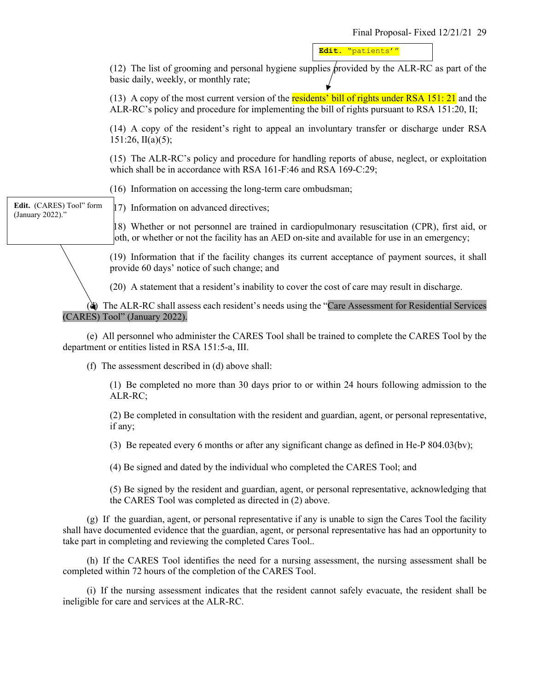**Edit.** "patients'"

(12) The list of grooming and personal hygiene supplies provided by the ALR-RC as part of the basic daily, weekly, or monthly rate;

(13) A copy of the most current version of the residents' bill of rights under RSA 151: 21 and the ALR-RC's policy and procedure for implementing the bill of rights pursuant to RSA 151:20, II;

(14) A copy of the resident's right to appeal an involuntary transfer or discharge under RSA  $151:26$ , II(a)(5);

(15) The ALR-RC's policy and procedure for handling reports of abuse, neglect, or exploitation which shall be in accordance with RSA 161-F:46 and RSA 169-C:29;

(16) Information on accessing the long-term care ombudsman;

(17) Information on advanced directives;

(18) Whether or not personnel are trained in cardiopulmonary resuscitation (CPR), first aid, or both, or whether or not the facility has an AED on-site and available for use in an emergency;

(19) Information that if the facility changes its current acceptance of payment sources, it shall provide 60 days' notice of such change; and

(20) A statement that a resident's inability to cover the cost of care may result in discharge.

 (d) The ALR-RC shall assess each resident's needs using the "Care Assessment for Residential Services (CARES) Tool" (January 2022).

 (e) All personnel who administer the CARES Tool shall be trained to complete the CARES Tool by the department or entities listed in RSA 151:5-a, III.

(f) The assessment described in (d) above shall:

(1) Be completed no more than 30 days prior to or within 24 hours following admission to the ALR-RC;

(2) Be completed in consultation with the resident and guardian, agent, or personal representative, if any;

(3) Be repeated every 6 months or after any significant change as defined in He-P 804.03(bv);

(4) Be signed and dated by the individual who completed the CARES Tool; and

(5) Be signed by the resident and guardian, agent, or personal representative, acknowledging that the CARES Tool was completed as directed in (2) above.

 (g) If the guardian, agent, or personal representative if any is unable to sign the Cares Tool the facility shall have documented evidence that the guardian, agent, or personal representative has had an opportunity to take part in completing and reviewing the completed Cares Tool..

 (h) If the CARES Tool identifies the need for a nursing assessment, the nursing assessment shall be completed within 72 hours of the completion of the CARES Tool.

 (i) If the nursing assessment indicates that the resident cannot safely evacuate, the resident shall be ineligible for care and services at the ALR-RC.

**Edit.** (CARES) Tool" form (January 2022)."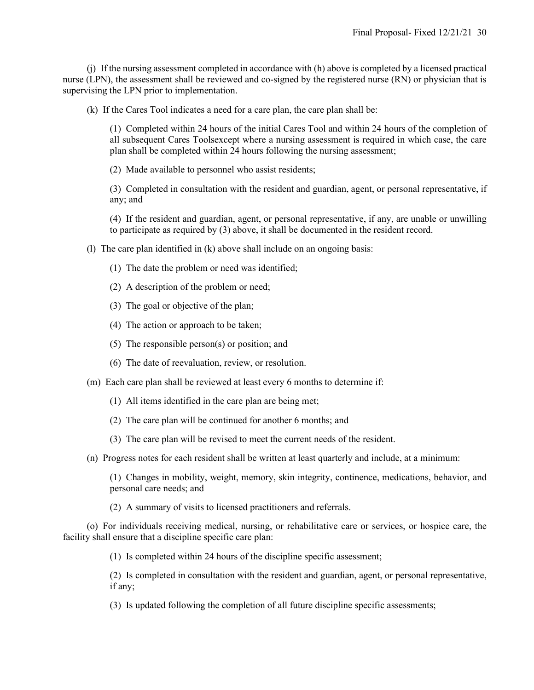(j) If the nursing assessment completed in accordance with (h) above is completed by a licensed practical nurse (LPN), the assessment shall be reviewed and co-signed by the registered nurse (RN) or physician that is supervising the LPN prior to implementation.

(k) If the Cares Tool indicates a need for a care plan, the care plan shall be:

(1) Completed within 24 hours of the initial Cares Tool and within 24 hours of the completion of all subsequent Cares Toolsexcept where a nursing assessment is required in which case, the care plan shall be completed within 24 hours following the nursing assessment;

(2) Made available to personnel who assist residents;

(3) Completed in consultation with the resident and guardian, agent, or personal representative, if any; and

(4) If the resident and guardian, agent, or personal representative, if any, are unable or unwilling to participate as required by (3) above, it shall be documented in the resident record.

(l) The care plan identified in (k) above shall include on an ongoing basis:

(1) The date the problem or need was identified;

- (2) A description of the problem or need;
- (3) The goal or objective of the plan;
- (4) The action or approach to be taken;
- (5) The responsible person(s) or position; and
- (6) The date of reevaluation, review, or resolution.
- (m) Each care plan shall be reviewed at least every 6 months to determine if:
	- (1) All items identified in the care plan are being met;
	- (2) The care plan will be continued for another 6 months; and
	- (3) The care plan will be revised to meet the current needs of the resident.

(n) Progress notes for each resident shall be written at least quarterly and include, at a minimum:

(1) Changes in mobility, weight, memory, skin integrity, continence, medications, behavior, and personal care needs; and

(2) A summary of visits to licensed practitioners and referrals.

 (o) For individuals receiving medical, nursing, or rehabilitative care or services, or hospice care, the facility shall ensure that a discipline specific care plan:

(1) Is completed within 24 hours of the discipline specific assessment;

(2) Is completed in consultation with the resident and guardian, agent, or personal representative, if any;

(3) Is updated following the completion of all future discipline specific assessments;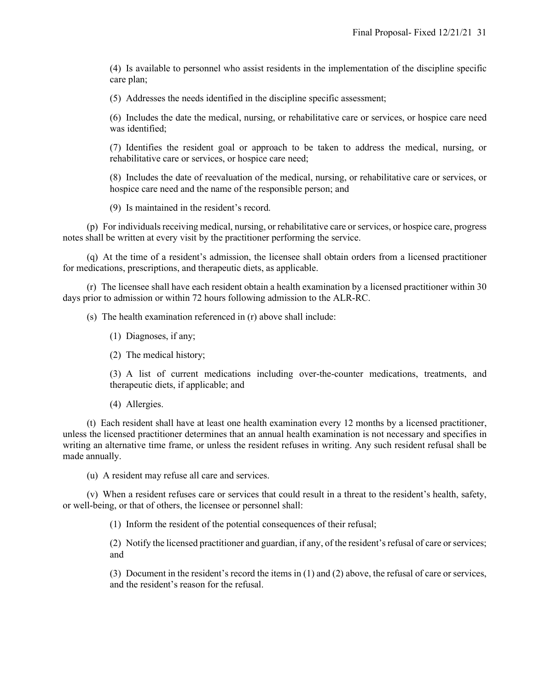(4) Is available to personnel who assist residents in the implementation of the discipline specific care plan;

(5) Addresses the needs identified in the discipline specific assessment;

(6) Includes the date the medical, nursing, or rehabilitative care or services, or hospice care need was identified;

(7) Identifies the resident goal or approach to be taken to address the medical, nursing, or rehabilitative care or services, or hospice care need;

(8) Includes the date of reevaluation of the medical, nursing, or rehabilitative care or services, or hospice care need and the name of the responsible person; and

(9) Is maintained in the resident's record.

 (p) For individuals receiving medical, nursing, or rehabilitative care or services, or hospice care, progress notes shall be written at every visit by the practitioner performing the service.

 (q) At the time of a resident's admission, the licensee shall obtain orders from a licensed practitioner for medications, prescriptions, and therapeutic diets, as applicable.

 (r) The licensee shall have each resident obtain a health examination by a licensed practitioner within 30 days prior to admission or within 72 hours following admission to the ALR-RC.

(s) The health examination referenced in (r) above shall include:

(1) Diagnoses, if any;

(2) The medical history;

(3) A list of current medications including over-the-counter medications, treatments, and therapeutic diets, if applicable; and

(4) Allergies.

 (t) Each resident shall have at least one health examination every 12 months by a licensed practitioner, unless the licensed practitioner determines that an annual health examination is not necessary and specifies in writing an alternative time frame, or unless the resident refuses in writing. Any such resident refusal shall be made annually.

(u) A resident may refuse all care and services.

 (v) When a resident refuses care or services that could result in a threat to the resident's health, safety, or well-being, or that of others, the licensee or personnel shall:

(1) Inform the resident of the potential consequences of their refusal;

(2) Notify the licensed practitioner and guardian, if any, of the resident's refusal of care or services; and

(3) Document in the resident's record the items in (1) and (2) above, the refusal of care or services, and the resident's reason for the refusal.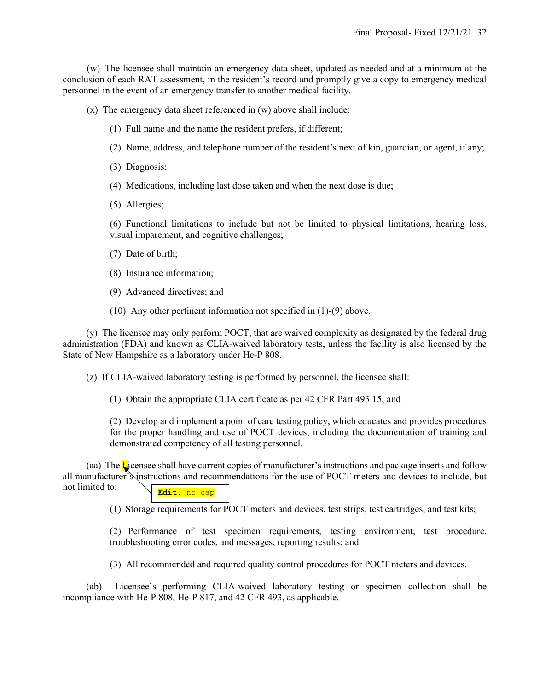(w) The licensee shall maintain an emergency data sheet, updated as needed and at a minimum at the conclusion of each RAT assessment, in the resident's record and promptly give a copy to emergency medical personnel in the event of an emergency transfer to another medical facility.

(x) The emergency data sheet referenced in (w) above shall include:

- (1) Full name and the name the resident prefers, if different;
- (2) Name, address, and telephone number of the resident's next of kin, guardian, or agent, if any;
- (3) Diagnosis;
- (4) Medications, including last dose taken and when the next dose is due;
- (5) Allergies;

(6) Functional limitations to include but not be limited to physical limitations, hearing loss, visual imparement, and cognitive challenges;

- (7) Date of birth;
- (8) Insurance information;
- (9) Advanced directives; and
- (10) Any other pertinent information not specified in (1)-(9) above.

(y) The licensee may only perform POCT, that are waived complexity as designated by the federal drug administration (FDA) and known as CLIA-waived laboratory tests, unless the facility is also licensed by the State of New Hampshire as a laboratory under He-P 808.

(z) If CLIA-waived laboratory testing is performed by personnel, the licensee shall:

(1) Obtain the appropriate CLIA certificate as per 42 CFR Part 493.15; and

(2) Develop and implement a point of care testing policy, which educates and provides procedures for the proper handling and use of POCT devices, including the documentation of training and demonstrated competency of all testing personnel.

(aa) The Licensee shall have current copies of manufacturer's instructions and package inserts and follow all manufacturer's instructions and recommendations for the use of POCT meters and devices to include, but not limited to: **Edit.** no cap

(1) Storage requirements for POCT meters and devices, test strips, test cartridges, and test kits;

(2) Performance of test specimen requirements, testing environment, test procedure, troubleshooting error codes, and messages, reporting results; and

(3) All recommended and required quality control procedures for POCT meters and devices.

(ab) Licensee's performing CLIA-waived laboratory testing or specimen collection shall be incompliance with He-P 808, He-P 817, and 42 CFR 493, as applicable.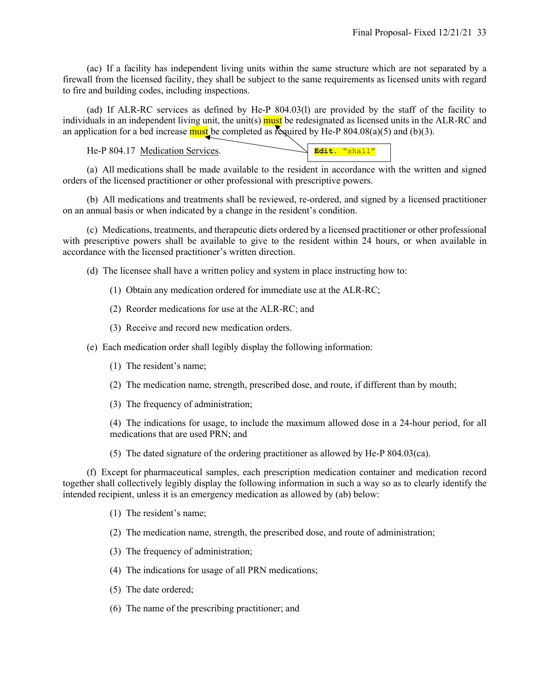(ac) If a facility has independent living units within the same structure which are not separated by a firewall from the licensed facility, they shall be subject to the same requirements as licensed units with regard to fire and building codes, including inspections.

 (ad) If ALR-RC services as defined by He-P 804.03(l) are provided by the staff of the facility to individuals in an independent living unit, the unit(s) must be redesignated as licensed units in the ALR-RC and an application for a bed increase must be completed as required by He-P  $804.08(a)(5)$  and (b)(3).

He-P 804.17 Medication Services.

|--|

 (a) All medications shall be made available to the resident in accordance with the written and signed orders of the licensed practitioner or other professional with prescriptive powers.

 (b) All medications and treatments shall be reviewed, re-ordered, and signed by a licensed practitioner on an annual basis or when indicated by a change in the resident's condition.

 (c) Medications, treatments, and therapeutic diets ordered by a licensed practitioner or other professional with prescriptive powers shall be available to give to the resident within 24 hours, or when available in accordance with the licensed practitioner's written direction.

(d) The licensee shall have a written policy and system in place instructing how to:

- (1) Obtain any medication ordered for immediate use at the ALR-RC;
- (2) Reorder medications for use at the ALR-RC; and
- (3) Receive and record new medication orders.
- (e) Each medication order shall legibly display the following information:
	- (1) The resident's name;
	- (2) The medication name, strength, prescribed dose, and route, if different than by mouth;
	- (3) The frequency of administration;

(4) The indications for usage, to include the maximum allowed dose in a 24-hour period, for all medications that are used PRN; and

(5) The dated signature of the ordering practitioner as allowed by He-P 804.03(ca).

 (f) Except for pharmaceutical samples, each prescription medication container and medication record together shall collectively legibly display the following information in such a way so as to clearly identify the intended recipient, unless it is an emergency medication as allowed by (ab) below:

- (1) The resident's name;
- (2) The medication name, strength, the prescribed dose, and route of administration;
- (3) The frequency of administration;
- (4) The indications for usage of all PRN medications;
- (5) The date ordered;
- (6) The name of the prescribing practitioner; and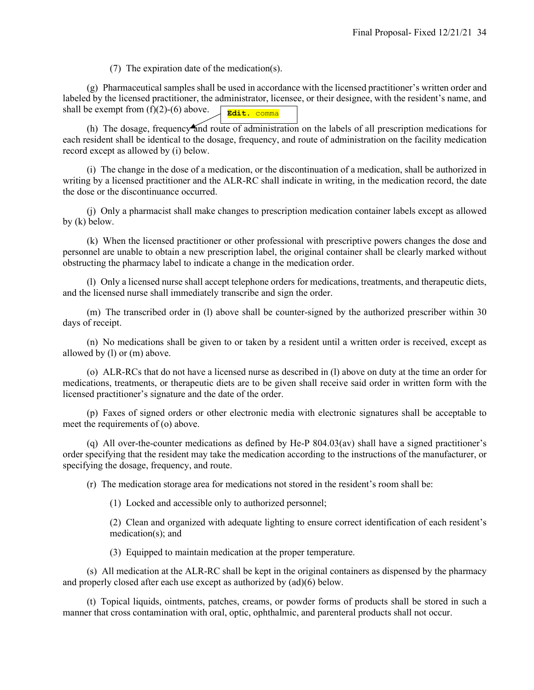(7) The expiration date of the medication(s).

 (g) Pharmaceutical samples shall be used in accordance with the licensed practitioner's written order and labeled by the licensed practitioner, the administrator, licensee, or their designee, with the resident's name, and shall be exempt from  $(f)(2)-(6)$  above. **Edit.** comma

(h) The dosage, frequency and route of administration on the labels of all prescription medications for each resident shall be identical to the dosage, frequency, and route of administration on the facility medication record except as allowed by (i) below.

 (i) The change in the dose of a medication, or the discontinuation of a medication, shall be authorized in writing by a licensed practitioner and the ALR-RC shall indicate in writing, in the medication record, the date the dose or the discontinuance occurred.

 (j) Only a pharmacist shall make changes to prescription medication container labels except as allowed by (k) below.

 (k) When the licensed practitioner or other professional with prescriptive powers changes the dose and personnel are unable to obtain a new prescription label, the original container shall be clearly marked without obstructing the pharmacy label to indicate a change in the medication order.

 (l) Only a licensed nurse shall accept telephone orders for medications, treatments, and therapeutic diets, and the licensed nurse shall immediately transcribe and sign the order.

 (m) The transcribed order in (l) above shall be counter-signed by the authorized prescriber within 30 days of receipt.

 (n) No medications shall be given to or taken by a resident until a written order is received, except as allowed by (l) or (m) above.

 (o) ALR-RCs that do not have a licensed nurse as described in (l) above on duty at the time an order for medications, treatments, or therapeutic diets are to be given shall receive said order in written form with the licensed practitioner's signature and the date of the order.

 (p) Faxes of signed orders or other electronic media with electronic signatures shall be acceptable to meet the requirements of (o) above.

 (q) All over-the-counter medications as defined by He-P 804.03(av) shall have a signed practitioner's order specifying that the resident may take the medication according to the instructions of the manufacturer, or specifying the dosage, frequency, and route.

(r) The medication storage area for medications not stored in the resident's room shall be:

(1) Locked and accessible only to authorized personnel;

(2) Clean and organized with adequate lighting to ensure correct identification of each resident's medication(s); and

(3) Equipped to maintain medication at the proper temperature.

 (s) All medication at the ALR-RC shall be kept in the original containers as dispensed by the pharmacy and properly closed after each use except as authorized by (ad)(6) below.

 (t) Topical liquids, ointments, patches, creams, or powder forms of products shall be stored in such a manner that cross contamination with oral, optic, ophthalmic, and parenteral products shall not occur.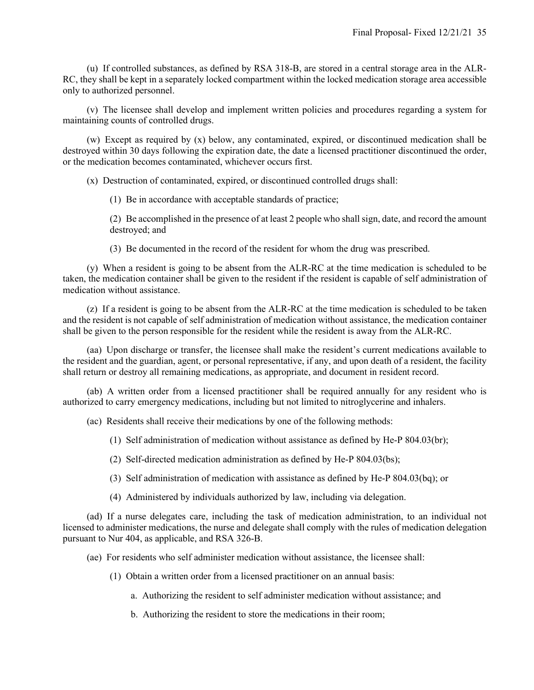(u) If controlled substances, as defined by RSA 318-B, are stored in a central storage area in the ALR-RC, they shall be kept in a separately locked compartment within the locked medication storage area accessible only to authorized personnel.

 (v) The licensee shall develop and implement written policies and procedures regarding a system for maintaining counts of controlled drugs.

 (w) Except as required by (x) below, any contaminated, expired, or discontinued medication shall be destroyed within 30 days following the expiration date, the date a licensed practitioner discontinued the order, or the medication becomes contaminated, whichever occurs first.

(x) Destruction of contaminated, expired, or discontinued controlled drugs shall:

(1) Be in accordance with acceptable standards of practice;

(2) Be accomplished in the presence of at least 2 people who shall sign, date, and record the amount destroyed; and

(3) Be documented in the record of the resident for whom the drug was prescribed.

 (y) When a resident is going to be absent from the ALR-RC at the time medication is scheduled to be taken, the medication container shall be given to the resident if the resident is capable of self administration of medication without assistance.

 (z) If a resident is going to be absent from the ALR-RC at the time medication is scheduled to be taken and the resident is not capable of self administration of medication without assistance, the medication container shall be given to the person responsible for the resident while the resident is away from the ALR-RC.

 (aa) Upon discharge or transfer, the licensee shall make the resident's current medications available to the resident and the guardian, agent, or personal representative, if any, and upon death of a resident, the facility shall return or destroy all remaining medications, as appropriate, and document in resident record.

 (ab) A written order from a licensed practitioner shall be required annually for any resident who is authorized to carry emergency medications, including but not limited to nitroglycerine and inhalers.

(ac) Residents shall receive their medications by one of the following methods:

(1) Self administration of medication without assistance as defined by He-P 804.03(br);

(2) Self-directed medication administration as defined by He-P 804.03(bs);

(3) Self administration of medication with assistance as defined by He-P 804.03(bq); or

(4) Administered by individuals authorized by law, including via delegation.

 (ad) If a nurse delegates care, including the task of medication administration, to an individual not licensed to administer medications, the nurse and delegate shall comply with the rules of medication delegation pursuant to Nur 404, as applicable, and RSA 326-B.

(ae) For residents who self administer medication without assistance, the licensee shall:

(1) Obtain a written order from a licensed practitioner on an annual basis:

a. Authorizing the resident to self administer medication without assistance; and

b. Authorizing the resident to store the medications in their room;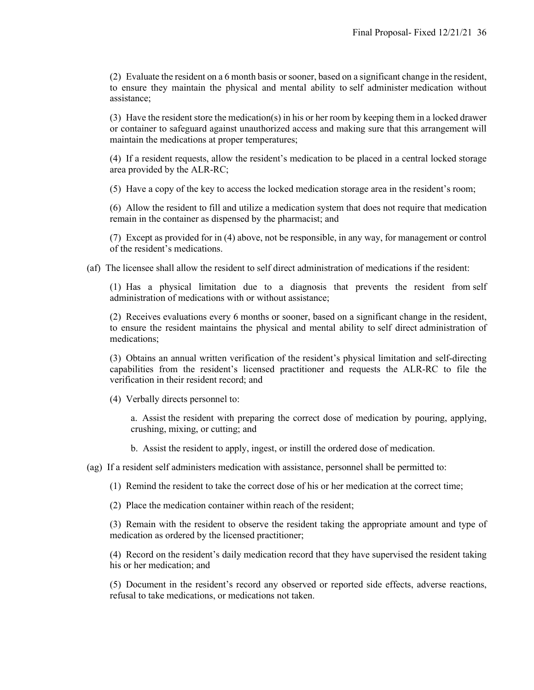(2) Evaluate the resident on a 6 month basis or sooner, based on a significant change in the resident, to ensure they maintain the physical and mental ability to self administer medication without assistance;

(3) Have the resident store the medication(s) in his or her room by keeping them in a locked drawer or container to safeguard against unauthorized access and making sure that this arrangement will maintain the medications at proper temperatures;

(4) If a resident requests, allow the resident's medication to be placed in a central locked storage area provided by the ALR-RC;

(5) Have a copy of the key to access the locked medication storage area in the resident's room;

(6) Allow the resident to fill and utilize a medication system that does not require that medication remain in the container as dispensed by the pharmacist; and

(7) Except as provided for in (4) above, not be responsible, in any way, for management or control of the resident's medications.

(af) The licensee shall allow the resident to self direct administration of medications if the resident:

(1) Has a physical limitation due to a diagnosis that prevents the resident from self administration of medications with or without assistance;

(2) Receives evaluations every 6 months or sooner, based on a significant change in the resident, to ensure the resident maintains the physical and mental ability to self direct administration of medications;

(3) Obtains an annual written verification of the resident's physical limitation and self-directing capabilities from the resident's licensed practitioner and requests the ALR-RC to file the verification in their resident record; and

(4) Verbally directs personnel to:

a. Assist the resident with preparing the correct dose of medication by pouring, applying, crushing, mixing, or cutting; and

b. Assist the resident to apply, ingest, or instill the ordered dose of medication.

(ag) If a resident self administers medication with assistance, personnel shall be permitted to:

(1) Remind the resident to take the correct dose of his or her medication at the correct time;

(2) Place the medication container within reach of the resident;

(3) Remain with the resident to observe the resident taking the appropriate amount and type of medication as ordered by the licensed practitioner;

(4) Record on the resident's daily medication record that they have supervised the resident taking his or her medication; and

(5) Document in the resident's record any observed or reported side effects, adverse reactions, refusal to take medications, or medications not taken.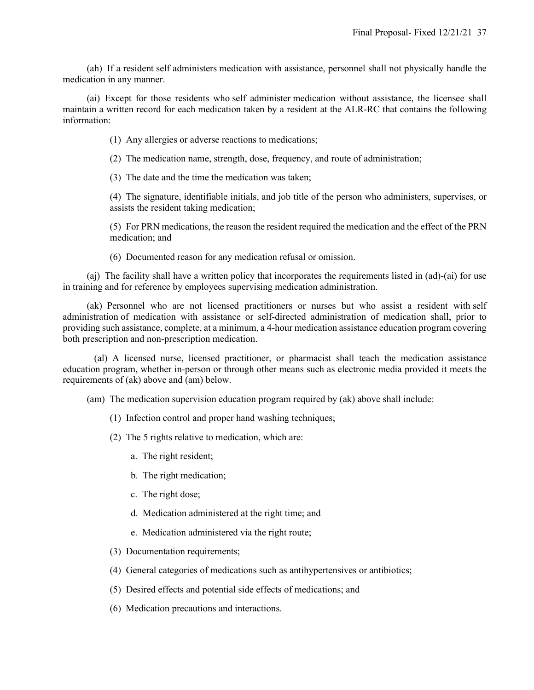(ah) If a resident self administers medication with assistance, personnel shall not physically handle the medication in any manner.

 (ai) Except for those residents who self administer medication without assistance, the licensee shall maintain a written record for each medication taken by a resident at the ALR-RC that contains the following information:

(1) Any allergies or adverse reactions to medications;

(2) The medication name, strength, dose, frequency, and route of administration;

(3) The date and the time the medication was taken;

(4) The signature, identifiable initials, and job title of the person who administers, supervises, or assists the resident taking medication;

(5) For PRN medications, the reason the resident required the medication and the effect of the PRN medication; and

(6) Documented reason for any medication refusal or omission.

 (aj) The facility shall have a written policy that incorporates the requirements listed in (ad)-(ai) for use in training and for reference by employees supervising medication administration.

 (ak) Personnel who are not licensed practitioners or nurses but who assist a resident with self administration of medication with assistance or self-directed administration of medication shall, prior to providing such assistance, complete, at a minimum, a 4-hour medication assistance education program covering both prescription and non-prescription medication.

(al) A licensed nurse, licensed practitioner, or pharmacist shall teach the medication assistance education program, whether in-person or through other means such as electronic media provided it meets the requirements of (ak) above and (am) below.

(am) The medication supervision education program required by (ak) above shall include:

- (1) Infection control and proper hand washing techniques;
- (2) The 5 rights relative to medication, which are:
	- a. The right resident;
	- b. The right medication;
	- c. The right dose;
	- d. Medication administered at the right time; and
	- e. Medication administered via the right route;
- (3) Documentation requirements;
- (4) General categories of medications such as antihypertensives or antibiotics;
- (5) Desired effects and potential side effects of medications; and
- (6) Medication precautions and interactions.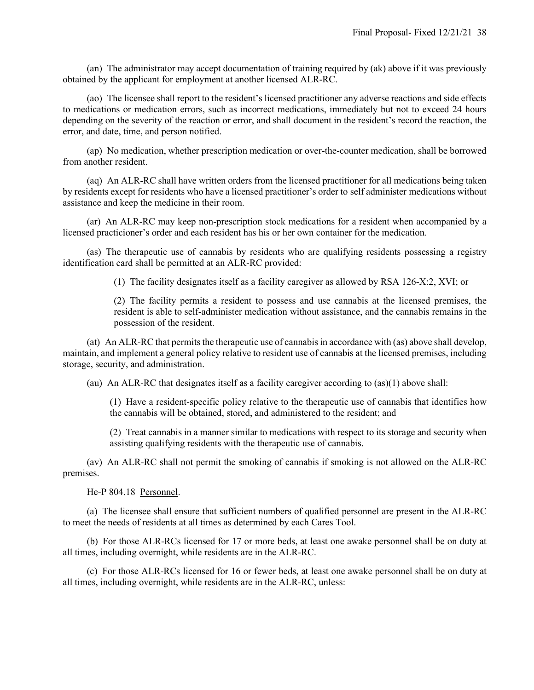(an) The administrator may accept documentation of training required by (ak) above if it was previously obtained by the applicant for employment at another licensed ALR-RC.

 (ao) The licensee shall report to the resident's licensed practitioner any adverse reactions and side effects to medications or medication errors, such as incorrect medications, immediately but not to exceed 24 hours depending on the severity of the reaction or error, and shall document in the resident's record the reaction, the error, and date, time, and person notified.

 (ap) No medication, whether prescription medication or over-the-counter medication, shall be borrowed from another resident.

 (aq) An ALR-RC shall have written orders from the licensed practitioner for all medications being taken by residents except for residents who have a licensed practitioner's order to self administer medications without assistance and keep the medicine in their room.

 (ar) An ALR-RC may keep non-prescription stock medications for a resident when accompanied by a licensed practicioner's order and each resident has his or her own container for the medication.

 (as) The therapeutic use of cannabis by residents who are qualifying residents possessing a registry identification card shall be permitted at an ALR-RC provided:

(1) The facility designates itself as a facility caregiver as allowed by RSA 126-X:2, XVI; or

(2) The facility permits a resident to possess and use cannabis at the licensed premises, the resident is able to self-administer medication without assistance, and the cannabis remains in the possession of the resident.

 (at) An ALR-RC that permits the therapeutic use of cannabis in accordance with (as) above shall develop, maintain, and implement a general policy relative to resident use of cannabis at the licensed premises, including storage, security, and administration.

(au) An ALR-RC that designates itself as a facility caregiver according to (as)(1) above shall:

(1) Have a resident-specific policy relative to the therapeutic use of cannabis that identifies how the cannabis will be obtained, stored, and administered to the resident; and

(2) Treat cannabis in a manner similar to medications with respect to its storage and security when assisting qualifying residents with the therapeutic use of cannabis.

 (av) An ALR-RC shall not permit the smoking of cannabis if smoking is not allowed on the ALR-RC premises.

He-P 804.18 Personnel.

 (a) The licensee shall ensure that sufficient numbers of qualified personnel are present in the ALR-RC to meet the needs of residents at all times as determined by each Cares Tool.

 (b) For those ALR-RCs licensed for 17 or more beds, at least one awake personnel shall be on duty at all times, including overnight, while residents are in the ALR-RC.

 (c) For those ALR-RCs licensed for 16 or fewer beds, at least one awake personnel shall be on duty at all times, including overnight, while residents are in the ALR-RC, unless: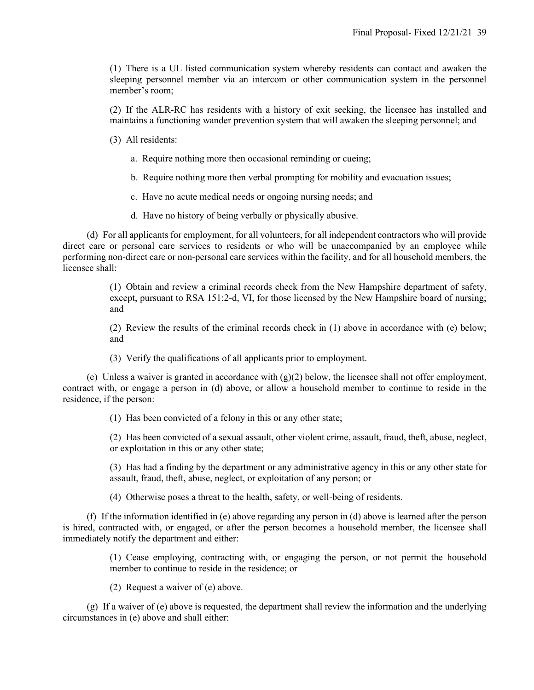(1) There is a UL listed communication system whereby residents can contact and awaken the sleeping personnel member via an intercom or other communication system in the personnel member's room;

(2) If the ALR-RC has residents with a history of exit seeking, the licensee has installed and maintains a functioning wander prevention system that will awaken the sleeping personnel; and

(3) All residents:

a. Require nothing more then occasional reminding or cueing;

b. Require nothing more then verbal prompting for mobility and evacuation issues;

c. Have no acute medical needs or ongoing nursing needs; and

d. Have no history of being verbally or physically abusive.

 (d) For all applicants for employment, for all volunteers, for all independent contractors who will provide direct care or personal care services to residents or who will be unaccompanied by an employee while performing non-direct care or non-personal care services within the facility, and for all household members, the licensee shall:

> (1) Obtain and review a criminal records check from the New Hampshire department of safety, except, pursuant to RSA 151:2-d, VI, for those licensed by the New Hampshire board of nursing; and

> (2) Review the results of the criminal records check in (1) above in accordance with (e) below; and

(3) Verify the qualifications of all applicants prior to employment.

(e) Unless a waiver is granted in accordance with  $(g)(2)$  below, the licensee shall not offer employment, contract with, or engage a person in (d) above, or allow a household member to continue to reside in the residence, if the person:

(1) Has been convicted of a felony in this or any other state;

(2) Has been convicted of a sexual assault, other violent crime, assault, fraud, theft, abuse, neglect, or exploitation in this or any other state;

(3) Has had a finding by the department or any administrative agency in this or any other state for assault, fraud, theft, abuse, neglect, or exploitation of any person; or

(4) Otherwise poses a threat to the health, safety, or well-being of residents.

 (f) If the information identified in (e) above regarding any person in (d) above is learned after the person is hired, contracted with, or engaged, or after the person becomes a household member, the licensee shall immediately notify the department and either:

> (1) Cease employing, contracting with, or engaging the person, or not permit the household member to continue to reside in the residence; or

(2) Request a waiver of (e) above.

 (g) If a waiver of (e) above is requested, the department shall review the information and the underlying circumstances in (e) above and shall either: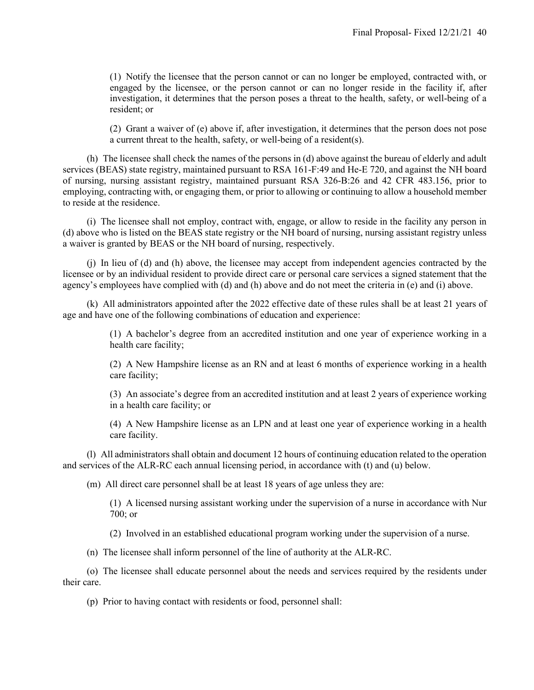(1) Notify the licensee that the person cannot or can no longer be employed, contracted with, or engaged by the licensee, or the person cannot or can no longer reside in the facility if, after investigation, it determines that the person poses a threat to the health, safety, or well-being of a resident; or

(2) Grant a waiver of (e) above if, after investigation, it determines that the person does not pose a current threat to the health, safety, or well-being of a resident(s).

 (h) The licensee shall check the names of the persons in (d) above against the bureau of elderly and adult services (BEAS) state registry, maintained pursuant to RSA 161-F:49 and He-E 720, and against the NH board of nursing, nursing assistant registry, maintained pursuant RSA 326-B:26 and 42 CFR 483.156, prior to employing, contracting with, or engaging them, or prior to allowing or continuing to allow a household member to reside at the residence.

 (i) The licensee shall not employ, contract with, engage, or allow to reside in the facility any person in (d) above who is listed on the BEAS state registry or the NH board of nursing, nursing assistant registry unless a waiver is granted by BEAS or the NH board of nursing, respectively.

 (j) In lieu of (d) and (h) above, the licensee may accept from independent agencies contracted by the licensee or by an individual resident to provide direct care or personal care services a signed statement that the agency's employees have complied with (d) and (h) above and do not meet the criteria in (e) and (i) above.

 (k) All administrators appointed after the 2022 effective date of these rules shall be at least 21 years of age and have one of the following combinations of education and experience:

> (1) A bachelor's degree from an accredited institution and one year of experience working in a health care facility;

> (2) A New Hampshire license as an RN and at least 6 months of experience working in a health care facility;

> (3) An associate's degree from an accredited institution and at least 2 years of experience working in a health care facility; or

> (4) A New Hampshire license as an LPN and at least one year of experience working in a health care facility.

 (l) All administrators shall obtain and document 12 hours of continuing education related to the operation and services of the ALR-RC each annual licensing period, in accordance with (t) and (u) below.

(m) All direct care personnel shall be at least 18 years of age unless they are:

(1) A licensed nursing assistant working under the supervision of a nurse in accordance with Nur 700; or

(2) Involved in an established educational program working under the supervision of a nurse.

(n) The licensee shall inform personnel of the line of authority at the ALR-RC.

 (o) The licensee shall educate personnel about the needs and services required by the residents under their care.

(p) Prior to having contact with residents or food, personnel shall: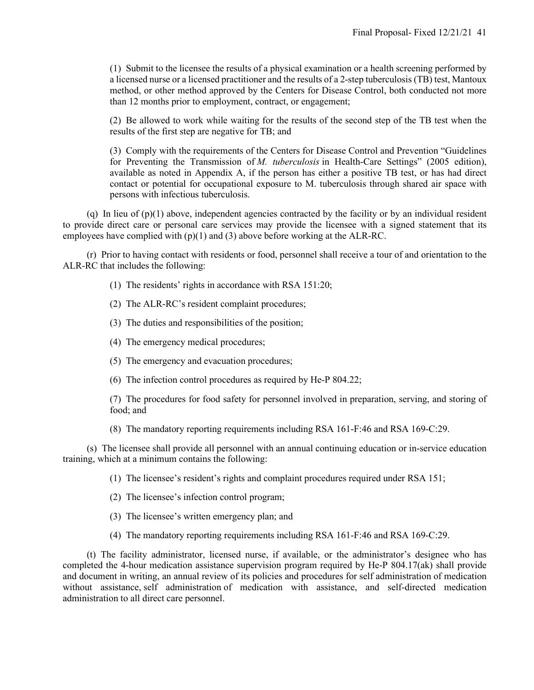(1) Submit to the licensee the results of a physical examination or a health screening performed by a licensed nurse or a licensed practitioner and the results of a 2-step tuberculosis (TB) test, Mantoux method, or other method approved by the Centers for Disease Control, both conducted not more than 12 months prior to employment, contract, or engagement;

(2) Be allowed to work while waiting for the results of the second step of the TB test when the results of the first step are negative for TB; and

(3) Comply with the requirements of the Centers for Disease Control and Prevention "Guidelines for Preventing the Transmission of *M. tuberculosis* in Health-Care Settings" (2005 edition), available as noted in Appendix A, if the person has either a positive TB test, or has had direct contact or potential for occupational exposure to M. tuberculosis through shared air space with persons with infectious tuberculosis.

(q) In lieu of  $(p)(1)$  above, independent agencies contracted by the facility or by an individual resident to provide direct care or personal care services may provide the licensee with a signed statement that its employees have complied with (p)(1) and (3) above before working at the ALR-RC.

 (r) Prior to having contact with residents or food, personnel shall receive a tour of and orientation to the ALR-RC that includes the following:

- (1) The residents' rights in accordance with RSA 151:20;
- (2) The ALR-RC's resident complaint procedures;
- (3) The duties and responsibilities of the position;
- (4) The emergency medical procedures;
- (5) The emergency and evacuation procedures;
- (6) The infection control procedures as required by He-P 804.22;

(7) The procedures for food safety for personnel involved in preparation, serving, and storing of food; and

(8) The mandatory reporting requirements including RSA 161-F:46 and RSA 169-C:29.

 (s) The licensee shall provide all personnel with an annual continuing education or in-service education training, which at a minimum contains the following:

(1) The licensee's resident's rights and complaint procedures required under RSA 151;

- (2) The licensee's infection control program;
- (3) The licensee's written emergency plan; and
- (4) The mandatory reporting requirements including RSA 161-F:46 and RSA 169-C:29.

 (t) The facility administrator, licensed nurse, if available, or the administrator's designee who has completed the 4-hour medication assistance supervision program required by He-P 804.17(ak) shall provide and document in writing, an annual review of its policies and procedures for self administration of medication without assistance, self administration of medication with assistance, and self-directed medication administration to all direct care personnel.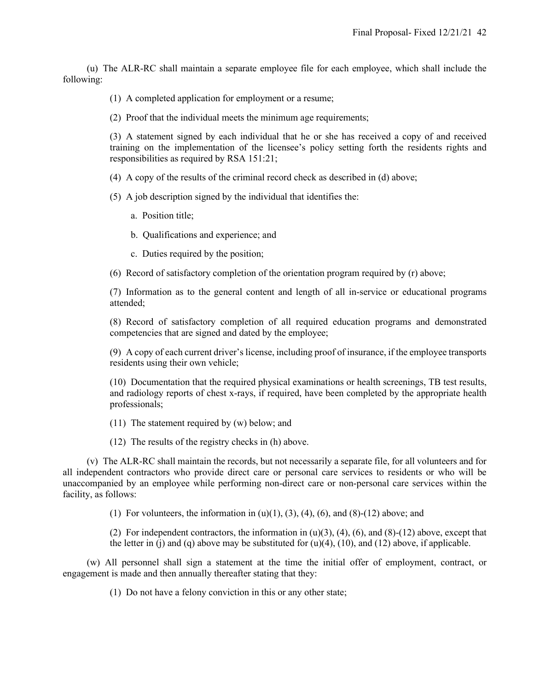(u) The ALR-RC shall maintain a separate employee file for each employee, which shall include the following:

- (1) A completed application for employment or a resume;
- (2) Proof that the individual meets the minimum age requirements;

(3) A statement signed by each individual that he or she has received a copy of and received training on the implementation of the licensee's policy setting forth the residents rights and responsibilities as required by RSA 151:21;

- (4) A copy of the results of the criminal record check as described in (d) above;
- (5) A job description signed by the individual that identifies the:
	- a. Position title;
	- b. Qualifications and experience; and
	- c. Duties required by the position;
- (6) Record of satisfactory completion of the orientation program required by (r) above;

(7) Information as to the general content and length of all in-service or educational programs attended;

(8) Record of satisfactory completion of all required education programs and demonstrated competencies that are signed and dated by the employee;

(9) A copy of each current driver's license, including proof of insurance, if the employee transports residents using their own vehicle;

(10) Documentation that the required physical examinations or health screenings, TB test results, and radiology reports of chest x-rays, if required, have been completed by the appropriate health professionals;

- (11) The statement required by (w) below; and
- (12) The results of the registry checks in (h) above.

 (v) The ALR-RC shall maintain the records, but not necessarily a separate file, for all volunteers and for all independent contractors who provide direct care or personal care services to residents or who will be unaccompanied by an employee while performing non-direct care or non-personal care services within the facility, as follows:

(1) For volunteers, the information in  $(u)(1)$ ,  $(3)$ ,  $(4)$ ,  $(6)$ , and  $(8)-(12)$  above; and

(2) For independent contractors, the information in  $(u)(3)$ ,  $(4)$ ,  $(6)$ , and  $(8)-(12)$  above, except that the letter in (j) and (q) above may be substituted for  $(u)(4)$ ,  $(10)$ , and  $(12)$  above, if applicable.

 (w) All personnel shall sign a statement at the time the initial offer of employment, contract, or engagement is made and then annually thereafter stating that they:

(1) Do not have a felony conviction in this or any other state;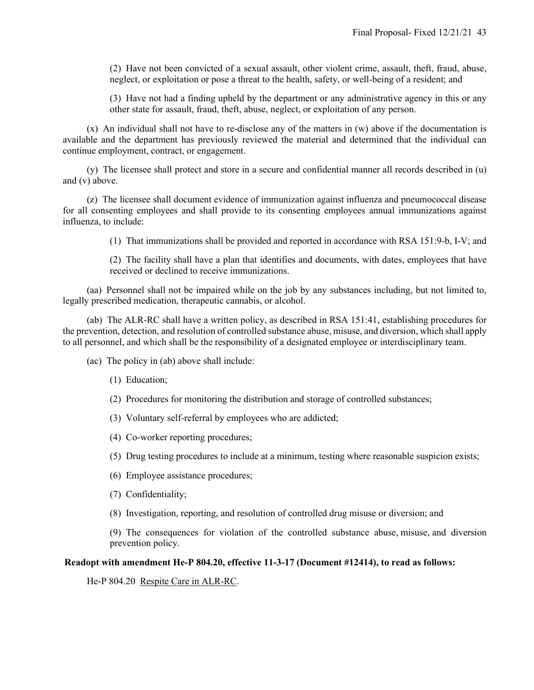(2) Have not been convicted of a sexual assault, other violent crime, assault, theft, fraud, abuse, neglect, or exploitation or pose a threat to the health, safety, or well-being of a resident; and

(3) Have not had a finding upheld by the department or any administrative agency in this or any other state for assault, fraud, theft, abuse, neglect, or exploitation of any person.

 (x) An individual shall not have to re-disclose any of the matters in (w) above if the documentation is available and the department has previously reviewed the material and determined that the individual can continue employment, contract, or engagement.

 (y) The licensee shall protect and store in a secure and confidential manner all records described in (u) and (v) above.

 (z) The licensee shall document evidence of immunization against influenza and pneumococcal disease for all consenting employees and shall provide to its consenting employees annual immunizations against influenza, to include:

(1) That immunizations shall be provided and reported in accordance with RSA 151:9-b, I-V; and

(2) The facility shall have a plan that identifies and documents, with dates, employees that have received or declined to receive immunizations.

 (aa) Personnel shall not be impaired while on the job by any substances including, but not limited to, legally prescribed medication, therapeutic cannabis, or alcohol.

 (ab) The ALR-RC shall have a written policy, as described in RSA 151:41, establishing procedures for the prevention, detection, and resolution of controlled substance abuse, misuse, and diversion, which shall apply to all personnel, and which shall be the responsibility of a designated employee or interdisciplinary team.

(ac) The policy in (ab) above shall include:

- (1) Education;
- (2) Procedures for monitoring the distribution and storage of controlled substances;
- (3) Voluntary self-referral by employees who are addicted;
- (4) Co-worker reporting procedures;
- (5) Drug testing procedures to include at a minimum, testing where reasonable suspicion exists;
- (6) Employee assistance procedures;
- (7) Confidentiality;
- (8) Investigation, reporting, and resolution of controlled drug misuse or diversion; and

(9) The consequences for violation of the controlled substance abuse, misuse, and diversion prevention policy.

#### **Readopt with amendment He-P 804.20, effective 11-3-17 (Document #12414), to read as follows:**

He-P 804.20 Respite Care in ALR-RC.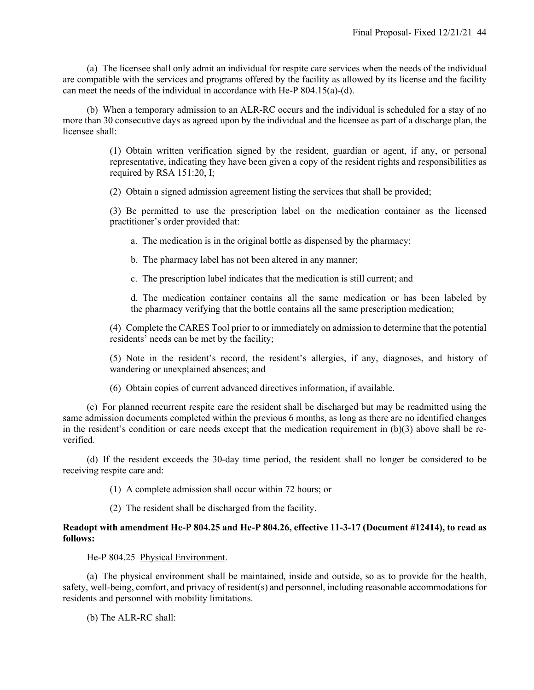(a) The licensee shall only admit an individual for respite care services when the needs of the individual are compatible with the services and programs offered by the facility as allowed by its license and the facility can meet the needs of the individual in accordance with He-P 804.15(a)-(d).

 (b) When a temporary admission to an ALR-RC occurs and the individual is scheduled for a stay of no more than 30 consecutive days as agreed upon by the individual and the licensee as part of a discharge plan, the licensee shall:

> (1) Obtain written verification signed by the resident, guardian or agent, if any, or personal representative, indicating they have been given a copy of the resident rights and responsibilities as required by RSA 151:20, I;

(2) Obtain a signed admission agreement listing the services that shall be provided;

(3) Be permitted to use the prescription label on the medication container as the licensed practitioner's order provided that:

a. The medication is in the original bottle as dispensed by the pharmacy;

b. The pharmacy label has not been altered in any manner;

c. The prescription label indicates that the medication is still current; and

d. The medication container contains all the same medication or has been labeled by the pharmacy verifying that the bottle contains all the same prescription medication;

(4) Complete the CARES Tool prior to or immediately on admission to determine that the potential residents' needs can be met by the facility;

(5) Note in the resident's record, the resident's allergies, if any, diagnoses, and history of wandering or unexplained absences; and

(6) Obtain copies of current advanced directives information, if available.

 (c) For planned recurrent respite care the resident shall be discharged but may be readmitted using the same admission documents completed within the previous 6 months, as long as there are no identified changes in the resident's condition or care needs except that the medication requirement in  $(b)(3)$  above shall be reverified.

 (d) If the resident exceeds the 30-day time period, the resident shall no longer be considered to be receiving respite care and:

(1) A complete admission shall occur within 72 hours; or

(2) The resident shall be discharged from the facility.

#### **Readopt with amendment He-P 804.25 and He-P 804.26, effective 11-3-17 (Document #12414), to read as follows:**

He-P 804.25 Physical Environment.

 (a) The physical environment shall be maintained, inside and outside, so as to provide for the health, safety, well-being, comfort, and privacy of resident(s) and personnel, including reasonable accommodations for residents and personnel with mobility limitations.

(b) The ALR-RC shall: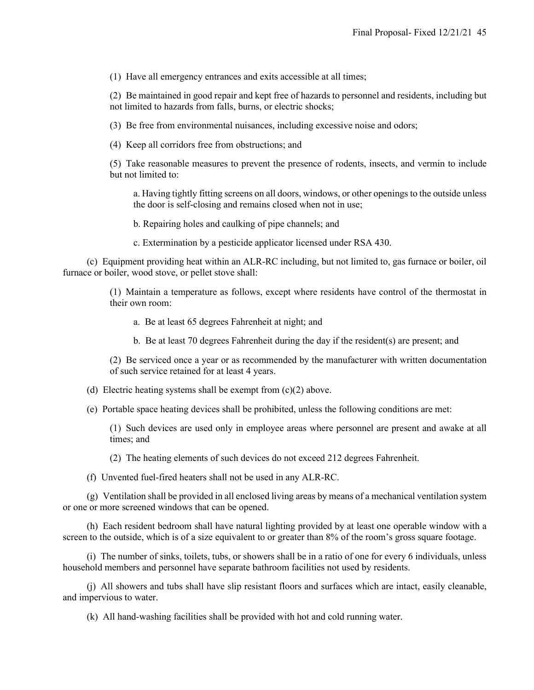(1) Have all emergency entrances and exits accessible at all times;

(2) Be maintained in good repair and kept free of hazards to personnel and residents, including but not limited to hazards from falls, burns, or electric shocks;

(3) Be free from environmental nuisances, including excessive noise and odors;

(4) Keep all corridors free from obstructions; and

(5) Take reasonable measures to prevent the presence of rodents, insects, and vermin to include but not limited to:

a. Having tightly fitting screens on all doors, windows, or other openings to the outside unless the door is self-closing and remains closed when not in use;

b. Repairing holes and caulking of pipe channels; and

c. Extermination by a pesticide applicator licensed under RSA 430.

 (c) Equipment providing heat within an ALR-RC including, but not limited to, gas furnace or boiler, oil furnace or boiler, wood stove, or pellet stove shall:

> (1) Maintain a temperature as follows, except where residents have control of the thermostat in their own room:

a. Be at least 65 degrees Fahrenheit at night; and

b. Be at least 70 degrees Fahrenheit during the day if the resident(s) are present; and

(2) Be serviced once a year or as recommended by the manufacturer with written documentation of such service retained for at least 4 years.

(d) Electric heating systems shall be exempt from  $(c)(2)$  above.

(e) Portable space heating devices shall be prohibited, unless the following conditions are met:

(1) Such devices are used only in employee areas where personnel are present and awake at all times; and

(2) The heating elements of such devices do not exceed 212 degrees Fahrenheit.

(f) Unvented fuel-fired heaters shall not be used in any ALR-RC.

 (g) Ventilation shall be provided in all enclosed living areas by means of a mechanical ventilation system or one or more screened windows that can be opened.

 (h) Each resident bedroom shall have natural lighting provided by at least one operable window with a screen to the outside, which is of a size equivalent to or greater than 8% of the room's gross square footage.

 (i) The number of sinks, toilets, tubs, or showers shall be in a ratio of one for every 6 individuals, unless household members and personnel have separate bathroom facilities not used by residents.

 (j) All showers and tubs shall have slip resistant floors and surfaces which are intact, easily cleanable, and impervious to water.

(k) All hand-washing facilities shall be provided with hot and cold running water.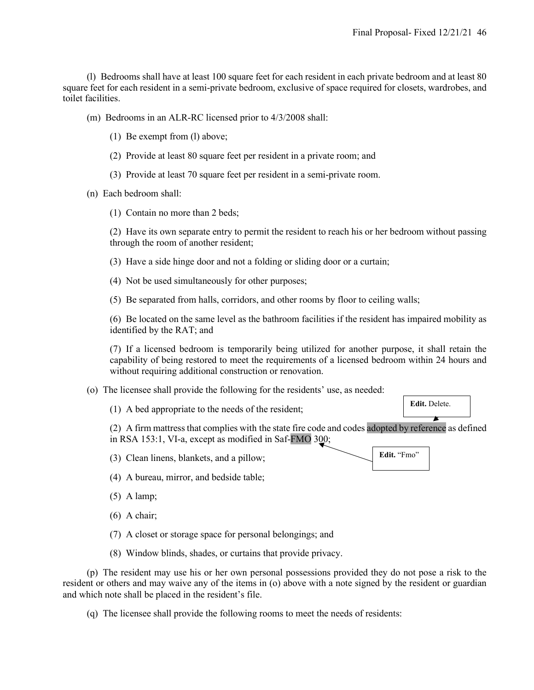(l) Bedrooms shall have at least 100 square feet for each resident in each private bedroom and at least 80 square feet for each resident in a semi-private bedroom, exclusive of space required for closets, wardrobes, and toilet facilities.

(m) Bedrooms in an ALR-RC licensed prior to 4/3/2008 shall:

- (1) Be exempt from (l) above;
- (2) Provide at least 80 square feet per resident in a private room; and
- (3) Provide at least 70 square feet per resident in a semi-private room.

(n) Each bedroom shall:

(1) Contain no more than 2 beds;

(2) Have its own separate entry to permit the resident to reach his or her bedroom without passing through the room of another resident;

- (3) Have a side hinge door and not a folding or sliding door or a curtain;
- (4) Not be used simultaneously for other purposes;

(5) Be separated from halls, corridors, and other rooms by floor to ceiling walls;

(6) Be located on the same level as the bathroom facilities if the resident has impaired mobility as identified by the RAT; and

(7) If a licensed bedroom is temporarily being utilized for another purpose, it shall retain the capability of being restored to meet the requirements of a licensed bedroom within 24 hours and without requiring additional construction or renovation.

- (o) The licensee shall provide the following for the residents' use, as needed:
	- (1) A bed appropriate to the needs of the resident;

(2) A firm mattress that complies with the state fire code and codes adopted by reference as defined in RSA 153:1, VI-a, except as modified in Saf-FMO 300;

(3) Clean linens, blankets, and a pillow;

- (4) A bureau, mirror, and bedside table;
- (5) A lamp;
- (6) A chair;
- (7) A closet or storage space for personal belongings; and
- (8) Window blinds, shades, or curtains that provide privacy.

 (p) The resident may use his or her own personal possessions provided they do not pose a risk to the resident or others and may waive any of the items in (o) above with a note signed by the resident or guardian and which note shall be placed in the resident's file.

(q) The licensee shall provide the following rooms to meet the needs of residents:



**Edit.** Delete.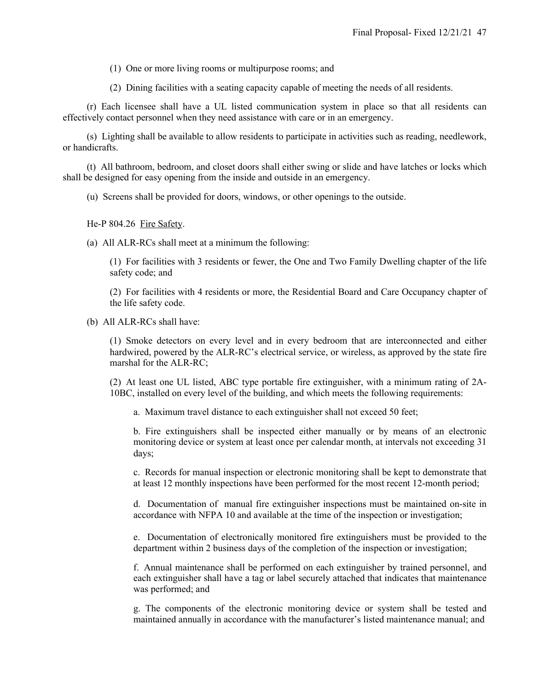(1) One or more living rooms or multipurpose rooms; and

(2) Dining facilities with a seating capacity capable of meeting the needs of all residents.

 (r) Each licensee shall have a UL listed communication system in place so that all residents can effectively contact personnel when they need assistance with care or in an emergency.

 (s) Lighting shall be available to allow residents to participate in activities such as reading, needlework, or handicrafts.

 (t) All bathroom, bedroom, and closet doors shall either swing or slide and have latches or locks which shall be designed for easy opening from the inside and outside in an emergency.

(u) Screens shall be provided for doors, windows, or other openings to the outside.

He-P 804.26 Fire Safety.

(a) All ALR-RCs shall meet at a minimum the following:

(1) For facilities with 3 residents or fewer, the One and Two Family Dwelling chapter of the life safety code; and

(2) For facilities with 4 residents or more, the Residential Board and Care Occupancy chapter of the life safety code.

(b) All ALR-RCs shall have:

(1) Smoke detectors on every level and in every bedroom that are interconnected and either hardwired, powered by the ALR-RC's electrical service, or wireless, as approved by the state fire marshal for the ALR-RC;

(2) At least one UL listed, ABC type portable fire extinguisher, with a minimum rating of 2A-10BC, installed on every level of the building, and which meets the following requirements:

a. Maximum travel distance to each extinguisher shall not exceed 50 feet;

b. Fire extinguishers shall be inspected either manually or by means of an electronic monitoring device or system at least once per calendar month, at intervals not exceeding 31 days;

c. Records for manual inspection or electronic monitoring shall be kept to demonstrate that at least 12 monthly inspections have been performed for the most recent 12-month period;

d. Documentation of manual fire extinguisher inspections must be maintained on-site in accordance with NFPA 10 and available at the time of the inspection or investigation;

e. Documentation of electronically monitored fire extinguishers must be provided to the department within 2 business days of the completion of the inspection or investigation;

f. Annual maintenance shall be performed on each extinguisher by trained personnel, and each extinguisher shall have a tag or label securely attached that indicates that maintenance was performed; and

g. The components of the electronic monitoring device or system shall be tested and maintained annually in accordance with the manufacturer's listed maintenance manual; and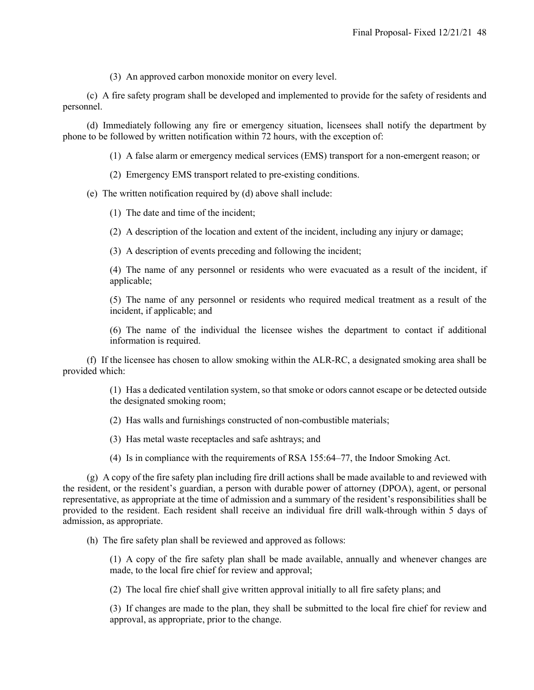(3) An approved carbon monoxide monitor on every level.

 (c) A fire safety program shall be developed and implemented to provide for the safety of residents and personnel.

 (d) Immediately following any fire or emergency situation, licensees shall notify the department by phone to be followed by written notification within 72 hours, with the exception of:

(1) A false alarm or emergency medical services (EMS) transport for a non-emergent reason; or

(2) Emergency EMS transport related to pre-existing conditions.

(e) The written notification required by (d) above shall include:

(1) The date and time of the incident;

(2) A description of the location and extent of the incident, including any injury or damage;

(3) A description of events preceding and following the incident;

(4) The name of any personnel or residents who were evacuated as a result of the incident, if applicable;

(5) The name of any personnel or residents who required medical treatment as a result of the incident, if applicable; and

(6) The name of the individual the licensee wishes the department to contact if additional information is required.

 (f) If the licensee has chosen to allow smoking within the ALR-RC, a designated smoking area shall be provided which:

> (1) Has a dedicated ventilation system, so that smoke or odors cannot escape or be detected outside the designated smoking room;

- (2) Has walls and furnishings constructed of non-combustible materials;
- (3) Has metal waste receptacles and safe ashtrays; and
- (4) Is in compliance with the requirements of RSA 155:64–77, the Indoor Smoking Act.

 (g) A copy of the fire safety plan including fire drill actions shall be made available to and reviewed with the resident, or the resident's guardian, a person with durable power of attorney (DPOA), agent, or personal representative, as appropriate at the time of admission and a summary of the resident's responsibilities shall be provided to the resident. Each resident shall receive an individual fire drill walk-through within 5 days of admission, as appropriate.

(h) The fire safety plan shall be reviewed and approved as follows:

(1) A copy of the fire safety plan shall be made available, annually and whenever changes are made, to the local fire chief for review and approval;

(2) The local fire chief shall give written approval initially to all fire safety plans; and

(3) If changes are made to the plan, they shall be submitted to the local fire chief for review and approval, as appropriate, prior to the change.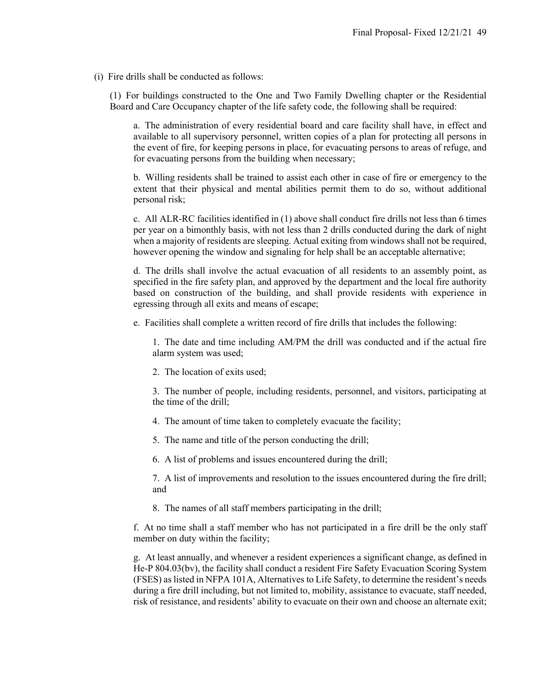(i) Fire drills shall be conducted as follows:

(1) For buildings constructed to the One and Two Family Dwelling chapter or the Residential Board and Care Occupancy chapter of the life safety code, the following shall be required:

a. The administration of every residential board and care facility shall have, in effect and available to all supervisory personnel, written copies of a plan for protecting all persons in the event of fire, for keeping persons in place, for evacuating persons to areas of refuge, and for evacuating persons from the building when necessary;

b. Willing residents shall be trained to assist each other in case of fire or emergency to the extent that their physical and mental abilities permit them to do so, without additional personal risk;

c. All ALR-RC facilities identified in (1) above shall conduct fire drills not less than 6 times per year on a bimonthly basis, with not less than 2 drills conducted during the dark of night when a majority of residents are sleeping. Actual exiting from windows shall not be required, however opening the window and signaling for help shall be an acceptable alternative;

d. The drills shall involve the actual evacuation of all residents to an assembly point, as specified in the fire safety plan, and approved by the department and the local fire authority based on construction of the building, and shall provide residents with experience in egressing through all exits and means of escape;

e. Facilities shall complete a written record of fire drills that includes the following:

1. The date and time including AM/PM the drill was conducted and if the actual fire alarm system was used;

2. The location of exits used;

3. The number of people, including residents, personnel, and visitors, participating at the time of the drill;

- 4. The amount of time taken to completely evacuate the facility;
- 5. The name and title of the person conducting the drill;
- 6. A list of problems and issues encountered during the drill;

7. A list of improvements and resolution to the issues encountered during the fire drill; and

8. The names of all staff members participating in the drill;

f. At no time shall a staff member who has not participated in a fire drill be the only staff member on duty within the facility;

g. At least annually, and whenever a resident experiences a significant change, as defined in He-P 804.03(bv), the facility shall conduct a resident Fire Safety Evacuation Scoring System (FSES) as listed in NFPA 101A, Alternatives to Life Safety, to determine the resident's needs during a fire drill including, but not limited to, mobility, assistance to evacuate, staff needed, risk of resistance, and residents' ability to evacuate on their own and choose an alternate exit;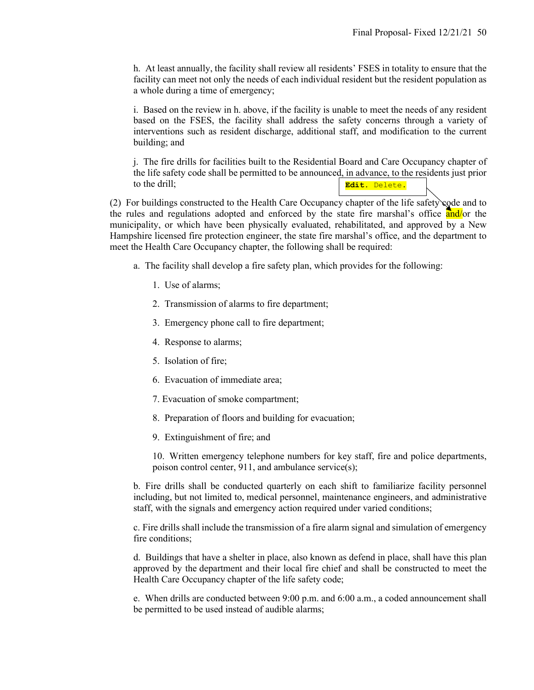h. At least annually, the facility shall review all residents' FSES in totality to ensure that the facility can meet not only the needs of each individual resident but the resident population as a whole during a time of emergency;

i. Based on the review in h. above, if the facility is unable to meet the needs of any resident based on the FSES, the facility shall address the safety concerns through a variety of interventions such as resident discharge, additional staff, and modification to the current building; and

j. The fire drills for facilities built to the Residential Board and Care Occupancy chapter of the life safety code shall be permitted to be announced, in advance, to the residents just prior to the drill; **Edit.** Delete.

(2) For buildings constructed to the Health Care Occupancy chapter of the life safety code and to the rules and regulations adopted and enforced by the state fire marshal's office and/or the municipality, or which have been physically evaluated, rehabilitated, and approved by a New Hampshire licensed fire protection engineer, the state fire marshal's office, and the department to meet the Health Care Occupancy chapter, the following shall be required:

- a. The facility shall develop a fire safety plan, which provides for the following:
	- 1. Use of alarms;
	- 2. Transmission of alarms to fire department;
	- 3. Emergency phone call to fire department;
	- 4. Response to alarms;
	- 5. Isolation of fire;
	- 6. Evacuation of immediate area;
	- 7. Evacuation of smoke compartment;
	- 8. Preparation of floors and building for evacuation;
	- 9. Extinguishment of fire; and

10. Written emergency telephone numbers for key staff, fire and police departments, poison control center, 911, and ambulance service(s);

b. Fire drills shall be conducted quarterly on each shift to familiarize facility personnel including, but not limited to, medical personnel, maintenance engineers, and administrative staff, with the signals and emergency action required under varied conditions;

c. Fire drills shall include the transmission of a fire alarm signal and simulation of emergency fire conditions;

d. Buildings that have a shelter in place, also known as defend in place, shall have this plan approved by the department and their local fire chief and shall be constructed to meet the Health Care Occupancy chapter of the life safety code;

e. When drills are conducted between 9:00 p.m. and 6:00 a.m., a coded announcement shall be permitted to be used instead of audible alarms;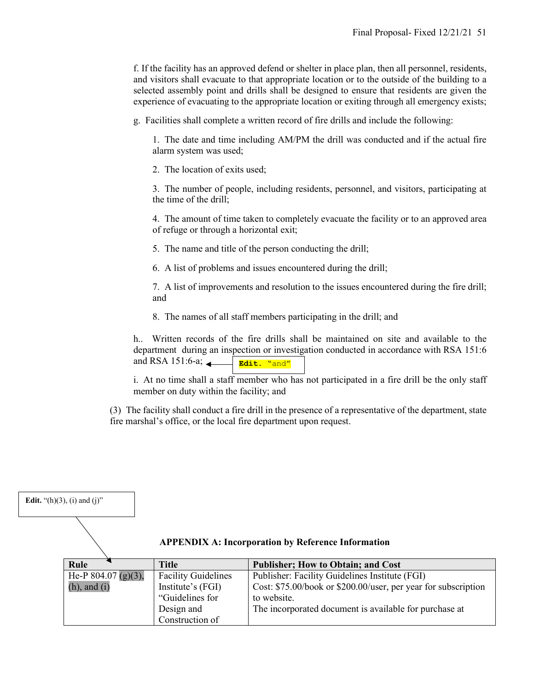f. If the facility has an approved defend or shelter in place plan, then all personnel, residents, and visitors shall evacuate to that appropriate location or to the outside of the building to a selected assembly point and drills shall be designed to ensure that residents are given the experience of evacuating to the appropriate location or exiting through all emergency exists;

g. Facilities shall complete a written record of fire drills and include the following:

1. The date and time including AM/PM the drill was conducted and if the actual fire alarm system was used;

2. The location of exits used;

3. The number of people, including residents, personnel, and visitors, participating at the time of the drill;

4. The amount of time taken to completely evacuate the facility or to an approved area of refuge or through a horizontal exit;

5. The name and title of the person conducting the drill;

6. A list of problems and issues encountered during the drill;

7. A list of improvements and resolution to the issues encountered during the fire drill; and

8. The names of all staff members participating in the drill; and

h.. Written records of the fire drills shall be maintained on site and available to the department during an inspection or investigation conducted in accordance with RSA 151:6 and RSA 151:6-a; **Edit.** "and"

i. At no time shall a staff member who has not participated in a fire drill be the only staff member on duty within the facility; and

(3) The facility shall conduct a fire drill in the presence of a representative of the department, state fire marshal's office, or the local fire department upon request.

| <b>Edit.</b> "(h)(3), (i) and (j)" |                            |                                                                |
|------------------------------------|----------------------------|----------------------------------------------------------------|
|                                    |                            | <b>APPENDIX A: Incorporation by Reference Information</b>      |
| Rule                               | <b>Title</b>               | <b>Publisher; How to Obtain; and Cost</b>                      |
| He-P $804.07$ (g)(3),              | <b>Facility Guidelines</b> | Publisher: Facility Guidelines Institute (FGI)                 |
| $(h)$ , and $(i)$                  | Institute's (FGI)          | Cost: \$75.00/book or \$200.00/user, per year for subscription |
|                                    | "Guidelines for            | to website.                                                    |
|                                    | Design and                 | The incorporated document is available for purchase at         |
|                                    | Construction of            |                                                                |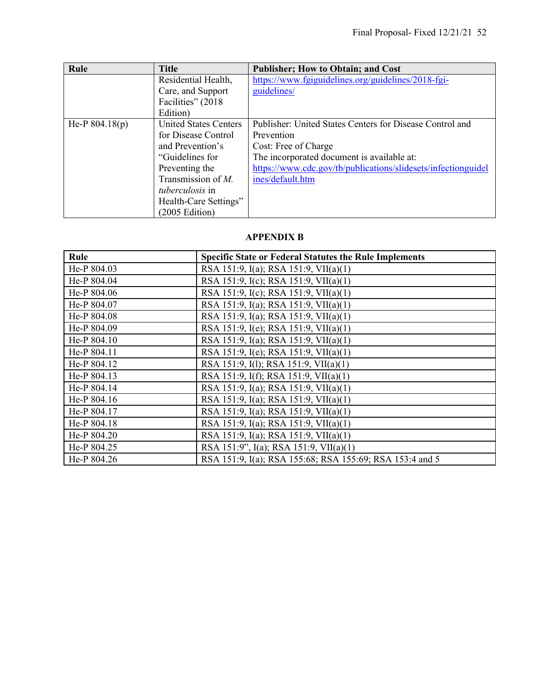| Rule             | <b>Title</b>                 | <b>Publisher; How to Obtain; and Cost</b>                     |
|------------------|------------------------------|---------------------------------------------------------------|
|                  | Residential Health,          | https://www.fgiguidelines.org/guidelines/2018-fgi-            |
|                  | Care, and Support            | guidelines/                                                   |
|                  | Facilities" (2018)           |                                                               |
|                  | Edition)                     |                                                               |
| He-P $804.18(p)$ | <b>United States Centers</b> | Publisher: United States Centers for Disease Control and      |
|                  | for Disease Control          | Prevention                                                    |
|                  | and Prevention's             | Cost: Free of Charge                                          |
|                  | "Guidelines for              | The incorporated document is available at:                    |
|                  | Preventing the               | https://www.cdc.gov/tb/publications/slidesets/infectionguidel |
|                  | Transmission of $M$ .        | ines/default.htm                                              |
|                  | <i>tuberculosis</i> in       |                                                               |
|                  | Health-Care Settings"        |                                                               |
|                  | (2005 Edition)               |                                                               |

### **APPENDIX B**

| Rule        | <b>Specific State or Federal Statutes the Rule Implements</b> |
|-------------|---------------------------------------------------------------|
| He-P 804.03 | RSA 151:9, I(a); RSA 151:9, VII(a)(1)                         |
| He-P 804.04 | RSA 151:9, I(c); RSA 151:9, VII(a)(1)                         |
| He-P 804.06 | RSA 151:9, I(c); RSA 151:9, VII(a)(1)                         |
| He-P 804.07 | RSA 151:9, I(a); RSA 151:9, VII(a)(1)                         |
| He-P 804.08 | RSA 151:9, I(a); RSA 151:9, VII(a)(1)                         |
| He-P 804.09 | RSA 151:9, I(e); RSA 151:9, VII(a)(1)                         |
| He-P 804.10 | RSA 151:9, I(a); RSA 151:9, VII(a)(1)                         |
| He-P 804.11 | RSA 151:9, I(e); RSA 151:9, VII(a)(1)                         |
| He-P 804.12 | RSA 151:9, I(1); RSA 151:9, VII(a)(1)                         |
| He-P 804.13 | RSA 151:9, I(f); RSA 151:9, VII(a)(1)                         |
| He-P 804.14 | RSA 151:9, I(a); RSA 151:9, VII(a)(1)                         |
| He-P 804.16 | RSA 151:9, I(a); RSA 151:9, VII(a)(1)                         |
| He-P 804.17 | RSA 151:9, I(a); RSA 151:9, VII(a)(1)                         |
| He-P 804.18 | RSA 151:9, I(a); RSA 151:9, VII(a)(1)                         |
| He-P 804.20 | RSA 151:9, I(a); RSA 151:9, VII(a)(1)                         |
| He-P 804.25 | RSA 151:9", I(a); RSA 151:9, VII(a)(1)                        |
| He-P 804.26 | RSA 151:9, I(a); RSA 155:68; RSA 155:69; RSA 153:4 and 5      |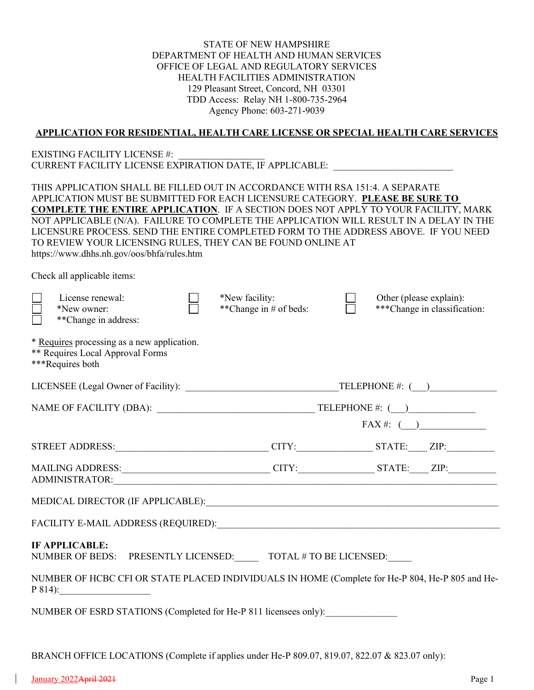STATE OF NEW HAMPSHIRE DEPARTMENT OF HEALTH AND HUMAN SERVICES OFFICE OF LEGAL AND REGULATORY SERVICES HEALTH FACILITIES ADMINISTRATION 129 Pleasant Street, Concord, NH 03301 TDD Access: Relay NH 1-800-735-2964 Agency Phone: 603-271-9039

#### **APPLICATION FOR RESIDENTIAL, HEALTH CARE LICENSE OR SPECIAL HEALTH CARE SERVICES**

#### EXISTING FACILITY LICENSE #: CURRENT FACILITY LICENSE EXPIRATION DATE, IF APPLICABLE: \_\_\_\_\_\_\_\_\_\_\_\_\_\_\_\_\_\_\_\_\_\_\_\_\_

THIS APPLICATION SHALL BE FILLED OUT IN ACCORDANCE WITH RSA 151:4. A SEPARATE APPLICATION MUST BE SUBMITTED FOR EACH LICENSURE CATEGORY. **PLEASE BE SURE TO COMPLETE THE ENTIRE APPLICATION**. IF A SECTION DOES NOT APPLY TO YOUR FACILITY, MARK NOT APPLICABLE (N/A). FAILURE TO COMPLETE THE APPLICATION WILL RESULT IN A DELAY IN THE LICENSURE PROCESS. SEND THE ENTIRE COMPLETED FORM TO THE ADDRESS ABOVE. IF YOU NEED TO REVIEW YOUR LICENSING RULES, THEY CAN BE FOUND ONLINE AT https://www.dhhs.nh.gov/oos/bhfa/rules.htm

Check all applicable items:

| License renewal:<br>*New owner:<br>**Change in address:                                                                                                                                                                        | *New facility:<br>**Change in # of beds: | Other (please explain):<br>***Change in classification: |  |
|--------------------------------------------------------------------------------------------------------------------------------------------------------------------------------------------------------------------------------|------------------------------------------|---------------------------------------------------------|--|
| * Requires processing as a new application.<br><b>** Requires Local Approval Forms</b><br>***Requires both                                                                                                                     |                                          |                                                         |  |
|                                                                                                                                                                                                                                |                                          |                                                         |  |
|                                                                                                                                                                                                                                |                                          | $FAX \#:$ ( )                                           |  |
| STREET ADDRESS:________________________________CITY:________________STATE:_____ZIP:_________________                                                                                                                           |                                          |                                                         |  |
|                                                                                                                                                                                                                                |                                          |                                                         |  |
|                                                                                                                                                                                                                                |                                          |                                                         |  |
| FACILITY E-MAIL ADDRESS (REQUIRED): University of the state of the state of the state of the state of the state of the state of the state of the state of the state of the state of the state of the state of the state of the |                                          |                                                         |  |
| <b>IF APPLICABLE:</b><br>NUMBER OF BEDS: PRESENTLY LICENSED: TOTAL # TO BE LICENSED:                                                                                                                                           |                                          |                                                         |  |
| NUMBER OF HCBC CFI OR STATE PLACED INDIVIDUALS IN HOME (Complete for He-P 804, He-P 805 and He-<br>$P 814$ :                                                                                                                   |                                          |                                                         |  |
| NUMBER OF ESRD STATIONS (Completed for He-P 811 licensees only):                                                                                                                                                               |                                          |                                                         |  |

BRANCH OFFICE LOCATIONS (Complete if applies under He-P 809.07, 819.07, 822.07 & 823.07 only):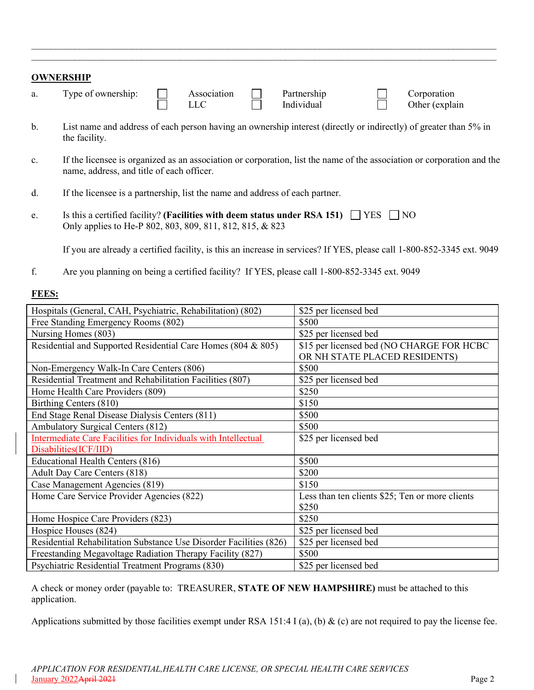| <b>OWNERSHIP</b> |                    |  |             |  |                           |  |                               |
|------------------|--------------------|--|-------------|--|---------------------------|--|-------------------------------|
| a.               | Type of ownership: |  | Association |  | Partnership<br>Individual |  | Corporation<br>Other (explain |

 $\mathcal{L}_\text{max}$  and  $\mathcal{L}_\text{max}$  and  $\mathcal{L}_\text{max}$  and  $\mathcal{L}_\text{max}$  and  $\mathcal{L}_\text{max}$  and  $\mathcal{L}_\text{max}$  $\mathcal{L}_\text{max}$  , and the contribution of the contribution of the contribution of the contribution of the contribution of the contribution of the contribution of the contribution of the contribution of the contribution of t

- b. List name and address of each person having an ownership interest (directly or indirectly) of greater than 5% in the facility.
- c. If the licensee is organized as an association or corporation, list the name of the association or corporation and the name, address, and title of each officer.
- d. If the licensee is a partnership, list the name and address of each partner.
- e. Is this a certified facility? (Facilities with deem status under RSA 151)  $\Box$  YES  $\Box$  NO Only applies to He-P 802, 803, 809, 811, 812, 815, & 823

If you are already a certified facility, is this an increase in services? If YES, please call 1-800-852-3345 ext. 9049

f. Are you planning on being a certified facility? If YES, please call 1-800-852-3345 ext. 9049

#### **FEES:**

| Hospitals (General, CAH, Psychiatric, Rehabilitation) (802)        | \$25 per licensed bed                           |
|--------------------------------------------------------------------|-------------------------------------------------|
| Free Standing Emergency Rooms (802)                                | \$500                                           |
| Nursing Homes (803)                                                | \$25 per licensed bed                           |
| Residential and Supported Residential Care Homes (804 & 805)       | \$15 per licensed bed (NO CHARGE FOR HCBC       |
|                                                                    | OR NH STATE PLACED RESIDENTS)                   |
| Non-Emergency Walk-In Care Centers (806)                           | \$500                                           |
| Residential Treatment and Rehabilitation Facilities (807)          | \$25 per licensed bed                           |
| Home Health Care Providers (809)                                   | \$250                                           |
| Birthing Centers (810)                                             | \$150                                           |
| End Stage Renal Disease Dialysis Centers (811)                     | \$500                                           |
| Ambulatory Surgical Centers (812)                                  | \$500                                           |
| Intermediate Care Facilities for Individuals with Intellectual     | \$25 per licensed bed                           |
| Disabilities(ICF/IID)                                              |                                                 |
| Educational Health Centers (816)                                   | \$500                                           |
| Adult Day Care Centers (818)                                       | \$200                                           |
| Case Management Agencies (819)                                     | \$150                                           |
| Home Care Service Provider Agencies (822)                          | Less than ten clients \$25; Ten or more clients |
|                                                                    | \$250                                           |
| Home Hospice Care Providers (823)                                  | \$250                                           |
| Hospice Houses (824)                                               | \$25 per licensed bed                           |
| Residential Rehabilitation Substance Use Disorder Facilities (826) | \$25 per licensed bed                           |
| Freestanding Megavoltage Radiation Therapy Facility (827)          | \$500                                           |
| Psychiatric Residential Treatment Programs (830)                   | \$25 per licensed bed                           |

A check or money order (payable to: TREASURER, **STATE OF NEW HAMPSHIRE)** must be attached to this application.

Applications submitted by those facilities exempt under RSA 151:4 I (a), (b) & (c) are not required to pay the license fee.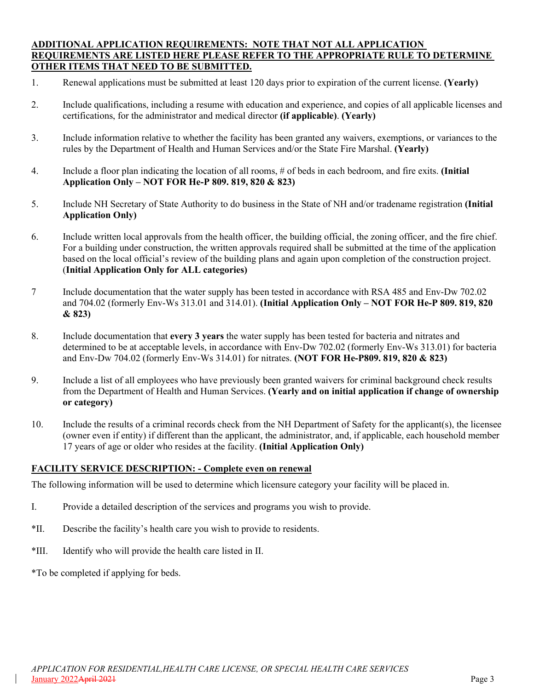#### **ADDITIONAL APPLICATION REQUIREMENTS: NOTE THAT NOT ALL APPLICATION REQUIREMENTS ARE LISTED HERE PLEASE REFER TO THE APPROPRIATE RULE TO DETERMINE OTHER ITEMS THAT NEED TO BE SUBMITTED.**

- 1. Renewal applications must be submitted at least 120 days prior to expiration of the current license. **(Yearly)**
- 2. Include qualifications, including a resume with education and experience, and copies of all applicable licenses and certifications, for the administrator and medical director **(if applicable)**. **(Yearly)**
- 3. Include information relative to whether the facility has been granted any waivers, exemptions, or variances to the rules by the Department of Health and Human Services and/or the State Fire Marshal. **(Yearly)**
- 4. Include a floor plan indicating the location of all rooms, # of beds in each bedroom, and fire exits. **(Initial Application Only – NOT FOR He-P 809. 819, 820 & 823)**
- 5. Include NH Secretary of State Authority to do business in the State of NH and/or tradename registration **(Initial Application Only)**
- 6. Include written local approvals from the health officer, the building official, the zoning officer, and the fire chief. For a building under construction, the written approvals required shall be submitted at the time of the application based on the local official's review of the building plans and again upon completion of the construction project. (**Initial Application Only for ALL categories)**
- 7 Include documentation that the water supply has been tested in accordance with RSA 485 and Env-Dw 702.02 and 704.02 (formerly Env-Ws 313.01 and 314.01). **(Initial Application Only – NOT FOR He-P 809. 819, 820 & 823)**
- 8. Include documentation that **every 3 years** the water supply has been tested for bacteria and nitrates and determined to be at acceptable levels, in accordance with Env-Dw 702.02 (formerly Env-Ws 313.01) for bacteria and Env-Dw 704.02 (formerly Env-Ws 314.01) for nitrates. **(NOT FOR He-P809. 819, 820 & 823)**
- 9. Include a list of all employees who have previously been granted waivers for criminal background check results from the Department of Health and Human Services. **(Yearly and on initial application if change of ownership or category)**
- 10. Include the results of a criminal records check from the NH Department of Safety for the applicant(s), the licensee (owner even if entity) if different than the applicant, the administrator, and, if applicable, each household member 17 years of age or older who resides at the facility. **(Initial Application Only)**

#### **FACILITY SERVICE DESCRIPTION: - Complete even on renewal**

The following information will be used to determine which licensure category your facility will be placed in.

- I. Provide a detailed description of the services and programs you wish to provide.
- \*II. Describe the facility's health care you wish to provide to residents.
- \*III. Identify who will provide the health care listed in II.

\*To be completed if applying for beds.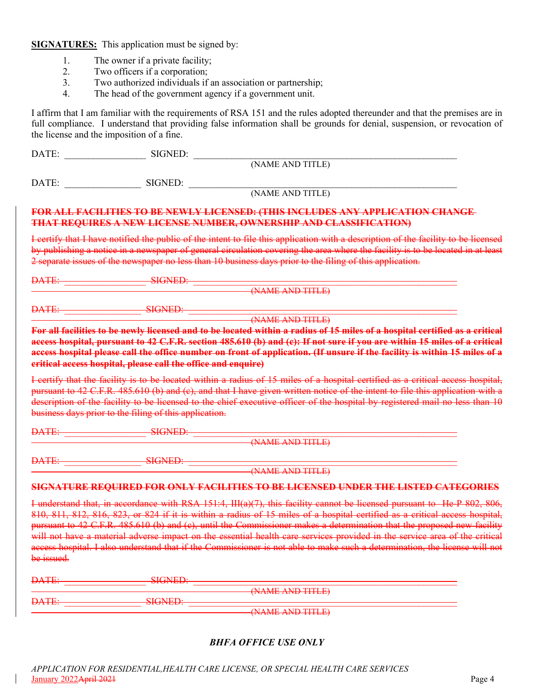**SIGNATURES:** This application must be signed by:

- 1. The owner if a private facility;
- 2. Two officers if a corporation;<br>3. Two authorized individuals if
- Two authorized individuals if an association or partnership;
- 4. The head of the government agency if a government unit.

I affirm that I am familiar with the requirements of RSA 151 and the rules adopted thereunder and that the premises are in full compliance. I understand that providing false information shall be grounds for denial, suspension, or revocation of the license and the imposition of a fine.

| DATE:            | SIGNED:                                                |                                                                                                                                                                                                                                                                                                                                                                                                                                                                                                                                                                                                                                                 |
|------------------|--------------------------------------------------------|-------------------------------------------------------------------------------------------------------------------------------------------------------------------------------------------------------------------------------------------------------------------------------------------------------------------------------------------------------------------------------------------------------------------------------------------------------------------------------------------------------------------------------------------------------------------------------------------------------------------------------------------------|
|                  |                                                        | (NAME AND TITLE)                                                                                                                                                                                                                                                                                                                                                                                                                                                                                                                                                                                                                                |
| DATE:            | SIGNED:                                                |                                                                                                                                                                                                                                                                                                                                                                                                                                                                                                                                                                                                                                                 |
|                  |                                                        | (NAME AND TITLE)                                                                                                                                                                                                                                                                                                                                                                                                                                                                                                                                                                                                                                |
|                  |                                                        | <b>FOR ALL FACILITIES TO BE NEWLY LICENSED: (THIS INCLUDES ANY APPLICATION CHANGE</b><br><b>THAT REQUIRES A NEW LICENSE NUMBER, OWNERSHIP AND CLASSIFICATION)</b>                                                                                                                                                                                                                                                                                                                                                                                                                                                                               |
|                  |                                                        | I certify that I have notified the public of the intent to file this application with a description of the facility to be licensed<br>by publishing a notice in a newspaper of general circulation covering the area where the facility is to be located in at least<br>2 separate issues of the newspaper no less than 10 business days prior to the filing of this application.                                                                                                                                                                                                                                                               |
| <b>DATE:</b>     | <b>SIGNED:</b>                                         |                                                                                                                                                                                                                                                                                                                                                                                                                                                                                                                                                                                                                                                 |
|                  |                                                        | (NAME AND TITLE)                                                                                                                                                                                                                                                                                                                                                                                                                                                                                                                                                                                                                                |
| DATE:            | <b>SIGNED:</b>                                         |                                                                                                                                                                                                                                                                                                                                                                                                                                                                                                                                                                                                                                                 |
|                  |                                                        | (NAME AND TITLE)                                                                                                                                                                                                                                                                                                                                                                                                                                                                                                                                                                                                                                |
|                  | business days prior to the filing of this application. | I certify that the facility is to be located within a radius of 15 miles of a hospital certified as a critical access hospital,<br>pursuant to 42 C.F.R. 485.610 (b) and (c), and that I have given written notice of the intent to file this application with a<br>description of the facility to be licensed to the chief executive officer of the hospital by registered mail no less than 10                                                                                                                                                                                                                                                |
| <del>DATE:</del> | <b>SIGNED</b>                                          |                                                                                                                                                                                                                                                                                                                                                                                                                                                                                                                                                                                                                                                 |
|                  |                                                        | (NAME AND TITLE)                                                                                                                                                                                                                                                                                                                                                                                                                                                                                                                                                                                                                                |
| <b>DATE:</b>     | <b>SIGNED:</b>                                         |                                                                                                                                                                                                                                                                                                                                                                                                                                                                                                                                                                                                                                                 |
|                  |                                                        | (NAME AND TITLE)                                                                                                                                                                                                                                                                                                                                                                                                                                                                                                                                                                                                                                |
|                  |                                                        | SIGNATURE REQUIRED FOR ONLY FACILITIES TO BE LICENSED UNDER THE LISTED CATEGORIES                                                                                                                                                                                                                                                                                                                                                                                                                                                                                                                                                               |
| be issued.       |                                                        | I understand that, in accordance with RSA 151:4, $III(a)(7)$ , this facility cannot be licensed pursuant to He-P 802, 806,<br>810, 811, 812, 816, 823, or 824 if it is within a radius of 15 miles of a hospital certified as a critical access hospital,<br>pursuant to 42 C.F.R. 485.610 (b) and (c), until the Commissioner makes a determination that the proposed new facility<br>will not have a material adverse impact on the essential health care services provided in the service area of the critical<br>access hospital. I also understand that if the Commissioner is not able to make such a determination, the license will not |

| <b>DATE:</b>    | <b>DIVISION</b>     |                                       |
|-----------------|---------------------|---------------------------------------|
|                 |                     | (NIAME ANIN TITI E)                   |
|                 |                     | TWWP7WD HILD                          |
| $\mathbf{DATF}$ |                     |                                       |
| <b>DATE.</b>    | <b>BINDING PLAT</b> |                                       |
|                 |                     | $($ NAME AND TITI E)                  |
|                 |                     | <b>FAIS WILLIE CALL AND U.S. P.P.</b> |

### *BHFA OFFICE USE ONLY*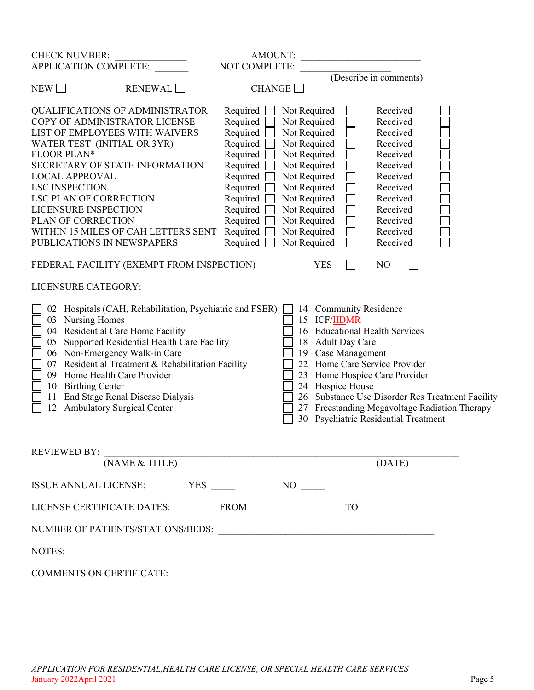| <b>CHECK NUMBER:</b>                                                                                                                                                                                                                                                                                                                                                                                   | AMOUNT:                                                                                                                                                  |                                                                                                                                                                                                              |                                                                                                         |                                                                                                                                                          |                                                                                                   |
|--------------------------------------------------------------------------------------------------------------------------------------------------------------------------------------------------------------------------------------------------------------------------------------------------------------------------------------------------------------------------------------------------------|----------------------------------------------------------------------------------------------------------------------------------------------------------|--------------------------------------------------------------------------------------------------------------------------------------------------------------------------------------------------------------|---------------------------------------------------------------------------------------------------------|----------------------------------------------------------------------------------------------------------------------------------------------------------|---------------------------------------------------------------------------------------------------|
| APPLICATION COMPLETE:                                                                                                                                                                                                                                                                                                                                                                                  | NOT COMPLETE:                                                                                                                                            |                                                                                                                                                                                                              |                                                                                                         | (Describe in comments)                                                                                                                                   |                                                                                                   |
| NEW<br><b>RENEWAL</b>                                                                                                                                                                                                                                                                                                                                                                                  | <b>CHANGE</b>                                                                                                                                            |                                                                                                                                                                                                              |                                                                                                         |                                                                                                                                                          |                                                                                                   |
| <b>QUALIFICATIONS OF ADMINISTRATOR</b><br>COPY OF ADMINISTRATOR LICENSE<br>LIST OF EMPLOYEES WITH WAIVERS<br>WATER TEST (INITIAL OR 3YR)<br>FLOOR PLAN*<br>SECRETARY OF STATE INFORMATION<br><b>LOCAL APPROVAL</b><br><b>LSC INSPECTION</b><br><b>LSC PLAN OF CORRECTION</b><br><b>LICENSURE INSPECTION</b><br>PLAN OF CORRECTION<br>WITHIN 15 MILES OF CAH LETTERS SENT<br>PUBLICATIONS IN NEWSPAPERS | Required<br>Required<br>Required<br>Required<br>Required<br>Required<br>Required<br>Required<br>Required<br>Required<br>Required<br>Required<br>Required | Not Required<br>Not Required<br>Not Required<br>Not Required<br>Not Required<br>Not Required<br>Not Required<br>Not Required<br>Not Required<br>Not Required<br>Not Required<br>Not Required<br>Not Required |                                                                                                         | Received<br>Received<br>Received<br>Received<br>Received<br>Received<br>Received<br>Received<br>Received<br>Received<br>Received<br>Received<br>Received |                                                                                                   |
| FEDERAL FACILITY (EXEMPT FROM INSPECTION)                                                                                                                                                                                                                                                                                                                                                              |                                                                                                                                                          | <b>YES</b>                                                                                                                                                                                                   |                                                                                                         | N <sub>O</sub>                                                                                                                                           |                                                                                                   |
| LICENSURE CATEGORY:                                                                                                                                                                                                                                                                                                                                                                                    |                                                                                                                                                          |                                                                                                                                                                                                              |                                                                                                         |                                                                                                                                                          |                                                                                                   |
| 02 Hospitals (CAH, Rehabilitation, Psychiatric and FSER)<br>03 Nursing Homes<br>04 Residential Care Home Facility<br>Supported Residential Health Care Facility<br>05<br>06 Non-Emergency Walk-in Care<br>07 Residential Treatment & Rehabilitation Facility<br>09 Home Health Care Provider<br>10 Birthing Center<br>End Stage Renal Disease Dialysis<br>11<br>12 Ambulatory Surgical Center          |                                                                                                                                                          | 15<br>18<br>19<br>24                                                                                                                                                                                         | 14 Community Residence<br><b>ICF/IIDMR</b><br><b>Adult Day Care</b><br>Case Management<br>Hospice House | 16 Educational Health Services<br>22 Home Care Service Provider<br>23 Home Hospice Care Provider<br>30 Psychiatric Residential Treatment                 | 26 Substance Use Disorder Res Treatment Facility<br>27 Freestanding Megavoltage Radiation Therapy |
| REVIEWED BY: $\frac{}{\text{(NAME & TITLE)}}$                                                                                                                                                                                                                                                                                                                                                          |                                                                                                                                                          |                                                                                                                                                                                                              |                                                                                                         | (DATE)                                                                                                                                                   |                                                                                                   |
|                                                                                                                                                                                                                                                                                                                                                                                                        |                                                                                                                                                          |                                                                                                                                                                                                              |                                                                                                         |                                                                                                                                                          |                                                                                                   |
|                                                                                                                                                                                                                                                                                                                                                                                                        |                                                                                                                                                          |                                                                                                                                                                                                              |                                                                                                         |                                                                                                                                                          |                                                                                                   |
|                                                                                                                                                                                                                                                                                                                                                                                                        |                                                                                                                                                          |                                                                                                                                                                                                              |                                                                                                         |                                                                                                                                                          |                                                                                                   |
| NOTES:                                                                                                                                                                                                                                                                                                                                                                                                 |                                                                                                                                                          |                                                                                                                                                                                                              |                                                                                                         |                                                                                                                                                          |                                                                                                   |
| <b>COMMENTS ON CERTIFICATE:</b>                                                                                                                                                                                                                                                                                                                                                                        |                                                                                                                                                          |                                                                                                                                                                                                              |                                                                                                         |                                                                                                                                                          |                                                                                                   |

 $\overline{\phantom{a}}$ 

 $\overline{\phantom{a}}$ 

*APPLICATION FOR RESIDENTIAL,HEALTH CARE LICENSE, OR SPECIAL HEALTH CARE SERVICES* January 2022April 2021 Page 5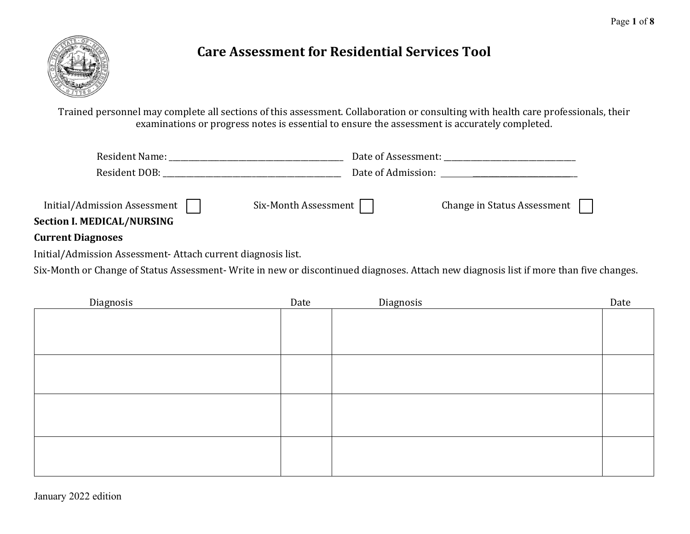

# **Care Assessment for Residential Services Tool**

Trained personnel may complete all sections of this assessment. Collaboration or consulting with health care professionals, their examinations or progress notes is essential to ensure the assessment is accurately completed.

|                                                                          |                             | Date of Admission: National Property of Admission: |
|--------------------------------------------------------------------------|-----------------------------|----------------------------------------------------|
| Initial/Admission Assessment $\Box$<br><b>Section I. MEDICAL/NURSING</b> | Six-Month Assessment $\Box$ | Change in Status Assessment                        |
| Current Diagnages                                                        |                             |                                                    |

### **Current Diagnoses**

Initial/Admission Assessment- Attach current diagnosis list.

Six-Month or Change of Status Assessment- Write in new or discontinued diagnoses. Attach new diagnosis list if more than five changes.

| Diagnosis | Date | Diagnosis | Date |
|-----------|------|-----------|------|
|           |      |           |      |
|           |      |           |      |
|           |      |           |      |
|           |      |           |      |
|           |      |           |      |
|           |      |           |      |
|           |      |           |      |
|           |      |           |      |
|           |      |           |      |
|           |      |           |      |
|           |      |           |      |
|           |      |           |      |
|           |      |           |      |
|           |      |           |      |
|           |      |           |      |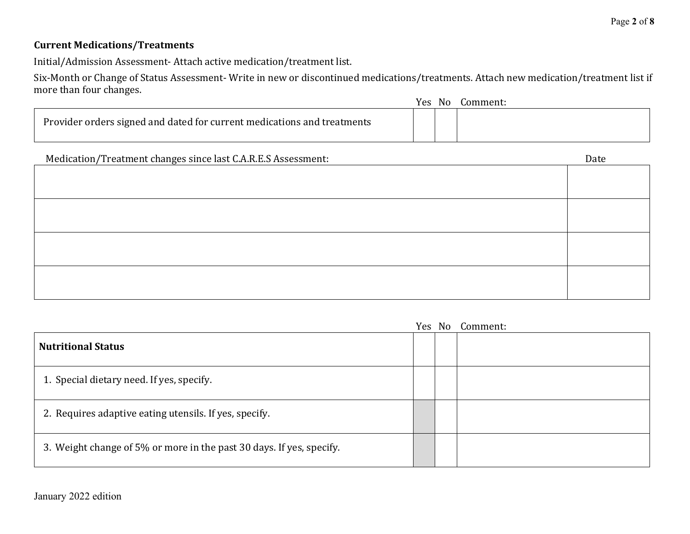### **Current Medications/Treatments**

Initial/Admission Assessment- Attach active medication/treatment list.

Six-Month or Change of Status Assessment- Write in new or discontinued medications/treatments. Attach new medication/treatment list if more than four changes.

|                                                                         | Yes: | No. | Comment: |
|-------------------------------------------------------------------------|------|-----|----------|
| Provider orders signed and dated for current medications and treatments |      |     |          |

|                                                                      |  | Yes No Comment: |
|----------------------------------------------------------------------|--|-----------------|
| <b>Nutritional Status</b>                                            |  |                 |
| 1. Special dietary need. If yes, specify.                            |  |                 |
| 2. Requires adaptive eating utensils. If yes, specify.               |  |                 |
| 3. Weight change of 5% or more in the past 30 days. If yes, specify. |  |                 |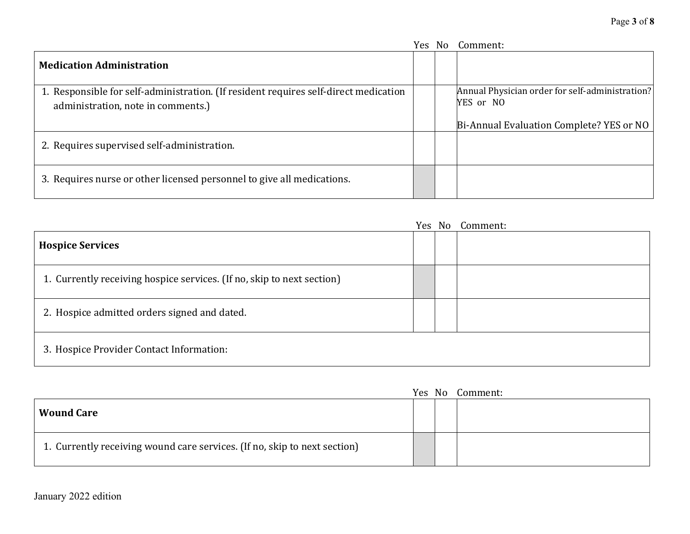|                                                                                                                            |  | Yes No Comment:                                              |
|----------------------------------------------------------------------------------------------------------------------------|--|--------------------------------------------------------------|
| <b>Medication Administration</b>                                                                                           |  |                                                              |
| 1. Responsible for self-administration. (If resident requires self-direct medication<br>administration, note in comments.) |  | Annual Physician order for self-administration?<br>YES or NO |
|                                                                                                                            |  | Bi-Annual Evaluation Complete? YES or NO                     |
| 2. Requires supervised self-administration.                                                                                |  |                                                              |
| 3. Requires nurse or other licensed personnel to give all medications.                                                     |  |                                                              |

|                                                                        | Yes No | Comment: |
|------------------------------------------------------------------------|--------|----------|
| <b>Hospice Services</b>                                                |        |          |
| 1. Currently receiving hospice services. (If no, skip to next section) |        |          |
| 2. Hospice admitted orders signed and dated.                           |        |          |
| 3. Hospice Provider Contact Information:                               |        |          |

|                                                                           | Yes No | Comment: |
|---------------------------------------------------------------------------|--------|----------|
| <b>Wound Care</b>                                                         |        |          |
| 1. Currently receiving wound care services. (If no, skip to next section) |        |          |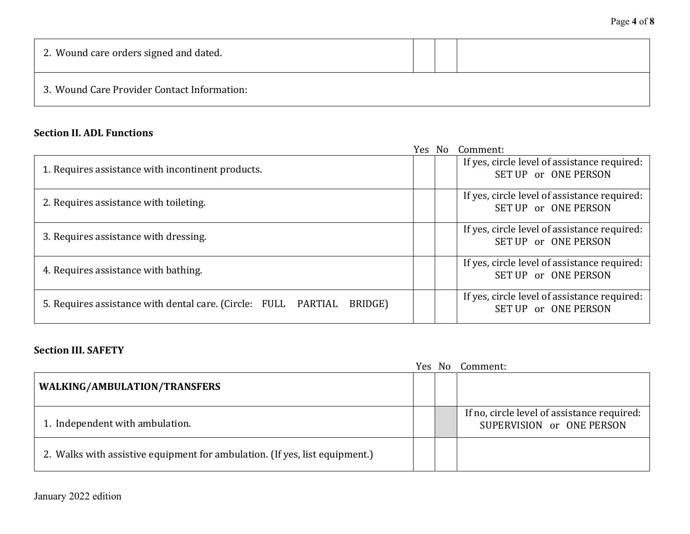| 2. Wound care orders signed and dated.      |  |  |
|---------------------------------------------|--|--|
| 3. Wound Care Provider Contact Information: |  |  |

### **Section II. ADL Functions**

|                                                                           |  | Yes No Comment:                                                      |
|---------------------------------------------------------------------------|--|----------------------------------------------------------------------|
| 1. Requires assistance with incontinent products.                         |  | If yes, circle level of assistance required:<br>SET UP or ONE PERSON |
| 2. Requires assistance with toileting.                                    |  | If yes, circle level of assistance required:<br>SET UP or ONE PERSON |
| 3. Requires assistance with dressing.                                     |  | If yes, circle level of assistance required:<br>SET UP or ONE PERSON |
| 4. Requires assistance with bathing.                                      |  | If yes, circle level of assistance required:<br>SET UP or ONE PERSON |
| 5. Requires assistance with dental care. (Circle: FULL PARTIAL<br>BRIDGE) |  | If yes, circle level of assistance required:<br>SET UP or ONE PERSON |

### **Section III. SAFETY**

|                                                                             |  | Yes No Comment:                                                          |
|-----------------------------------------------------------------------------|--|--------------------------------------------------------------------------|
| WALKING/AMBULATION/TRANSFERS                                                |  |                                                                          |
| 1. Independent with ambulation.                                             |  | If no, circle level of assistance required:<br>SUPERVISION or ONE PERSON |
| 2. Walks with assistive equipment for ambulation. (If yes, list equipment.) |  |                                                                          |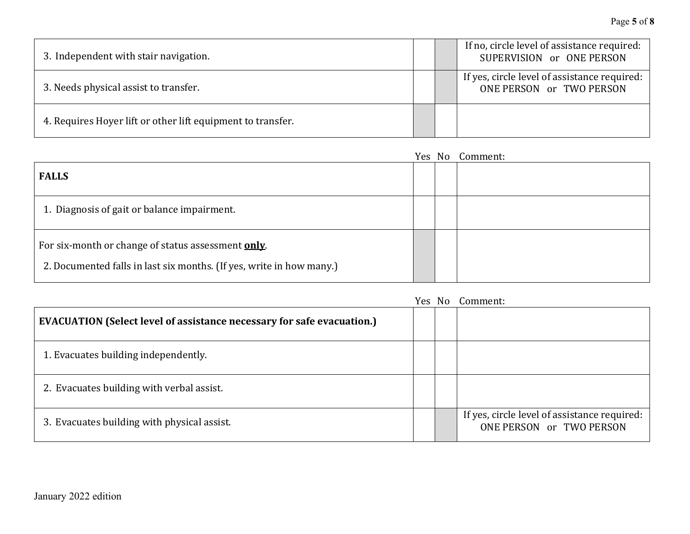| 3. Independent with stair navigation.                       |  | If no, circle level of assistance required:<br>SUPERVISION or ONE PERSON |
|-------------------------------------------------------------|--|--------------------------------------------------------------------------|
| 3. Needs physical assist to transfer.                       |  | If yes, circle level of assistance required:<br>ONE PERSON or TWO PERSON |
| 4. Requires Hoyer lift or other lift equipment to transfer. |  |                                                                          |

|                                                                                                                            | Yes No | Comment: |
|----------------------------------------------------------------------------------------------------------------------------|--------|----------|
| <b>FALLS</b>                                                                                                               |        |          |
| 1. Diagnosis of gait or balance impairment.                                                                                |        |          |
| For six-month or change of status assessment only.<br>2. Documented falls in last six months. (If yes, write in how many.) |        |          |

|                                                                               | Yes. | No. | Comment:                                                                 |
|-------------------------------------------------------------------------------|------|-----|--------------------------------------------------------------------------|
| <b>EVACUATION (Select level of assistance necessary for safe evacuation.)</b> |      |     |                                                                          |
| 1. Evacuates building independently.                                          |      |     |                                                                          |
| 2. Evacuates building with verbal assist.                                     |      |     |                                                                          |
| 3. Evacuates building with physical assist.                                   |      |     | If yes, circle level of assistance required:<br>ONE PERSON or TWO PERSON |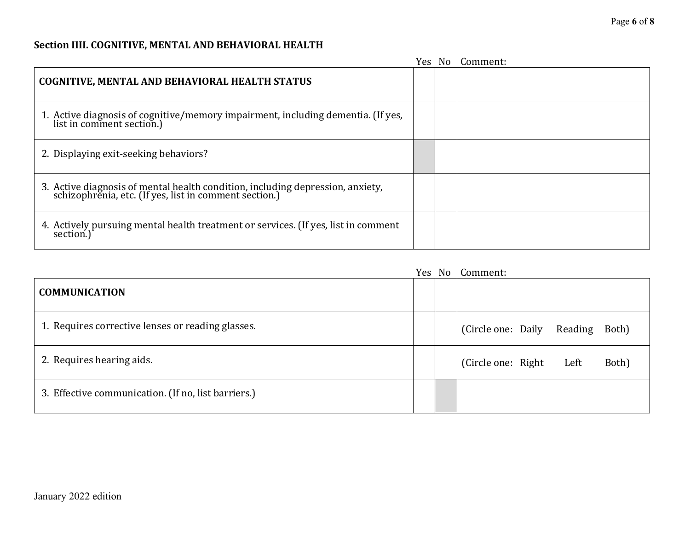## **Section IIII. COGNITIVE, MENTAL AND BEHAVIORAL HEALTH**

|                                                                                                                                       |  | Yes No Comment: |
|---------------------------------------------------------------------------------------------------------------------------------------|--|-----------------|
| COGNITIVE, MENTAL AND BEHAVIORAL HEALTH STATUS                                                                                        |  |                 |
| 1. Active diagnosis of cognitive/memory impairment, including dementia. (If yes,<br>list in comment section.)                         |  |                 |
| 2. Displaying exit-seeking behaviors?                                                                                                 |  |                 |
| 3. Active diagnosis of mental health condition, including depression, anxiety, schizophrenia, etc. (If yes, list in comment section.) |  |                 |
| 4. Actively pursuing mental health treatment or services. (If yes, list in comment<br>section.)                                       |  |                 |

|                                                     |  | Yes No Comment:                        |
|-----------------------------------------------------|--|----------------------------------------|
| <b>COMMUNICATION</b>                                |  |                                        |
| 1. Requires corrective lenses or reading glasses.   |  | (Circle one: Daily<br>Reading<br>Both) |
| 2. Requires hearing aids.                           |  | (Circle one: Right)<br>Both)<br>Left   |
| 3. Effective communication. (If no, list barriers.) |  |                                        |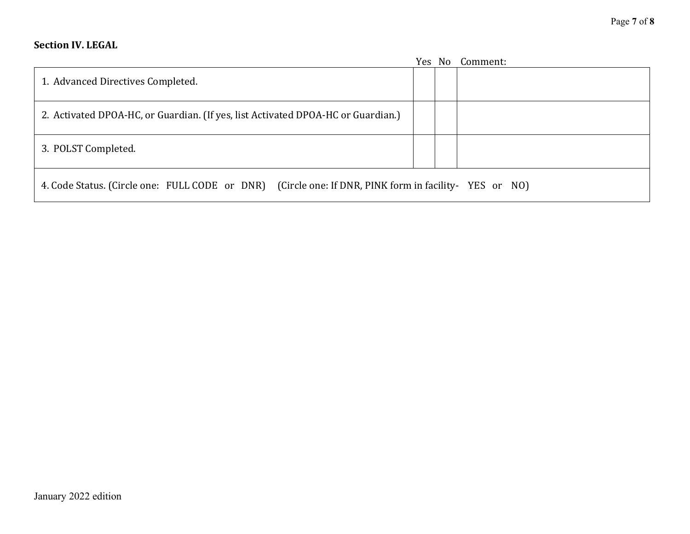### **Section IV. LEGAL**

|                                                                                                      |  |  | Yes No Comment: |  |
|------------------------------------------------------------------------------------------------------|--|--|-----------------|--|
| 1. Advanced Directives Completed.                                                                    |  |  |                 |  |
| 2. Activated DPOA-HC, or Guardian. (If yes, list Activated DPOA-HC or Guardian.)                     |  |  |                 |  |
| 3. POLST Completed.                                                                                  |  |  |                 |  |
| 4. Code Status. (Circle one: FULL CODE or DNR) (Circle one: If DNR, PINK form in facility-YES or NO) |  |  |                 |  |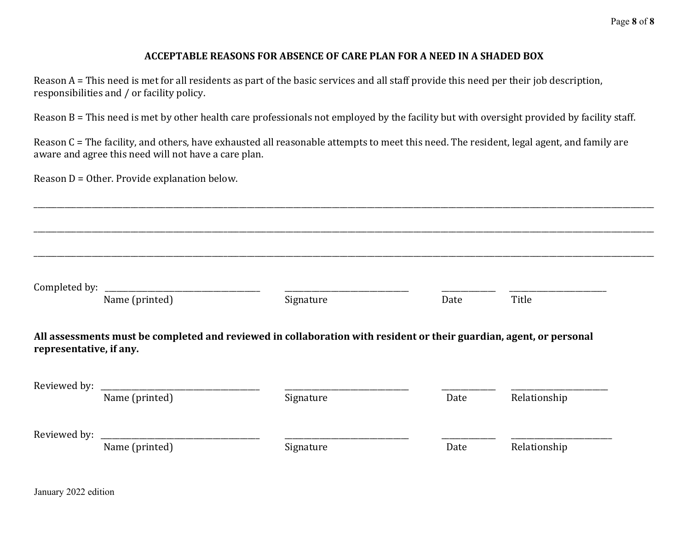#### **ACCEPTABLE REASONS FOR ABSENCE OF CARE PLAN FOR A NEED IN A SHADED BOX**

Reason A = This need is met for all residents as part of the basic services and all staff provide this need per their job description, responsibilities and / or facility policy.

Reason B = This need is met by other health care professionals not employed by the facility but with oversight provided by facility staff.

Reason C = The facility, and others, have exhausted all reasonable attempts to meet this need. The resident, legal agent, and family are aware and agree this need will not have a care plan.

\_\_\_\_\_\_\_\_\_\_\_\_\_\_\_\_\_\_\_\_\_\_\_\_\_\_\_\_\_\_\_\_\_\_\_\_\_\_\_\_\_\_\_\_\_\_\_\_\_\_\_\_\_\_\_\_\_\_\_\_\_\_\_\_\_\_\_\_\_\_\_\_\_\_\_\_\_\_\_\_\_\_\_\_\_\_\_\_\_\_\_\_\_\_\_\_\_\_\_\_\_\_\_\_\_\_\_\_\_\_\_\_\_\_\_\_\_\_\_\_\_\_\_\_\_\_\_\_\_\_\_\_\_\_\_\_\_\_\_\_\_\_\_\_\_\_\_\_\_\_\_\_\_\_\_\_\_\_\_\_

Reason D = Other. Provide explanation below.

| Completed by:           | Name (printed) | Signature                                                                                                           | Date | Title        |
|-------------------------|----------------|---------------------------------------------------------------------------------------------------------------------|------|--------------|
|                         |                |                                                                                                                     |      |              |
|                         |                |                                                                                                                     |      |              |
|                         |                | All assessments must be completed and reviewed in collaboration with resident or their guardian, agent, or personal |      |              |
| representative, if any. |                |                                                                                                                     |      |              |
|                         |                |                                                                                                                     |      |              |
|                         | Name (printed) | Signature                                                                                                           | Date | Relationship |
|                         |                |                                                                                                                     |      |              |
|                         |                |                                                                                                                     |      |              |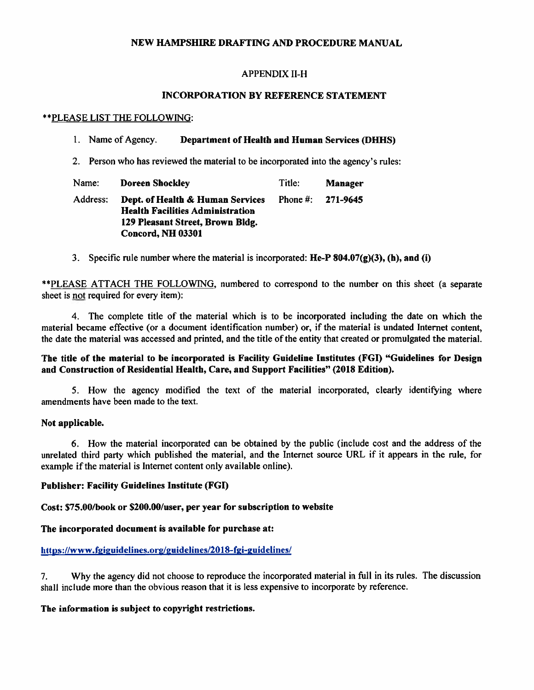#### NEW HAMPSHIRE DRAFTING AND PROCEDURE MANUAL

#### **APPENDIX II-H**

#### **INCORPORATION BY REFERENCE STATEMENT**

#### \*\* PLEASE LIST THE FOLLOWING:

#### 1. Name of Agency. **Department of Health and Human Services (DHHS)**

2. Person who has reviewed the material to be incorporated into the agency's rules:

| Name:    | <b>Doreen Shockley</b>                                                                                                               | Title: | <b>Manager</b>      |
|----------|--------------------------------------------------------------------------------------------------------------------------------------|--------|---------------------|
| Address: | Dept. of Health & Human Services<br><b>Health Facilities Administration</b><br>129 Pleasant Street, Brown Bldg.<br>Concord, NH 03301 |        | Phone #: $271-9645$ |

3. Specific rule number where the material is incorporated:  $He-P 804.07(g)(3)$ , (h), and (i)

\*\*PLEASE ATTACH THE FOLLOWING, numbered to correspond to the number on this sheet (a separate sheet is not required for every item):

4. The complete title of the material which is to be incorporated including the date on which the material became effective (or a document identification number) or, if the material is undated Internet content, the date the material was accessed and printed, and the title of the entity that created or promulgated the material.

#### The title of the material to be incorporated is Facility Guideline Institutes (FGI) "Guidelines for Design and Construction of Residential Health, Care, and Support Facilities" (2018 Edition).

5. How the agency modified the text of the material incorporated, clearly identifying where amendments have been made to the text.

#### Not applicable.

6. How the material incorporated can be obtained by the public (include cost and the address of the unrelated third party which published the material, and the Internet source URL if it appears in the rule, for example if the material is Internet content only available online).

#### **Publisher: Facility Guidelines Institute (FGI)**

#### Cost: \$75.00/book or \$200.00/user, per year for subscription to website

#### The incorporated document is available for purchase at:

#### https://www.fgiguidelines.org/guidelines/2018-fgi-guidelines/

Why the agency did not choose to reproduce the incorporated material in full in its rules. The discussion  $7.$ shall include more than the obvious reason that it is less expensive to incorporate by reference.

#### The information is subject to copyright restrictions.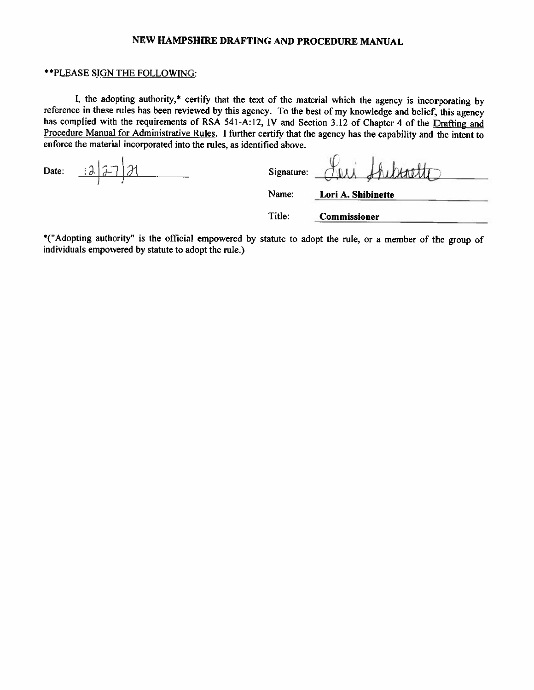#### NEW HAMPSHIRE DRAFTING AND PROCEDURE MANUAL

#### \*\* PLEASE SIGN THE FOLLOWING:

I, the adopting authority,\* certify that the text of the material which the agency is incorporating by reference in these rules has been reviewed by this agency. To the best of my knowledge and belief, this agency has complied with the requirements of RSA 541-A:12, IV and Section 3.12 of Chapter 4 of the Drafting and Procedure Manual for Administrative Rules. I further certify that the agency has the capability and the intent to enforce the material incorporated into the rules, as identified above.

 $127$ Date:

KOLL Signature:

Name: Lori A. Shibinette

Title: **Commissioner** 

\*("Adopting authority" is the official empowered by statute to adopt the rule, or a member of the group of individuals empowered by statute to adopt the rule.)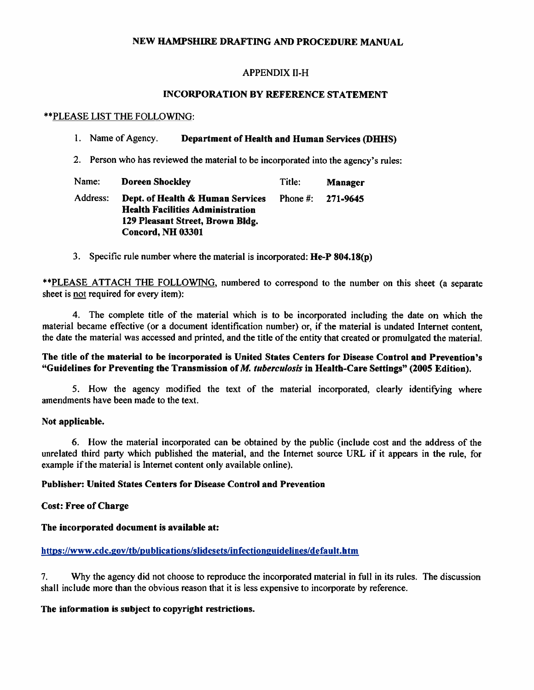# NEW HAMPSHIRE DRAFTING AND PROCEDURE MANUAL

# **APPENDIX II-H**

# **INCORPORATION BY REFERENCE STATEMENT**

### \*\*PLEASE LIST THE FOLLOWING:

#### 1. Name of Agency. **Department of Health and Human Services (DHHS)**

2. Person who has reviewed the material to be incorporated into the agency's rules:

| Name:    | <b>Doreen Shockley</b>                                                                                                               | Title: | <b>Manager</b>        |
|----------|--------------------------------------------------------------------------------------------------------------------------------------|--------|-----------------------|
| Address: | Dept. of Health & Human Services<br><b>Health Facilities Administration</b><br>129 Pleasant Street, Brown Bldg.<br>Concord, NH 03301 |        | Phone #: $271 - 9645$ |

3. Specific rule number where the material is incorporated: He-P 804.18(p)

\*\*PLEASE\_ATTACH\_THE\_FOLLOWING, numbered to correspond to the number on this sheet (a separate sheet is not required for every item):

4. The complete title of the material which is to be incorporated including the date on which the material became effective (or a document identification number) or, if the material is undated Internet content, the date the material was accessed and printed, and the title of the entity that created or promulgated the material.

# The title of the material to be incorporated is United States Centers for Disease Control and Prevention's "Guidelines for Preventing the Transmission of M. tuberculosis in Health-Care Settings" (2005 Edition).

5. How the agency modified the text of the material incorporated, clearly identifying where amendments have been made to the text.

#### Not applicable.

6. How the material incorporated can be obtained by the public (include cost and the address of the unrelated third party which published the material, and the Internet source URL if it appears in the rule, for example if the material is Internet content only available online).

# **Publisher: United States Centers for Disease Control and Prevention**

# **Cost: Free of Charge**

#### The incorporated document is available at:

# https://www.cdc.gov/tb/publications/slidesets/infectionguidelines/default.htm

Why the agency did not choose to reproduce the incorporated material in full in its rules. The discussion 7. shall include more than the obvious reason that it is less expensive to incorporate by reference.

# The information is subject to copyright restrictions.